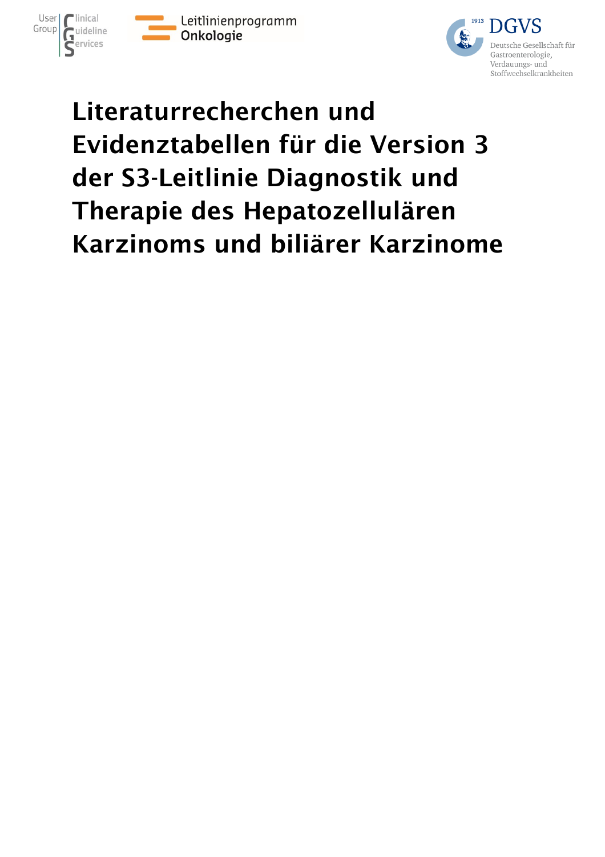





# Literaturrecherchen und Evidenztabellen für die Version 3 der S3-Leitlinie Diagnostik und Therapie des Hepatozellulären Karzinoms und biliärer Karzinome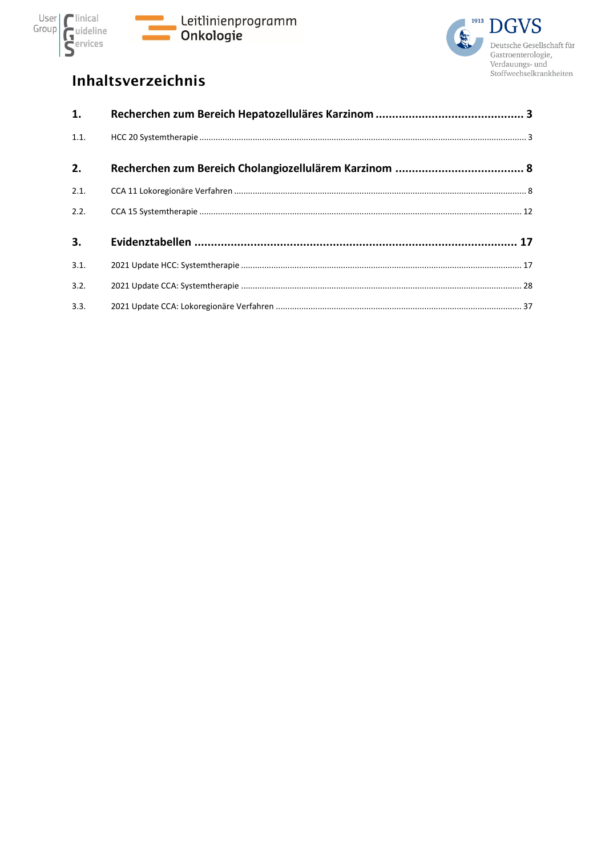



### Inhaltsverzeichnis

| 1.   |  |
|------|--|
| 1.1. |  |
| 2.   |  |
| 2.1. |  |
| 2.2. |  |
| 3.   |  |
| 3.1. |  |
| 3.2. |  |
| 3.3. |  |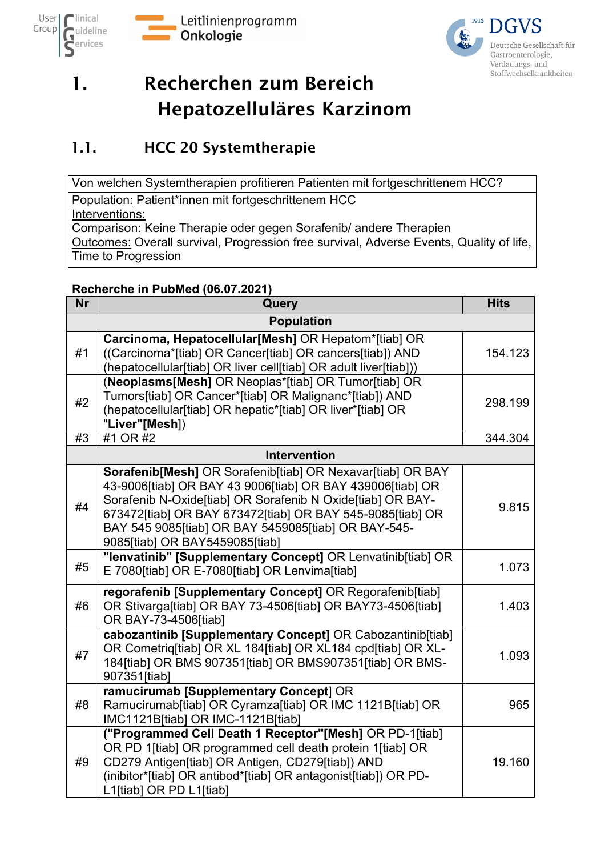



# <span id="page-2-0"></span>1. Recherchen zum Bereich Hepatozelluläres Karzinom

### <span id="page-2-1"></span>1.1. HCC 20 Systemtherapie

Von welchen Systemtherapien profitieren Patienten mit fortgeschrittenem HCC? Population: Patient\*innen mit fortgeschrittenem HCC Interventions: Comparison: Keine Therapie oder gegen Sorafenib/ andere Therapien Outcomes: Overall survival, Progression free survival, Adverse Events, Quality of life, Time to Progression

#### **Recherche in PubMed (06.07.2021)**

| <b>Nr</b> | Query                                                                                                                                                                                                                                                                                                                                       | <b>Hits</b> |
|-----------|---------------------------------------------------------------------------------------------------------------------------------------------------------------------------------------------------------------------------------------------------------------------------------------------------------------------------------------------|-------------|
|           | <b>Population</b>                                                                                                                                                                                                                                                                                                                           |             |
| #1        | Carcinoma, Hepatocellular[Mesh] OR Hepatom*[tiab] OR<br>((Carcinoma*[tiab] OR Cancer[tiab] OR cancers[tiab]) AND<br>(hepatocellular[tiab] OR liver cell[tiab] OR adult liver[tiab]))                                                                                                                                                        | 154.123     |
| #2        | (Neoplasms[Mesh] OR Neoplas*[tiab] OR Tumor[tiab] OR<br>Tumors[tiab] OR Cancer*[tiab] OR Malignanc*[tiab]) AND<br>(hepatocellular[tiab] OR hepatic*[tiab] OR liver*[tiab] OR<br>"Liver"[Mesh])                                                                                                                                              | 298.199     |
| #3        | #1 OR #2                                                                                                                                                                                                                                                                                                                                    | 344.304     |
|           | <b>Intervention</b>                                                                                                                                                                                                                                                                                                                         |             |
| #4        | Sorafenib[Mesh] OR Sorafenib[tiab] OR Nexavar[tiab] OR BAY<br>43-9006[tiab] OR BAY 43 9006[tiab] OR BAY 439006[tiab] OR<br>Sorafenib N-Oxide[tiab] OR Sorafenib N Oxide[tiab] OR BAY-<br>673472[tiab] OR BAY 673472[tiab] OR BAY 545-9085[tiab] OR<br>BAY 545 9085[tiab] OR BAY 5459085[tiab] OR BAY-545-<br>9085[tiab] OR BAY5459085[tiab] | 9.815       |
| #5        | "lenvatinib" [Supplementary Concept] OR Lenvatinib[tiab] OR<br>E 7080[tiab] OR E-7080[tiab] OR Lenvima[tiab]                                                                                                                                                                                                                                | 1.073       |
| #6        | regorafenib [Supplementary Concept] OR Regorafenib[tiab]<br>OR Stivarga[tiab] OR BAY 73-4506[tiab] OR BAY73-4506[tiab]<br>OR BAY-73-4506[tiab]                                                                                                                                                                                              | 1.403       |
| #7        | cabozantinib [Supplementary Concept] OR Cabozantinib[tiab]<br>OR Cometrig[tiab] OR XL 184[tiab] OR XL184 cpd[tiab] OR XL-<br>184[tiab] OR BMS 907351[tiab] OR BMS907351[tiab] OR BMS-<br>907351[tiab]                                                                                                                                       | 1.093       |
| #8        | ramucirumab [Supplementary Concept] OR<br>Ramucirumab[tiab] OR Cyramza[tiab] OR IMC 1121B[tiab] OR<br>IMC1121B[tiab] OR IMC-1121B[tiab]                                                                                                                                                                                                     | 965         |
| #9        | ("Programmed Cell Death 1 Receptor"[Mesh] OR PD-1[tiab]<br>OR PD 1[tiab] OR programmed cell death protein 1[tiab] OR<br>CD279 Antigen[tiab] OR Antigen, CD279[tiab]) AND<br>(inibitor*[tiab] OR antibod*[tiab] OR antagonist[tiab]) OR PD-<br>L1[tiab] OR PD L1[tiab]                                                                       | 19.160      |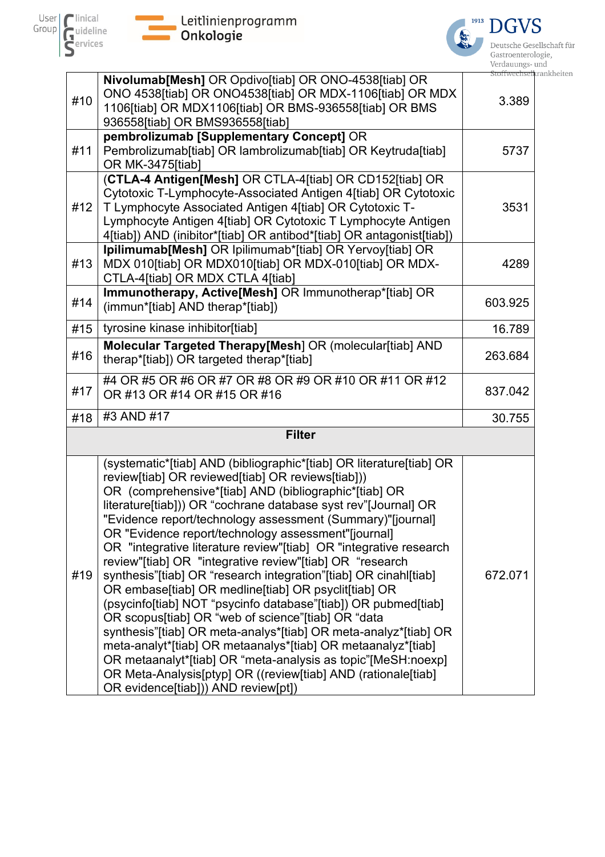



Deutsche Gesellschaft für Gastroenterologie, Gastroenterologie,<br>Verdauungs- und<br><del>Stoffwechselk</del>rankheiten

|     | Nivolumab[Mesh] OR Opdivo[tiab] OR ONO-4538[tiab] OR                                                                                                                                                                                                                                                                                                                                                                                                                                                                                                                                                                                                                                                                                                                                                                                                                                                                                                                                                                                                                     | LOLL VV C.C.LIOC. |
|-----|--------------------------------------------------------------------------------------------------------------------------------------------------------------------------------------------------------------------------------------------------------------------------------------------------------------------------------------------------------------------------------------------------------------------------------------------------------------------------------------------------------------------------------------------------------------------------------------------------------------------------------------------------------------------------------------------------------------------------------------------------------------------------------------------------------------------------------------------------------------------------------------------------------------------------------------------------------------------------------------------------------------------------------------------------------------------------|-------------------|
| #10 | ONO 4538[tiab] OR ONO4538[tiab] OR MDX-1106[tiab] OR MDX<br>1106[tiab] OR MDX1106[tiab] OR BMS-936558[tiab] OR BMS                                                                                                                                                                                                                                                                                                                                                                                                                                                                                                                                                                                                                                                                                                                                                                                                                                                                                                                                                       | 3.389             |
|     | 936558[tiab] OR BMS936558[tiab]                                                                                                                                                                                                                                                                                                                                                                                                                                                                                                                                                                                                                                                                                                                                                                                                                                                                                                                                                                                                                                          |                   |
|     | pembrolizumab [Supplementary Concept] OR                                                                                                                                                                                                                                                                                                                                                                                                                                                                                                                                                                                                                                                                                                                                                                                                                                                                                                                                                                                                                                 |                   |
| #11 | Pembrolizumab[tiab] OR lambrolizumab[tiab] OR Keytruda[tiab]<br>OR MK-3475[tiab]                                                                                                                                                                                                                                                                                                                                                                                                                                                                                                                                                                                                                                                                                                                                                                                                                                                                                                                                                                                         | 5737              |
| #12 | (CTLA-4 Antigen[Mesh] OR CTLA-4[tiab] OR CD152[tiab] OR<br>Cytotoxic T-Lymphocyte-Associated Antigen 4[tiab] OR Cytotoxic<br>T Lymphocyte Associated Antigen 4[tiab] OR Cytotoxic T-<br>Lymphocyte Antigen 4[tiab] OR Cytotoxic T Lymphocyte Antigen<br>4[tiab]) AND (inibitor*[tiab] OR antibod*[tiab] OR antagonist[tiab])                                                                                                                                                                                                                                                                                                                                                                                                                                                                                                                                                                                                                                                                                                                                             | 3531              |
| #13 | Ipilimumab[Mesh] OR Ipilimumab*[tiab] OR Yervoy[tiab] OR<br>MDX 010[tiab] OR MDX010[tiab] OR MDX-010[tiab] OR MDX-<br>CTLA-4[tiab] OR MDX CTLA 4[tiab]                                                                                                                                                                                                                                                                                                                                                                                                                                                                                                                                                                                                                                                                                                                                                                                                                                                                                                                   | 4289              |
| #14 | Immunotherapy, Active[Mesh] OR Immunotherap*[tiab] OR<br>(immun*[tiab] AND therap*[tiab])                                                                                                                                                                                                                                                                                                                                                                                                                                                                                                                                                                                                                                                                                                                                                                                                                                                                                                                                                                                | 603.925           |
| #15 | tyrosine kinase inhibitor[tiab]                                                                                                                                                                                                                                                                                                                                                                                                                                                                                                                                                                                                                                                                                                                                                                                                                                                                                                                                                                                                                                          | 16.789            |
| #16 | Molecular Targeted Therapy[Mesh] OR (molecular[tiab] AND<br>therap*[tiab]) OR targeted therap*[tiab]                                                                                                                                                                                                                                                                                                                                                                                                                                                                                                                                                                                                                                                                                                                                                                                                                                                                                                                                                                     | 263.684           |
| #17 | #4 OR #5 OR #6 OR #7 OR #8 OR #9 OR #10 OR #11 OR #12<br>OR #13 OR #14 OR #15 OR #16                                                                                                                                                                                                                                                                                                                                                                                                                                                                                                                                                                                                                                                                                                                                                                                                                                                                                                                                                                                     | 837.042           |
| #18 | #3 AND #17                                                                                                                                                                                                                                                                                                                                                                                                                                                                                                                                                                                                                                                                                                                                                                                                                                                                                                                                                                                                                                                               | 30.755            |
|     | <b>Filter</b>                                                                                                                                                                                                                                                                                                                                                                                                                                                                                                                                                                                                                                                                                                                                                                                                                                                                                                                                                                                                                                                            |                   |
| #19 | (systematic*[tiab] AND (bibliographic*[tiab] OR literature[tiab] OR<br>review[tiab] OR reviewed[tiab] OR reviews[tiab]))<br>OR (comprehensive*[tiab] AND (bibliographic*[tiab] OR<br>literature[tiab])) OR "cochrane database syst rev"[Journal] OR<br>"Evidence report/technology assessment (Summary)"[journal]<br>OR "Evidence report/technology assessment"[journal]<br>OR "integrative literature review"[tiab] OR "integrative research<br>review"[tiab] OR "integrative review"[tiab] OR "research<br>synthesis"[tiab] OR "research integration"[tiab] OR cinahl[tiab]<br>OR embase[tiab] OR medline[tiab] OR psyclit[tiab] OR<br>(psycinfo[tiab] NOT "psycinfo database"[tiab]) OR pubmed[tiab]<br>OR scopus[tiab] OR "web of science"[tiab] OR "data<br>synthesis"[tiab] OR meta-analys*[tiab] OR meta-analyz*[tiab] OR<br>meta-analyt*[tiab] OR metaanalys*[tiab] OR metaanalyz*[tiab]<br>OR metaanalyt*[tiab] OR "meta-analysis as topic"[MeSH:noexp]<br>OR Meta-Analysis[ptyp] OR ((review[tiab] AND (rationale[tiab]<br>OR evidence[tiab])) AND review[pt]) | 672.071           |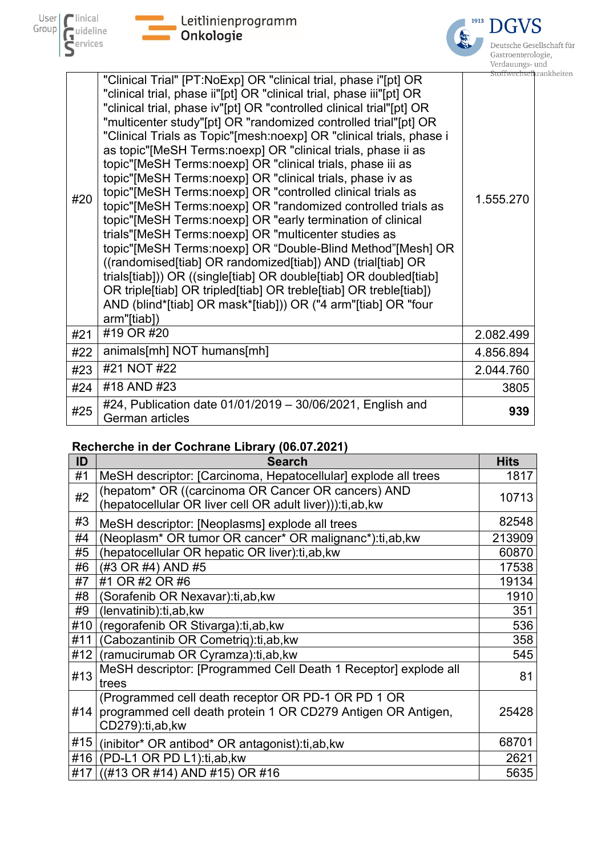





| #20 | "Clinical Trial" [PT:NoExp] OR "clinical trial, phase i"[pt] OR<br>"clinical trial, phase ii"[pt] OR "clinical trial, phase iii"[pt] OR<br>"clinical trial, phase iv"[pt] OR "controlled clinical trial"[pt] OR<br>"multicenter study"[pt] OR "randomized controlled trial"[pt] OR<br>"Clinical Trials as Topic"[mesh:noexp] OR "clinical trials, phase i<br>as topic"[MeSH Terms:noexp] OR "clinical trials, phase ii as<br>topic"[MeSH Terms:noexp] OR "clinical trials, phase iii as<br>topic"[MeSH Terms:noexp] OR "clinical trials, phase iv as<br>topic"[MeSH Terms:noexp] OR "controlled clinical trials as<br>topic"[MeSH Terms:noexp] OR "randomized controlled trials as<br>topic"[MeSH Terms:noexp] OR "early termination of clinical<br>trials"[MeSH Terms:noexp] OR "multicenter studies as<br>topic"[MeSH Terms:noexp] OR "Double-Blind Method"[Mesh] OR<br>((randomised[tiab] OR randomized[tiab]) AND (trial[tiab] OR<br>trials[tiab])) OR ((single[tiab] OR double[tiab] OR doubled[tiab]<br>OR triple[tiab] OR tripled[tiab] OR treble[tiab] OR treble[tiab])<br>AND (blind*[tiab] OR mask*[tiab])) OR ("4 arm"[tiab] OR "four<br>arm"[tiab]) | ətoli wech<br>1.555.270 |
|-----|-----------------------------------------------------------------------------------------------------------------------------------------------------------------------------------------------------------------------------------------------------------------------------------------------------------------------------------------------------------------------------------------------------------------------------------------------------------------------------------------------------------------------------------------------------------------------------------------------------------------------------------------------------------------------------------------------------------------------------------------------------------------------------------------------------------------------------------------------------------------------------------------------------------------------------------------------------------------------------------------------------------------------------------------------------------------------------------------------------------------------------------------------------------------|-------------------------|
| #21 | #19 OR #20                                                                                                                                                                                                                                                                                                                                                                                                                                                                                                                                                                                                                                                                                                                                                                                                                                                                                                                                                                                                                                                                                                                                                      | 2.082.499               |
| #22 | animals[mh] NOT humans[mh]                                                                                                                                                                                                                                                                                                                                                                                                                                                                                                                                                                                                                                                                                                                                                                                                                                                                                                                                                                                                                                                                                                                                      | 4.856.894               |
| #23 | #21 NOT #22                                                                                                                                                                                                                                                                                                                                                                                                                                                                                                                                                                                                                                                                                                                                                                                                                                                                                                                                                                                                                                                                                                                                                     | 2.044.760               |
| #24 | #18 AND #23                                                                                                                                                                                                                                                                                                                                                                                                                                                                                                                                                                                                                                                                                                                                                                                                                                                                                                                                                                                                                                                                                                                                                     | 3805                    |
| #25 | #24, Publication date 01/01/2019 - 30/06/2021, English and<br>German articles                                                                                                                                                                                                                                                                                                                                                                                                                                                                                                                                                                                                                                                                                                                                                                                                                                                                                                                                                                                                                                                                                   | 939                     |

### **Recherche in der Cochrane Library (06.07.2021)**

| ID  | <b>Search</b>                                                                                                                         | <b>Hits</b> |
|-----|---------------------------------------------------------------------------------------------------------------------------------------|-------------|
| #1  | MeSH descriptor: [Carcinoma, Hepatocellular] explode all trees                                                                        | 1817        |
| #2  | (hepatom* OR ((carcinoma OR Cancer OR cancers) AND<br>(hepatocellular OR liver cell OR adult liver))): ti, ab, kw                     | 10713       |
| #3  | MeSH descriptor: [Neoplasms] explode all trees                                                                                        | 82548       |
| #4  | (Neoplasm* OR tumor OR cancer* OR malignanc*):ti,ab,kw                                                                                | 213909      |
| #5  | (hepatocellular OR hepatic OR liver): ti, ab, kw                                                                                      | 60870       |
| #6  | (#3 OR #4) AND #5                                                                                                                     | 17538       |
| #7  | #1 OR #2 OR #6                                                                                                                        | 19134       |
| #8  | Sorafenib OR Nexavar):ti,ab,kw                                                                                                        | 1910        |
| #9  | (lenvatinib):ti,ab, kw                                                                                                                | 351         |
| #10 | (regorafenib OR Stivarga): ti, ab, kw                                                                                                 | 536         |
| #11 | (Cabozantinib OR Cometriq):ti,ab, kw                                                                                                  | 358         |
| #12 | (ramucirumab OR Cyramza): ti, ab, kw                                                                                                  | 545         |
| #13 | MeSH descriptor: [Programmed Cell Death 1 Receptor] explode all<br>trees                                                              | 81          |
| #14 | (Programmed cell death receptor OR PD-1 OR PD 1 OR<br>programmed cell death protein 1 OR CD279 Antigen OR Antigen,<br>CD279):ti,ab,kw | 25428       |
| #15 | (inibitor* OR antibod* OR antagonist):ti,ab, kw                                                                                       | 68701       |
| #16 | (PD-L1 OR PD L1):ti,ab, kw                                                                                                            | 2621        |
| #17 | $((#13 \text{ OR } #14) \text{ AND } #15) \text{ OR } #16)$                                                                           | 5635        |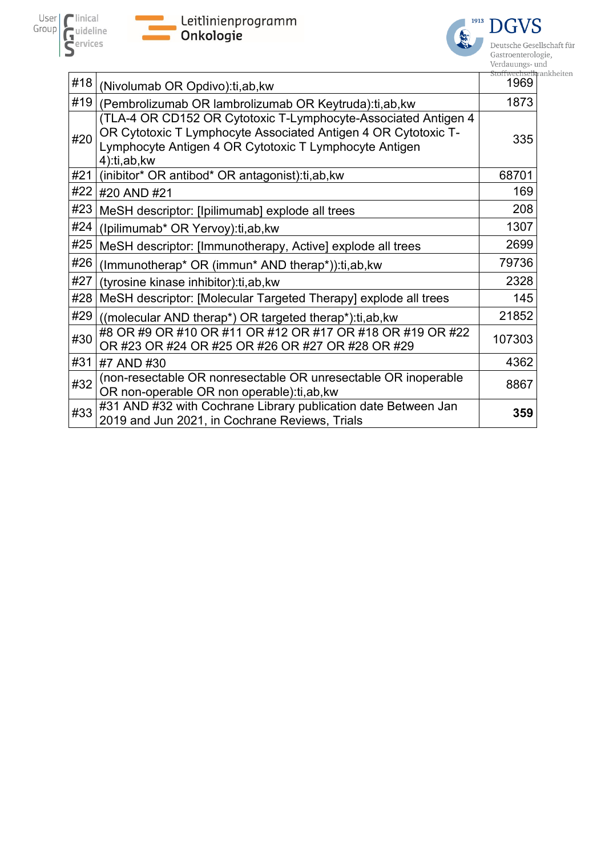





Deutsche Gesellschaft für Gastroenterologie, Verdauungs- und ankheiten

| (Nivolumab OR Opdivo): ti, ab, kw                                                                                                                                                                         | stoffwechsei<br>1969 |
|-----------------------------------------------------------------------------------------------------------------------------------------------------------------------------------------------------------|----------------------|
| (Pembrolizumab OR lambrolizumab OR Keytruda): ti, ab, kw                                                                                                                                                  | 1873                 |
| (TLA-4 OR CD152 OR Cytotoxic T-Lymphocyte-Associated Antigen 4<br>OR Cytotoxic T Lymphocyte Associated Antigen 4 OR Cytotoxic T-<br>Lymphocyte Antigen 4 OR Cytotoxic T Lymphocyte Antigen<br>4):ti,ab,kw | 335                  |
| (inibitor* OR antibod* OR antagonist):ti,ab, kw                                                                                                                                                           | 68701                |
| #20 AND #21                                                                                                                                                                                               | 169                  |
| MeSH descriptor: [Ipilimumab] explode all trees                                                                                                                                                           | 208                  |
| (Ipilimumab* OR Yervoy):ti,ab, kw                                                                                                                                                                         | 1307                 |
| MeSH descriptor: [Immunotherapy, Active] explode all trees                                                                                                                                                | 2699                 |
| (Immunotherap* OR (immun* AND therap*)):ti,ab, kw                                                                                                                                                         | 79736                |
| (tyrosine kinase inhibitor): ti, ab, kw                                                                                                                                                                   | 2328                 |
| MeSH descriptor: [Molecular Targeted Therapy] explode all trees                                                                                                                                           | 145                  |
| ((molecular AND therap*) OR targeted therap*): ti, ab, kw                                                                                                                                                 | 21852                |
| #8 OR #9 OR #10 OR #11 OR #12 OR #17 OR #18 OR #19 OR #22<br>OR #23 OR #24 OR #25 OR #26 OR #27 OR #28 OR #29                                                                                             | 107303               |
| #7 AND #30                                                                                                                                                                                                | 4362                 |
| (non-resectable OR nonresectable OR unresectable OR inoperable<br>OR non-operable OR non operable): ti, ab, kw                                                                                            | 8867                 |
| #31 AND #32 with Cochrane Library publication date Between Jan<br>2019 and Jun 2021, in Cochrane Reviews, Trials                                                                                          | 359                  |
|                                                                                                                                                                                                           |                      |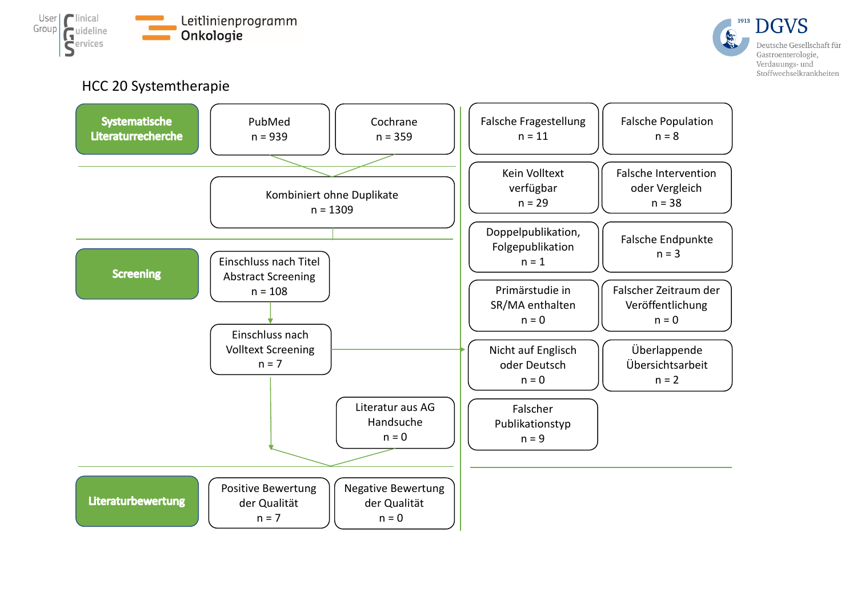



HCC 20 Systemtherapie

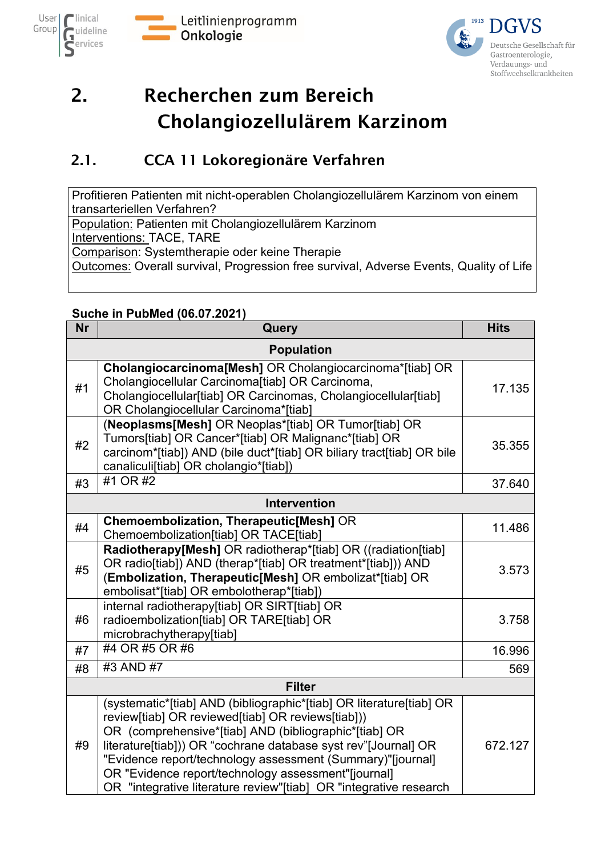



# <span id="page-7-0"></span>2. Recherchen zum Bereich Cholangiozellulärem Karzinom

### <span id="page-7-1"></span>2.1. CCA 11 Lokoregionäre Verfahren

Profitieren Patienten mit nicht-operablen Cholangiozellulärem Karzinom von einem transarteriellen Verfahren?

Population: Patienten mit Cholangiozellulärem Karzinom

Interventions: TACE, TARE

Comparison: Systemtherapie oder keine Therapie

Outcomes: Overall survival, Progression free survival, Adverse Events, Quality of Life

#### **Suche in PubMed (06.07.2021)**

| <b>Nr</b> | Query                                                                                                                                                                                                                                                                                                                                                                                                                                          | <b>Hits</b> |
|-----------|------------------------------------------------------------------------------------------------------------------------------------------------------------------------------------------------------------------------------------------------------------------------------------------------------------------------------------------------------------------------------------------------------------------------------------------------|-------------|
|           | <b>Population</b>                                                                                                                                                                                                                                                                                                                                                                                                                              |             |
| #1        | Cholangiocarcinoma[Mesh] OR Cholangiocarcinoma*[tiab] OR<br>Cholangiocellular Carcinoma[tiab] OR Carcinoma,<br>Cholangiocellular[tiab] OR Carcinomas, Cholangiocellular[tiab]<br>OR Cholangiocellular Carcinoma*[tiab]                                                                                                                                                                                                                         | 17.135      |
| #2        | (Neoplasms[Mesh] OR Neoplas*[tiab] OR Tumor[tiab] OR<br>Tumors[tiab] OR Cancer*[tiab] OR Malignanc*[tiab] OR<br>carcinom*[tiab]) AND (bile duct*[tiab] OR biliary tract[tiab] OR bile<br>canaliculi[tiab] OR cholangio*[tiab])                                                                                                                                                                                                                 | 35.355      |
| #3        | #1 OR #2                                                                                                                                                                                                                                                                                                                                                                                                                                       | 37.640      |
|           | <b>Intervention</b>                                                                                                                                                                                                                                                                                                                                                                                                                            |             |
| #4        | <b>Chemoembolization, Therapeutic[Mesh] OR</b><br>Chemoembolization[tiab] OR TACE[tiab]                                                                                                                                                                                                                                                                                                                                                        | 11.486      |
| #5        | Radiotherapy[Mesh] OR radiotherap*[tiab] OR ((radiation[tiab]<br>OR radio[tiab]) AND (therap*[tiab] OR treatment*[tiab])) AND<br>(Embolization, Therapeutic[Mesh] OR embolizat*[tiab] OR<br>embolisat*[tiab] OR embolotherap*[tiab])                                                                                                                                                                                                           | 3.573       |
| #6        | internal radiotherapy[tiab] OR SIRT[tiab] OR<br>radioembolization[tiab] OR TARE[tiab] OR<br>microbrachytherapy[tiab]                                                                                                                                                                                                                                                                                                                           | 3.758       |
| #7        | #4 OR #5 OR #6                                                                                                                                                                                                                                                                                                                                                                                                                                 | 16.996      |
| #8        | #3 AND #7                                                                                                                                                                                                                                                                                                                                                                                                                                      | 569         |
|           | <b>Filter</b>                                                                                                                                                                                                                                                                                                                                                                                                                                  |             |
| #9        | (systematic*[tiab] AND (bibliographic*[tiab] OR literature[tiab] OR<br>review[tiab] OR reviewed[tiab] OR reviews[tiab]))<br>OR (comprehensive*[tiab] AND (bibliographic*[tiab] OR<br>literature[tiab])) OR "cochrane database syst rev"[Journal] OR<br>"Evidence report/technology assessment (Summary)"[journal]<br>OR "Evidence report/technology assessment"[journal]<br>OR "integrative literature review"[tiab] OR "integrative research" | 672.127     |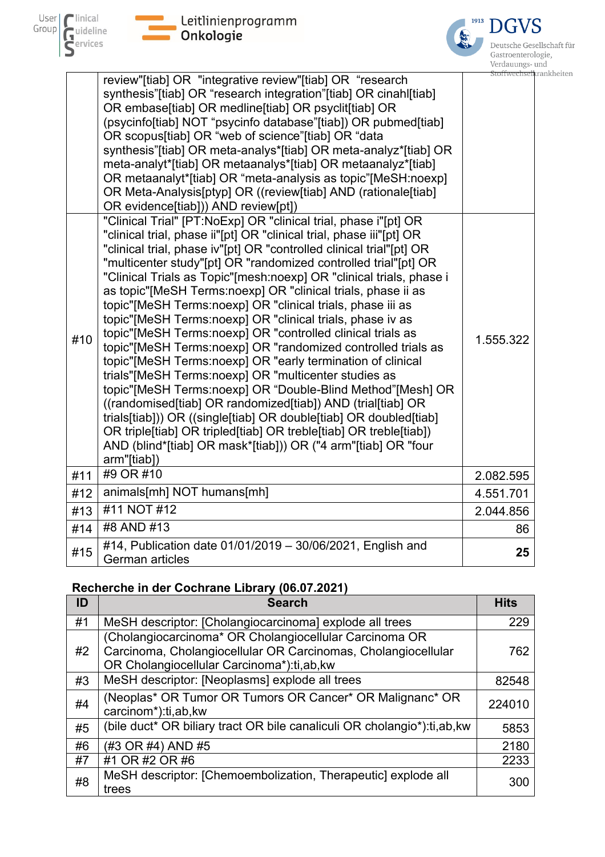

**State Leitlinienprogramm**<br>State onkologie



Deutsche Gesellschaft für Gastroenterologie, Verdauungs- und rankheiten

|     | review"[tiab] OR "integrative review"[tiab] OR "research<br>synthesis"[tiab] OR "research integration"[tiab] OR cinahl[tiab]<br>OR embase[tiab] OR medline[tiab] OR psyclit[tiab] OR<br>(psycinfo[tiab] NOT "psycinfo database"[tiab]) OR pubmed[tiab]<br>OR scopus[tiab] OR "web of science"[tiab] OR "data<br>synthesis"[tiab] OR meta-analys*[tiab] OR meta-analyz*[tiab] OR<br>meta-analyt*[tiab] OR metaanalys*[tiab] OR metaanalyz*[tiab]<br>OR metaanalyt*[tiab] OR "meta-analysis as topic"[MeSH:noexp]<br>OR Meta-Analysis[ptyp] OR ((review[tiab] AND (rationale[tiab]<br>OR evidence[tiab])) AND review[pt])                                                                                                                                                                                                                                                                                                                                                                                                                                                                                                                                         |           |
|-----|-----------------------------------------------------------------------------------------------------------------------------------------------------------------------------------------------------------------------------------------------------------------------------------------------------------------------------------------------------------------------------------------------------------------------------------------------------------------------------------------------------------------------------------------------------------------------------------------------------------------------------------------------------------------------------------------------------------------------------------------------------------------------------------------------------------------------------------------------------------------------------------------------------------------------------------------------------------------------------------------------------------------------------------------------------------------------------------------------------------------------------------------------------------------|-----------|
| #10 | "Clinical Trial" [PT:NoExp] OR "clinical trial, phase i"[pt] OR<br>"clinical trial, phase ii"[pt] OR "clinical trial, phase iii"[pt] OR<br>"clinical trial, phase iv"[pt] OR "controlled clinical trial"[pt] OR<br>"multicenter study"[pt] OR "randomized controlled trial"[pt] OR<br>"Clinical Trials as Topic"[mesh:noexp] OR "clinical trials, phase i<br>as topic"[MeSH Terms:noexp] OR "clinical trials, phase ii as<br>topic"[MeSH Terms:noexp] OR "clinical trials, phase iii as<br>topic"[MeSH Terms:noexp] OR "clinical trials, phase iv as<br>topic"[MeSH Terms:noexp] OR "controlled clinical trials as<br>topic"[MeSH Terms:noexp] OR "randomized controlled trials as<br>topic"[MeSH Terms:noexp] OR "early termination of clinical<br>trials"[MeSH Terms:noexp] OR "multicenter studies as<br>topic"[MeSH Terms:noexp] OR "Double-Blind Method"[Mesh] OR<br>((randomised[tiab] OR randomized[tiab]) AND (trial[tiab] OR<br>trials[tiab])) OR ((single[tiab] OR double[tiab] OR doubled[tiab]<br>OR triple[tiab] OR tripled[tiab] OR treble[tiab] OR treble[tiab])<br>AND (blind*[tiab] OR mask*[tiab])) OR ("4 arm"[tiab] OR "four<br>arm"[tiab]) | 1.555.322 |
| #11 | #9 OR #10                                                                                                                                                                                                                                                                                                                                                                                                                                                                                                                                                                                                                                                                                                                                                                                                                                                                                                                                                                                                                                                                                                                                                       | 2.082.595 |
| #12 | animals[mh] NOT humans[mh]                                                                                                                                                                                                                                                                                                                                                                                                                                                                                                                                                                                                                                                                                                                                                                                                                                                                                                                                                                                                                                                                                                                                      | 4.551.701 |
| #13 | #11 NOT #12                                                                                                                                                                                                                                                                                                                                                                                                                                                                                                                                                                                                                                                                                                                                                                                                                                                                                                                                                                                                                                                                                                                                                     | 2.044.856 |
| #14 | #8 AND #13                                                                                                                                                                                                                                                                                                                                                                                                                                                                                                                                                                                                                                                                                                                                                                                                                                                                                                                                                                                                                                                                                                                                                      | 86        |
| #15 | #14, Publication date 01/01/2019 - 30/06/2021, English and<br><b>German articles</b>                                                                                                                                                                                                                                                                                                                                                                                                                                                                                                                                                                                                                                                                                                                                                                                                                                                                                                                                                                                                                                                                            | 25        |

### **Recherche in der Cochrane Library (06.07.2021)**

| ID | <b>Search</b>                                                                                                                                                        | <b>Hits</b> |
|----|----------------------------------------------------------------------------------------------------------------------------------------------------------------------|-------------|
| #1 | MeSH descriptor: [Cholangiocarcinoma] explode all trees                                                                                                              | 229         |
| #2 | (Cholangiocarcinoma* OR Cholangiocellular Carcinoma OR<br>Carcinoma, Cholangiocellular OR Carcinomas, Cholangiocellular<br>OR Cholangiocellular Carcinoma*):ti,ab,kw | 762         |
| #3 | MeSH descriptor: [Neoplasms] explode all trees                                                                                                                       | 82548       |
| #4 | (Neoplas* OR Tumor OR Tumors OR Cancer* OR Malignanc* OR<br>carcinom*):ti,ab,kw                                                                                      | 224010      |
| #5 | (bile duct* OR biliary tract OR bile canaliculi OR cholangio*):ti,ab,kw                                                                                              | 5853        |
| #6 | (#3 OR #4) AND #5                                                                                                                                                    | 2180        |
| #7 | #1 OR #2 OR #6                                                                                                                                                       | 2233        |
| #8 | MeSH descriptor: [Chemoembolization, Therapeutic] explode all<br>trees                                                                                               | 300         |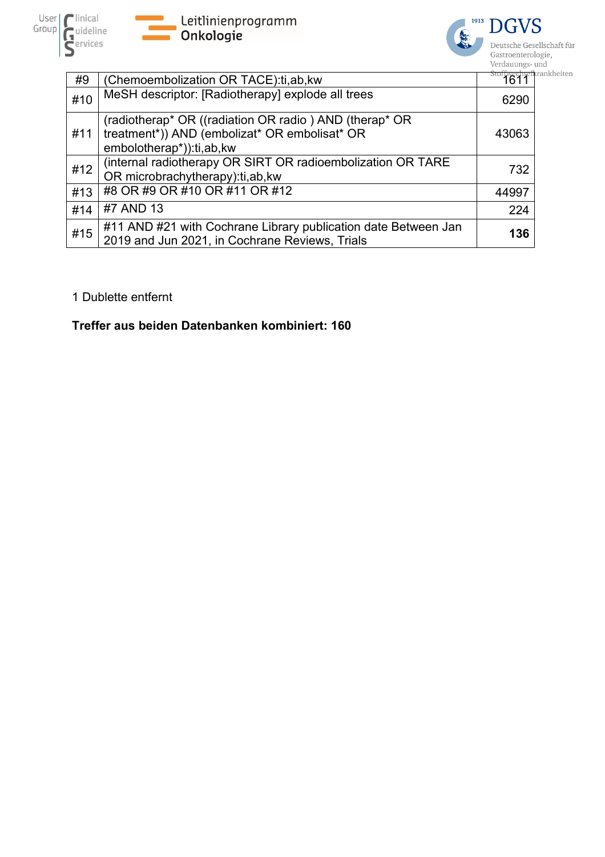





| #9  | (Chemoembolization OR TACE):ti,ab,kw                                                                                                | stoffwechselkrankheiten<br>1611 |  |
|-----|-------------------------------------------------------------------------------------------------------------------------------------|---------------------------------|--|
| #10 | MeSH descriptor: [Radiotherapy] explode all trees                                                                                   | 6290                            |  |
| #11 | (radiotherap* OR ((radiation OR radio) AND (therap* OR<br>treatment*)) AND (embolizat* OR embolisat* OR<br>embolotherap*)):ti,ab,kw | 43063                           |  |
| #12 | (internal radiotherapy OR SIRT OR radioembolization OR TARE<br>OR microbrachytherapy): ti, ab, kw                                   | 732                             |  |
| #13 | #8 OR #9 OR #10 OR #11 OR #12                                                                                                       | 44997                           |  |
| #14 | #7 AND 13                                                                                                                           | 224                             |  |
| #15 | #11 AND #21 with Cochrane Library publication date Between Jan<br>2019 and Jun 2021, in Cochrane Reviews, Trials                    | 136                             |  |

#### 1 Dublette entfernt

### **Treffer aus beiden Datenbanken kombiniert: 160**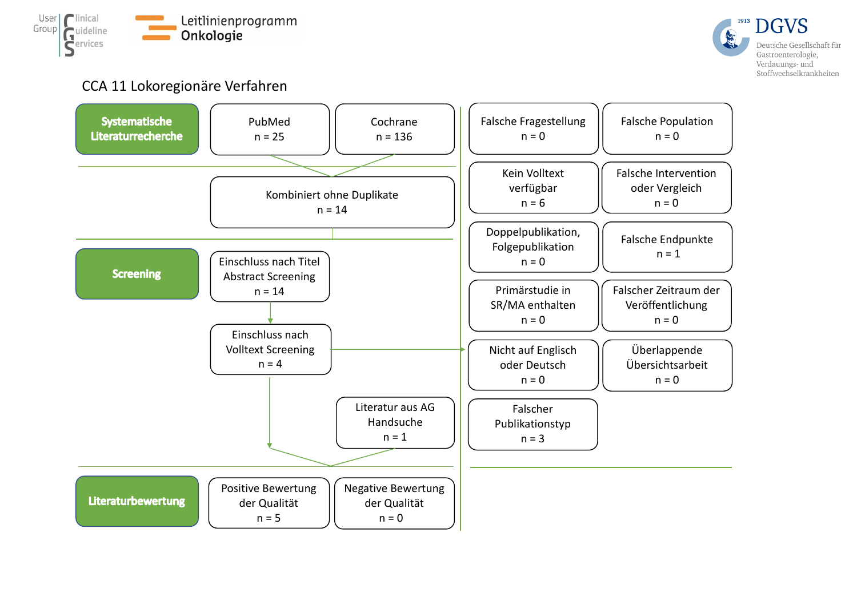



### CCA 11 Lokoregionäre Verfahren

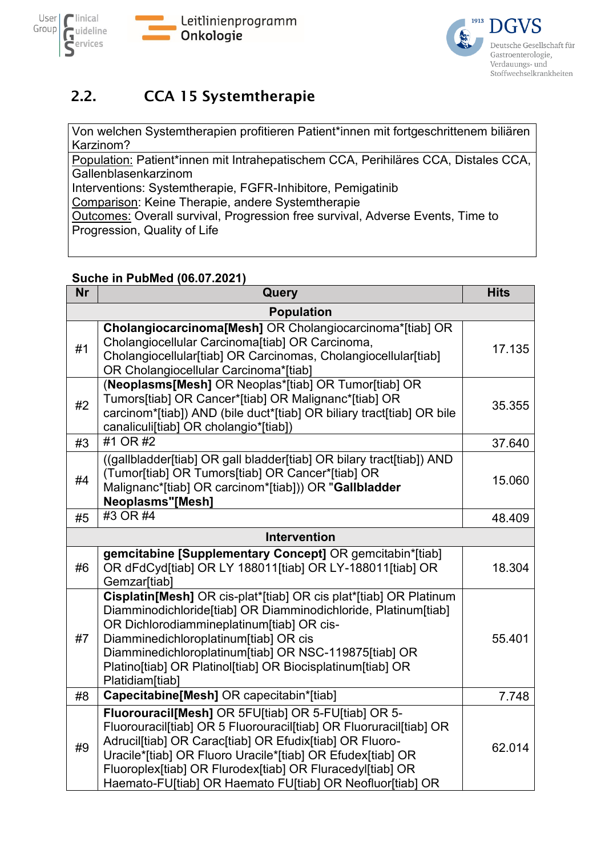![](_page_11_Picture_0.jpeg)

![](_page_11_Picture_1.jpeg)

![](_page_11_Picture_2.jpeg)

### <span id="page-11-0"></span>2.2. CCA 15 Systemtherapie

Von welchen Systemtherapien profitieren Patient\*innen mit fortgeschrittenem biliären Karzinom?

Population: Patient\*innen mit Intrahepatischem CCA, Perihiläres CCA, Distales CCA, Gallenblasenkarzinom

Interventions: Systemtherapie, FGFR-Inhibitore, Pemigatinib

Comparison: Keine Therapie, andere Systemtherapie

Outcomes: Overall survival, Progression free survival, Adverse Events, Time to Progression, Quality of Life

### **Suche in PubMed (06.07.2021)**

| <b>Nr</b> | Query                                                                                                                                                                                                                                                                                                                                                                        | <b>Hits</b> |
|-----------|------------------------------------------------------------------------------------------------------------------------------------------------------------------------------------------------------------------------------------------------------------------------------------------------------------------------------------------------------------------------------|-------------|
|           | <b>Population</b>                                                                                                                                                                                                                                                                                                                                                            |             |
| #1        | Cholangiocarcinoma[Mesh] OR Cholangiocarcinoma*[tiab] OR<br>Cholangiocellular Carcinoma[tiab] OR Carcinoma,<br>Cholangiocellular[tiab] OR Carcinomas, Cholangiocellular[tiab]<br>OR Cholangiocellular Carcinoma*[tiab]                                                                                                                                                       | 17.135      |
| #2        | (Neoplasms[Mesh] OR Neoplas*[tiab] OR Tumor[tiab] OR<br>Tumors[tiab] OR Cancer*[tiab] OR Malignanc*[tiab] OR<br>carcinom*[tiab]) AND (bile duct*[tiab] OR biliary tract[tiab] OR bile<br>canaliculi[tiab] OR cholangio*[tiab])                                                                                                                                               | 35.355      |
| #3        | #1 OR #2                                                                                                                                                                                                                                                                                                                                                                     | 37.640      |
| #4        | ((gallbladder[tiab] OR gall bladder[tiab] OR bilary tract[tiab]) AND<br>(Tumor[tiab] OR Tumors[tiab] OR Cancer*[tiab] OR<br>Malignanc*[tiab] OR carcinom*[tiab])) OR "Gallbladder<br><b>Neoplasms"[Mesh]</b>                                                                                                                                                                 | 15.060      |
| #5        | #3 OR #4                                                                                                                                                                                                                                                                                                                                                                     | 48.409      |
|           | <b>Intervention</b>                                                                                                                                                                                                                                                                                                                                                          |             |
| #6        | gemcitabine [Supplementary Concept] OR gemcitabin*[tiab]<br>OR dFdCyd[tiab] OR LY 188011[tiab] OR LY-188011[tiab] OR<br>Gemzar[tiab]                                                                                                                                                                                                                                         | 18.304      |
| #7        | Cisplatin[Mesh] OR cis-plat*[tiab] OR cis plat*[tiab] OR Platinum<br>Diamminodichloride[tiab] OR Diamminodichloride, Platinum[tiab]<br>OR Dichlorodiammineplatinum[tiab] OR cis-<br>Diamminedichloroplatinum[tiab] OR cis<br>Diamminedichloroplatinum[tiab] OR NSC-119875[tiab] OR<br>Platino[tiab] OR Platinol[tiab] OR Biocisplatinum[tiab] OR<br>Platidiam[tiab]          | 55.401      |
| #8        | Capecitabine[Mesh] OR capecitabin*[tiab]                                                                                                                                                                                                                                                                                                                                     | 7.748       |
| #9        | Fluorouracil[Mesh] OR 5FU[tiab] OR 5-FU[tiab] OR 5-<br>Fluorouracil[tiab] OR 5 Fluorouracil[tiab] OR Fluoruracil[tiab] OR<br>Adrucil[tiab] OR Carac[tiab] OR Efudix[tiab] OR Fluoro-<br>Uracile*[tiab] OR Fluoro Uracile*[tiab] OR Efudex[tiab] OR<br>Fluoroplex[tiab] OR Flurodex[tiab] OR Fluracedyl[tiab] OR<br>Haemato-FU[tiab] OR Haemato FU[tiab] OR Neofluor[tiab] OR | 62.014      |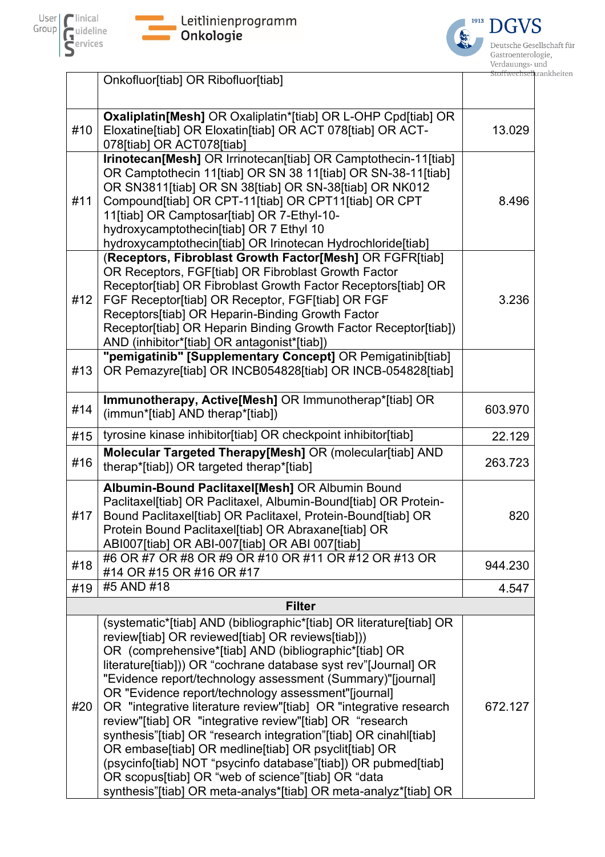![](_page_12_Picture_0.jpeg)

 $\mathcal{L}_{\mathcal{A}}$ 

![](_page_12_Picture_1.jpeg)

![](_page_12_Picture_2.jpeg)

|     | Onkofluor[tiab] OR Ribofluor[tiab]                                                                                                                                                                                                                                                                                                                                                                                                                                                                                                                                                                                                                                                                                                                                                                                               | <del>ton wechselk</del> rankr |
|-----|----------------------------------------------------------------------------------------------------------------------------------------------------------------------------------------------------------------------------------------------------------------------------------------------------------------------------------------------------------------------------------------------------------------------------------------------------------------------------------------------------------------------------------------------------------------------------------------------------------------------------------------------------------------------------------------------------------------------------------------------------------------------------------------------------------------------------------|-------------------------------|
|     |                                                                                                                                                                                                                                                                                                                                                                                                                                                                                                                                                                                                                                                                                                                                                                                                                                  |                               |
| #10 | Oxaliplatin[Mesh] OR Oxaliplatin*[tiab] OR L-OHP Cpd[tiab] OR<br>Eloxatine[tiab] OR Eloxatin[tiab] OR ACT 078[tiab] OR ACT-<br>078[tiab] OR ACT078[tiab]                                                                                                                                                                                                                                                                                                                                                                                                                                                                                                                                                                                                                                                                         | 13.029                        |
| #11 | Irinotecan[Mesh] OR Irrinotecan[tiab] OR Camptothecin-11[tiab]<br>OR Camptothecin 11[tiab] OR SN 38 11[tiab] OR SN-38-11[tiab]<br>OR SN3811[tiab] OR SN 38[tiab] OR SN-38[tiab] OR NK012<br>Compound[tiab] OR CPT-11[tiab] OR CPT11[tiab] OR CPT<br>11[tiab] OR Camptosar[tiab] OR 7-Ethyl-10-<br>hydroxycamptothecin[tiab] OR 7 Ethyl 10<br>hydroxycamptothecin[tiab] OR Irinotecan Hydrochloride[tiab]                                                                                                                                                                                                                                                                                                                                                                                                                         | 8.496                         |
| #12 | (Receptors, Fibroblast Growth Factor[Mesh] OR FGFR[tiab]<br>OR Receptors, FGF[tiab] OR Fibroblast Growth Factor<br>Receptor[tiab] OR Fibroblast Growth Factor Receptors[tiab] OR<br>FGF Receptor[tiab] OR Receptor, FGF[tiab] OR FGF<br>Receptors[tiab] OR Heparin-Binding Growth Factor<br>Receptor[tiab] OR Heparin Binding Growth Factor Receptor[tiab])<br>AND (inhibitor*[tiab] OR antagonist*[tiab])                                                                                                                                                                                                                                                                                                                                                                                                                       | 3.236                         |
| #13 | "pemigatinib" [Supplementary Concept] OR Pemigatinib[tiab]<br>OR Pemazyre[tiab] OR INCB054828[tiab] OR INCB-054828[tiab]                                                                                                                                                                                                                                                                                                                                                                                                                                                                                                                                                                                                                                                                                                         |                               |
| #14 | Immunotherapy, Active[Mesh] OR Immunotherap*[tiab] OR<br>(immun*[tiab] AND therap*[tiab])                                                                                                                                                                                                                                                                                                                                                                                                                                                                                                                                                                                                                                                                                                                                        | 603.970                       |
| #15 | tyrosine kinase inhibitor[tiab] OR checkpoint inhibitor[tiab]                                                                                                                                                                                                                                                                                                                                                                                                                                                                                                                                                                                                                                                                                                                                                                    | 22.129                        |
| #16 | Molecular Targeted Therapy[Mesh] OR (molecular[tiab] AND<br>therap*[tiab]) OR targeted therap*[tiab]                                                                                                                                                                                                                                                                                                                                                                                                                                                                                                                                                                                                                                                                                                                             | 263.723                       |
| #17 | Albumin-Bound Paclitaxel[Mesh] OR Albumin Bound<br>Paclitaxel[tiab] OR Paclitaxel, Albumin-Bound[tiab] OR Protein-<br>Bound Paclitaxel[tiab] OR Paclitaxel, Protein-Bound[tiab] OR<br>Protein Bound Paclitaxel[tiab] OR Abraxane[tiab] OR<br>ABI007[tiab] OR ABI-007[tiab] OR ABI 007[tiab]                                                                                                                                                                                                                                                                                                                                                                                                                                                                                                                                      | 820                           |
| #18 | #6 OR #7 OR #8 OR #9 OR #10 OR #11 OR #12 OR #13 OR<br>#14 OR #15 OR #16 OR #17                                                                                                                                                                                                                                                                                                                                                                                                                                                                                                                                                                                                                                                                                                                                                  | 944.230                       |
| #19 | #5 AND #18                                                                                                                                                                                                                                                                                                                                                                                                                                                                                                                                                                                                                                                                                                                                                                                                                       | 4.547                         |
|     | <b>Filter</b>                                                                                                                                                                                                                                                                                                                                                                                                                                                                                                                                                                                                                                                                                                                                                                                                                    |                               |
| #20 | (systematic*[tiab] AND (bibliographic*[tiab] OR literature[tiab] OR<br>review[tiab] OR reviewed[tiab] OR reviews[tiab]))<br>OR (comprehensive*[tiab] AND (bibliographic*[tiab] OR<br>literature[tiab])) OR "cochrane database syst rev"[Journal] OR<br>"Evidence report/technology assessment (Summary)"[journal]<br>OR "Evidence report/technology assessment"[journal]<br>OR "integrative literature review"[tiab] OR "integrative research<br>review"[tiab] OR "integrative review"[tiab] OR "research<br>synthesis"[tiab] OR "research integration"[tiab] OR cinahl[tiab]<br>OR embase[tiab] OR medline[tiab] OR psyclit[tiab] OR<br>(psycinfo[tiab] NOT "psycinfo database"[tiab]) OR pubmed[tiab]<br>OR scopus[tiab] OR "web of science"[tiab] OR "data<br>synthesis"[tiab] OR meta-analys*[tiab] OR meta-analyz*[tiab] OR | 672.127                       |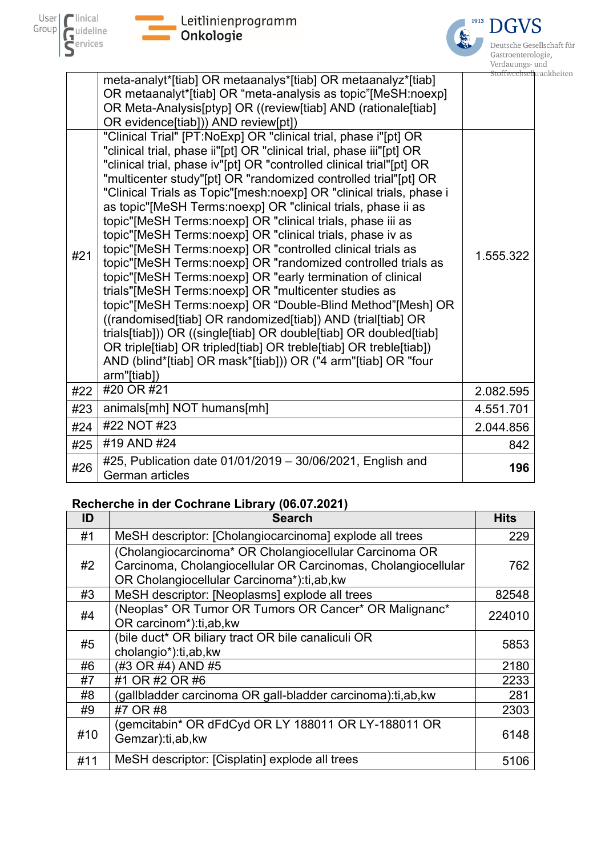![](_page_13_Picture_0.jpeg)

![](_page_13_Picture_1.jpeg)

| Deutsche Gesellschaft für |
|---------------------------|
| Gastroenterologie,        |
| Verdauungs- und           |
| Stoffwechselkrankheiten   |

|     |                                                                                                                                                                                                                                                                                                                                                                                                                                                                                                                                                                                                                                                                                                                                                                                                                                                                                                                                                                                                                                                                                                                                                                                                                                                                                                                                                                                                         | vciuauuiigs- u             |
|-----|---------------------------------------------------------------------------------------------------------------------------------------------------------------------------------------------------------------------------------------------------------------------------------------------------------------------------------------------------------------------------------------------------------------------------------------------------------------------------------------------------------------------------------------------------------------------------------------------------------------------------------------------------------------------------------------------------------------------------------------------------------------------------------------------------------------------------------------------------------------------------------------------------------------------------------------------------------------------------------------------------------------------------------------------------------------------------------------------------------------------------------------------------------------------------------------------------------------------------------------------------------------------------------------------------------------------------------------------------------------------------------------------------------|----------------------------|
| #21 | meta-analyt*[tiab] OR metaanalys*[tiab] OR metaanalyz*[tiab]<br>OR metaanalyt*[tiab] OR "meta-analysis as topic"[MeSH:noexp]<br>OR Meta-Analysis[ptyp] OR ((review[tiab] AND (rationale[tiab]<br>OR evidence[tiab])) AND review[pt])<br>"Clinical Trial" [PT:NoExp] OR "clinical trial, phase i"[pt] OR<br>"clinical trial, phase ii"[pt] OR "clinical trial, phase iii"[pt] OR<br>"clinical trial, phase iv"[pt] OR "controlled clinical trial"[pt] OR<br>"multicenter study"[pt] OR "randomized controlled trial"[pt] OR<br>"Clinical Trials as Topic"[mesh:noexp] OR "clinical trials, phase i<br>as topic"[MeSH Terms:noexp] OR "clinical trials, phase ii as<br>topic"[MeSH Terms:noexp] OR "clinical trials, phase iii as<br>topic"[MeSH Terms:noexp] OR "clinical trials, phase iv as<br>topic"[MeSH Terms:noexp] OR "controlled clinical trials as<br>topic"[MeSH Terms:noexp] OR "randomized controlled trials as<br>topic"[MeSH Terms:noexp] OR "early termination of clinical<br>trials"[MeSH Terms:noexp] OR "multicenter studies as<br>topic"[MeSH Terms:noexp] OR "Double-Blind Method"[Mesh] OR<br>((randomised[tiab] OR randomized[tiab]) AND (trial[tiab] OR<br>trials[tiab])) OR ((single[tiab] OR double[tiab] OR doubled[tiab]<br>OR triple[tiab] OR tripled[tiab] OR treble[tiab] OR treble[tiab])<br>AND (blind*[tiab] OR mask*[tiab])) OR ("4 arm"[tiab] OR "four<br>arm"[tiab]) | Stoffwechsell<br>1.555.322 |
| #22 | #20 OR #21                                                                                                                                                                                                                                                                                                                                                                                                                                                                                                                                                                                                                                                                                                                                                                                                                                                                                                                                                                                                                                                                                                                                                                                                                                                                                                                                                                                              | 2.082.595                  |
| #23 | animals[mh] NOT humans[mh]                                                                                                                                                                                                                                                                                                                                                                                                                                                                                                                                                                                                                                                                                                                                                                                                                                                                                                                                                                                                                                                                                                                                                                                                                                                                                                                                                                              | 4.551.701                  |
| #24 | #22 NOT #23                                                                                                                                                                                                                                                                                                                                                                                                                                                                                                                                                                                                                                                                                                                                                                                                                                                                                                                                                                                                                                                                                                                                                                                                                                                                                                                                                                                             | 2.044.856                  |
| #25 | #19 AND #24                                                                                                                                                                                                                                                                                                                                                                                                                                                                                                                                                                                                                                                                                                                                                                                                                                                                                                                                                                                                                                                                                                                                                                                                                                                                                                                                                                                             | 842                        |
| #26 | #25, Publication date 01/01/2019 - 30/06/2021, English and<br><b>German articles</b>                                                                                                                                                                                                                                                                                                                                                                                                                                                                                                                                                                                                                                                                                                                                                                                                                                                                                                                                                                                                                                                                                                                                                                                                                                                                                                                    | 196                        |

### **Recherche in der Cochrane Library (06.07.2021)**

| ID  | <b>Search</b>                                                                                                                                                        | <b>Hits</b> |
|-----|----------------------------------------------------------------------------------------------------------------------------------------------------------------------|-------------|
| #1  | MeSH descriptor: [Cholangiocarcinoma] explode all trees                                                                                                              | 229         |
| #2  | (Cholangiocarcinoma* OR Cholangiocellular Carcinoma OR<br>Carcinoma, Cholangiocellular OR Carcinomas, Cholangiocellular<br>OR Cholangiocellular Carcinoma*):ti,ab,kw | 762         |
| #3  | MeSH descriptor: [Neoplasms] explode all trees                                                                                                                       | 82548       |
| #4  | (Neoplas* OR Tumor OR Tumors OR Cancer* OR Malignanc*<br>OR carcinom*):ti,ab,kw                                                                                      | 224010      |
| #5  | (bile duct* OR biliary tract OR bile canaliculi OR<br>cholangio*):ti,ab,kw                                                                                           | 5853        |
| #6  | (#3 OR #4) AND #5                                                                                                                                                    | 2180        |
| #7  | #1 OR #2 OR #6                                                                                                                                                       | 2233        |
| #8  | (gallbladder carcinoma OR gall-bladder carcinoma):ti,ab,kw                                                                                                           | 281         |
| #9  | #7 OR #8                                                                                                                                                             | 2303        |
| #10 | (gemcitabin* OR dFdCyd OR LY 188011 OR LY-188011 OR<br>Gemzar):ti,ab,kw                                                                                              | 6148        |
| #11 | MeSH descriptor: [Cisplatin] explode all trees                                                                                                                       | 5106        |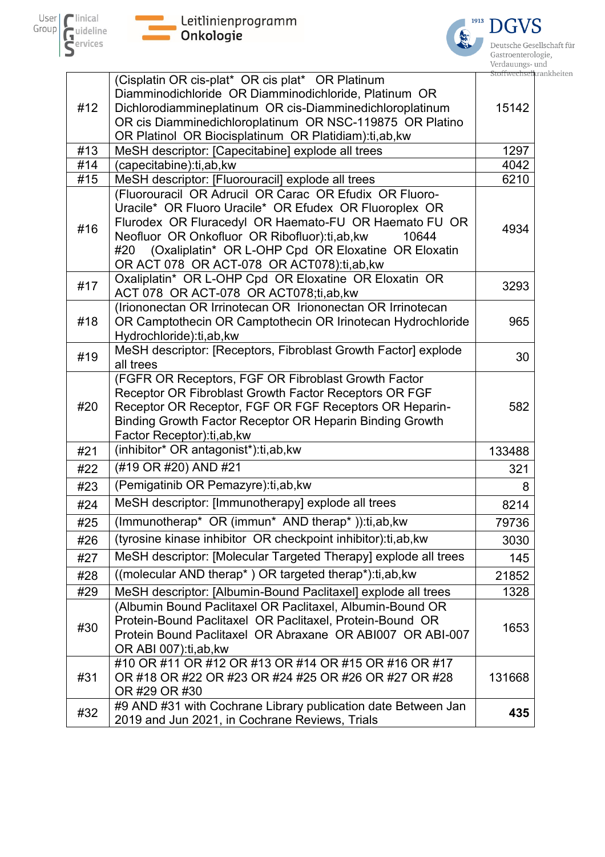![](_page_14_Picture_0.jpeg)

 $\blacksquare$ 

![](_page_14_Picture_1.jpeg)

![](_page_14_Picture_2.jpeg)

|     |                                                                                                                      | Ətüli wecils |
|-----|----------------------------------------------------------------------------------------------------------------------|--------------|
|     | (Cisplatin OR cis-plat* OR cis plat* OR Platinum                                                                     |              |
|     | Diamminodichloride OR Diamminodichloride, Platinum OR                                                                |              |
| #12 | Dichlorodiammineplatinum OR cis-Diamminedichloroplatinum<br>OR cis Diamminedichloroplatinum OR NSC-119875 OR Platino | 15142        |
|     | OR Platinol OR Biocisplatinum OR Platidiam):ti,ab, kw                                                                |              |
| #13 | MeSH descriptor: [Capecitabine] explode all trees                                                                    | 1297         |
| #14 | (capecitabine):ti,ab,kw                                                                                              | 4042         |
| #15 | MeSH descriptor: [Fluorouracil] explode all trees                                                                    | 6210         |
|     | (Fluorouracil OR Adrucil OR Carac OR Efudix OR Fluoro-                                                               |              |
|     | Uracile* OR Fluoro Uracile* OR Efudex OR Fluoroplex OR                                                               |              |
| #16 | Flurodex OR Fluracedyl OR Haemato-FU OR Haemato FU OR                                                                | 4934         |
|     | Neofluor OR Onkofluor OR Ribofluor):ti,ab, kw<br>10644                                                               |              |
|     | (Oxaliplatin* OR L-OHP Cpd OR Eloxatine OR Eloxatin<br>#20                                                           |              |
|     | OR ACT 078 OR ACT-078 OR ACT078):ti,ab,kw                                                                            |              |
| #17 | Oxaliplatin* OR L-OHP Cpd OR Eloxatine OR Eloxatin OR<br>ACT 078 OR ACT-078 OR ACT078;ti,ab,kw                       | 3293         |
|     | (Iriononectan OR Irrinotecan OR Iriononectan OR Irrinotecan                                                          |              |
| #18 | OR Camptothecin OR Camptothecin OR Irinotecan Hydrochloride                                                          | 965          |
|     | Hydrochloride):ti,ab,kw                                                                                              |              |
| #19 | MeSH descriptor: [Receptors, Fibroblast Growth Factor] explode                                                       | 30           |
|     | all trees                                                                                                            |              |
|     | (FGFR OR Receptors, FGF OR Fibroblast Growth Factor<br>Receptor OR Fibroblast Growth Factor Receptors OR FGF         |              |
| #20 | Receptor OR Receptor, FGF OR FGF Receptors OR Heparin-                                                               | 582          |
|     | Binding Growth Factor Receptor OR Heparin Binding Growth                                                             |              |
|     | Factor Receptor): ti, ab, kw                                                                                         |              |
| #21 | (inhibitor* OR antagonist*):ti,ab,kw                                                                                 | 133488       |
| #22 | (#19 OR #20) AND #21                                                                                                 | 321          |
| #23 | (Pemigatinib OR Pemazyre): ti, ab, kw                                                                                | 8            |
| #24 | MeSH descriptor: [Immunotherapy] explode all trees                                                                   | 8214         |
| #25 | (Immunotherap* OR (immun* AND therap*)):ti,ab,kw                                                                     | 79736        |
| #26 | (tyrosine kinase inhibitor OR checkpoint inhibitor): ti, ab, kw                                                      | 3030         |
| #27 | MeSH descriptor: [Molecular Targeted Therapy] explode all trees                                                      | 145          |
| #28 | ((molecular AND therap*) OR targeted therap*):ti,ab, kw                                                              | 21852        |
| #29 | MeSH descriptor: [Albumin-Bound Paclitaxel] explode all trees                                                        | 1328         |
|     | (Albumin Bound Paclitaxel OR Paclitaxel, Albumin-Bound OR                                                            |              |
| #30 | Protein-Bound Paclitaxel OR Paclitaxel, Protein-Bound OR                                                             | 1653         |
|     | Protein Bound Paclitaxel OR Abraxane OR ABI007 OR ABI-007                                                            |              |
|     | OR ABI 007):ti,ab, kw                                                                                                |              |
|     | #10 OR #11 OR #12 OR #13 OR #14 OR #15 OR #16 OR #17                                                                 |              |
| #31 | OR #18 OR #22 OR #23 OR #24 #25 OR #26 OR #27 OR #28<br>OR #29 OR #30                                                | 131668       |
|     | #9 AND #31 with Cochrane Library publication date Between Jan                                                        |              |
| #32 | 2019 and Jun 2021, in Cochrane Reviews, Trials                                                                       | 435          |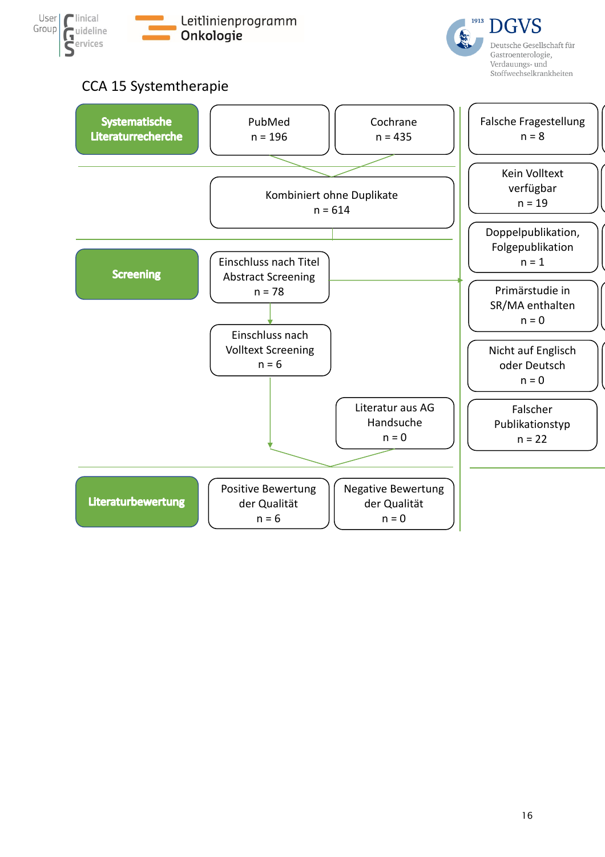![](_page_15_Picture_0.jpeg)

![](_page_15_Picture_1.jpeg)

### CCA 15 Systemtherapie

<span id="page-15-0"></span>![](_page_15_Figure_3.jpeg)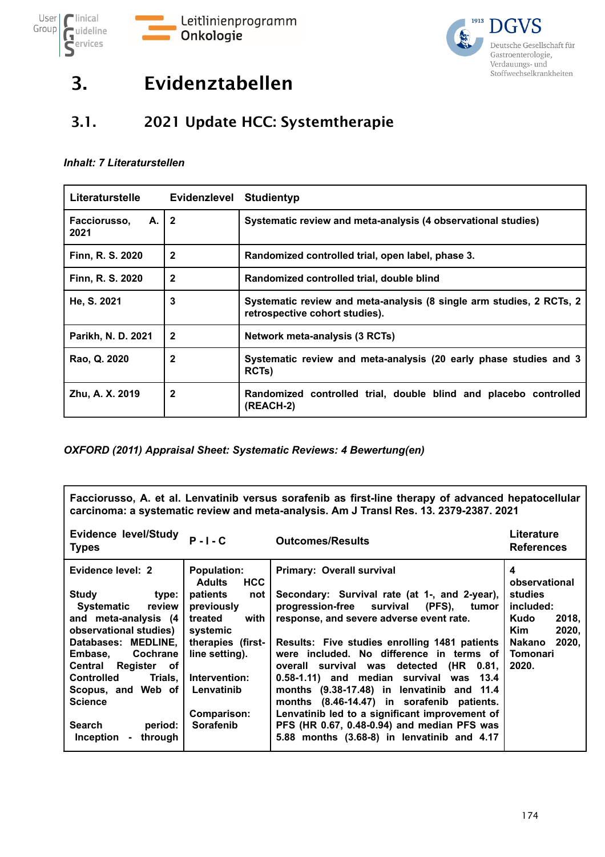![](_page_16_Picture_0.jpeg)

![](_page_16_Picture_1.jpeg)

# 3. Evidenztabellen

### 3.1. 2021 Update HCC: Systemtherapie

#### *Inhalt: 7 Literaturstellen*

| Literaturstelle              | Evidenzlevel   | <b>Studientyp</b>                                                                                      |
|------------------------------|----------------|--------------------------------------------------------------------------------------------------------|
| Facciorusso,<br>A. I<br>2021 | l 2            | Systematic review and meta-analysis (4 observational studies)                                          |
| Finn, R. S. 2020             | $\mathbf{2}$   | Randomized controlled trial, open label, phase 3.                                                      |
| Finn, R. S. 2020             | $\mathbf{2}$   | Randomized controlled trial, double blind                                                              |
| He, S. 2021                  | 3              | Systematic review and meta-analysis (8 single arm studies, 2 RCTs, 2<br>retrospective cohort studies). |
| Parikh, N. D. 2021           | $\overline{2}$ | Network meta-analysis (3 RCTs)                                                                         |
| Rao, Q. 2020                 | $\mathbf{2}$   | Systematic review and meta-analysis (20 early phase studies and 3<br>RCTs)                             |
| Zhu, A. X. 2019              | $\mathbf{2}$   | Randomized controlled trial, double blind and placebo controlled<br>(REACH-2)                          |

*OXFORD (2011) Appraisal Sheet: Systematic Reviews: 4 Bewertung(en)*

**Facciorusso, A. et al. Lenvatinib versus sorafenib as first-line therapy of advanced hepatocellular carcinoma: a systematic review and meta-analysis. Am J Transl Res. 13. 2379-2387. 2021**

| <b>Evidence level/Study</b><br><b>Types</b>                                                                                                                                                                                                                                                                                                                  | $P - I - C$                                                                                                                                                                                                                | <b>Outcomes/Results</b>                                                                                                                                                                                                                                                                                                                                                                                                                                                                                                                                                                                               | Literature<br><b>References</b>                                                                                                   |
|--------------------------------------------------------------------------------------------------------------------------------------------------------------------------------------------------------------------------------------------------------------------------------------------------------------------------------------------------------------|----------------------------------------------------------------------------------------------------------------------------------------------------------------------------------------------------------------------------|-----------------------------------------------------------------------------------------------------------------------------------------------------------------------------------------------------------------------------------------------------------------------------------------------------------------------------------------------------------------------------------------------------------------------------------------------------------------------------------------------------------------------------------------------------------------------------------------------------------------------|-----------------------------------------------------------------------------------------------------------------------------------|
| Evidence level: 2<br><b>Study</b><br>type:<br><b>Systematic</b><br>review I<br>and meta-analysis (4<br>observational studies)<br>Databases: MEDLINE,<br>Cochrane<br>Embase,<br>Register of<br>Central<br><b>Controlled</b><br>Trials. I<br>Scopus, and Web of<br><b>Science</b><br><b>Search</b><br>period:<br><b>Inception</b><br>through<br>$\blacksquare$ | <b>Population:</b><br><b>HCC</b><br><b>Adults</b><br>patients<br>not<br>previously<br>treated<br>with<br>systemic<br>therapies (first-<br>line setting).<br>Intervention:<br>Lenvatinib<br>Comparison:<br><b>Sorafenib</b> | <b>Primary: Overall survival</b><br>Secondary: Survival rate (at 1-, and 2-year),<br>progression-free survival<br>$(PFS)$ ,<br>tumor<br>response, and severe adverse event rate.<br>Results: Five studies enrolling 1481 patients<br>were included. No difference in terms of<br>(HR<br>0.81,<br>overall survival was detected<br>0.58-1.11) and median survival was 13.4<br>months (9.38-17.48) in lenvatinib and 11.4<br>months (8.46-14.47) in sorafenib patients.<br>Lenvatinib led to a significant improvement of<br>PFS (HR 0.67, 0.48-0.94) and median PFS was<br>5.88 months (3.68-8) in lenvatinib and 4.17 | 4<br>observational<br>studies<br>included:<br>2018,<br>Kudo<br><b>Kim</b><br>2020,<br><b>Nakano</b><br>2020,<br>Tomonari<br>2020. |
|                                                                                                                                                                                                                                                                                                                                                              |                                                                                                                                                                                                                            |                                                                                                                                                                                                                                                                                                                                                                                                                                                                                                                                                                                                                       |                                                                                                                                   |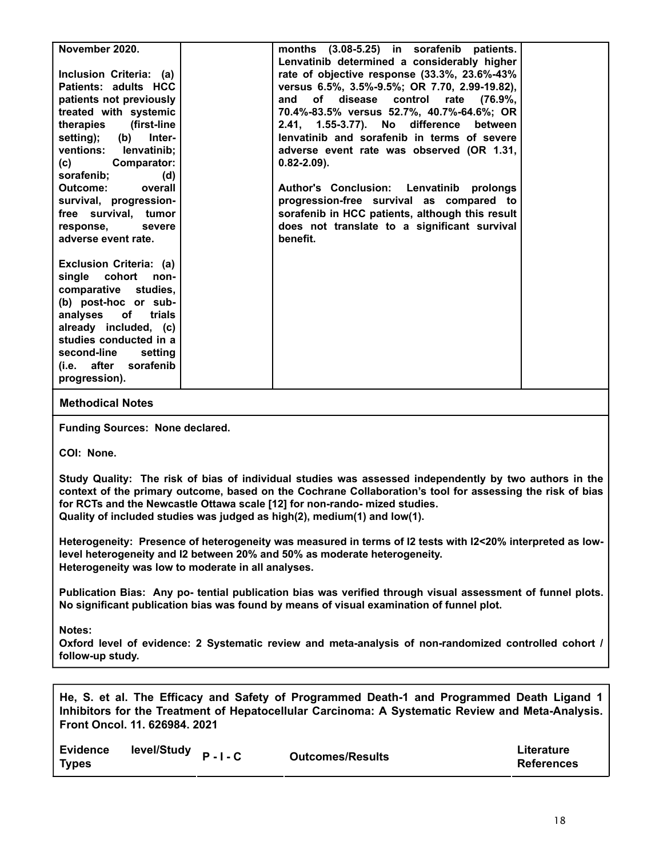| November 2020.            | months (3.08-5.25) in sorafenib patients.       |  |
|---------------------------|-------------------------------------------------|--|
|                           | Lenvatinib determined a considerably higher     |  |
| Inclusion Criteria: (a)   | rate of objective response (33.3%, 23.6%-43%    |  |
| Patients: adults HCC      | versus 6.5%, 3.5%-9.5%; OR 7.70, 2.99-19.82),   |  |
| patients not previously   | (76.9%,<br>and<br>of disease control rate       |  |
| treated with systemic     | 70.4%-83.5% versus 52.7%, 40.7%-64.6%; OR       |  |
| therapies (first-line     | 2.41, 1.55-3.77). No difference<br>between      |  |
| setting); (b) Inter-      | lenvatinib and sorafenib in terms of severe     |  |
| ventions: lenvatinib;     | adverse event rate was observed (OR 1.31,       |  |
| <b>Comparator:</b><br>(c) | $0.82 - 2.09$ .                                 |  |
| sorafenib;<br>(d)         |                                                 |  |
| Outcome:<br>overall       | Author's Conclusion: Lenvatinib prolongs        |  |
| survival, progression-    | progression-free survival as compared to        |  |
| free survival, tumor      | sorafenib in HCC patients, although this result |  |
| response,<br>severe       | does not translate to a significant survival    |  |
| adverse event rate.       | benefit.                                        |  |
|                           |                                                 |  |
| Exclusion Criteria: (a)   |                                                 |  |
| single cohort<br>non-     |                                                 |  |
| comparative studies,      |                                                 |  |
| (b) post-hoc or sub-      |                                                 |  |
| analyses of trials        |                                                 |  |
| already included, (c)     |                                                 |  |
| studies conducted in a    |                                                 |  |
| second-line<br>setting    |                                                 |  |
| (i.e. after<br>sorafenib  |                                                 |  |
| progression).             |                                                 |  |
|                           |                                                 |  |

**Funding Sources: None declared.**

**COI: None.**

**Study Quality: The risk of bias of individual studies was assessed independently by two authors in the context of the primary outcome, based on the Cochrane Collaboration's tool for assessing the risk of bias for RCTs and the Newcastle Ottawa scale [12] for non-rando- mized studies. Quality of included studies was judged as high(2), medium(1) and low(1).**

**Heterogeneity: Presence of heterogeneity was measured in terms of I2 tests with I2<20% interpreted as lowlevel heterogeneity and I2 between 20% and 50% as moderate heterogeneity. Heterogeneity was low to moderate in all analyses.**

**Publication Bias: Any po- tential publication bias was verified through visual assessment of funnel plots. No significant publication bias was found by means of visual examination of funnel plot.**

**Notes:**

**Oxford level of evidence: 2 Systematic review and meta-analysis of non-randomized controlled cohort / follow-up study.**

**He, S. et al. The Efficacy and Safety of Programmed Death-1 and Programmed Death Ligand 1 Inhibitors for the Treatment of Hepatocellular Carcinoma: A Systematic Review and Meta-Analysis. Front Oncol. 11. 626984. 2021**

| <b>Evidence</b> | level/Study <sub>P-I-C</sub> |                         | Literature        |
|-----------------|------------------------------|-------------------------|-------------------|
| <b>Types</b>    |                              | <b>Outcomes/Results</b> | <b>References</b> |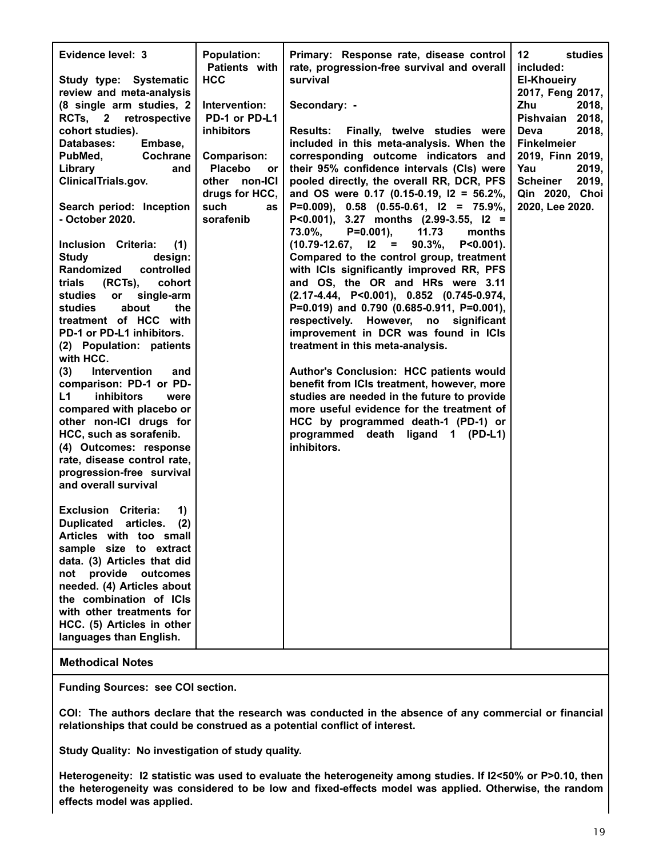| Evidence level: 3<br>Study type: Systematic                                                                                                                                                                                                                                                                                                                                                                                                                                                                                                                                                                                                                                                                                                               | <b>Population:</b><br>Patients with<br><b>HCC</b>                                                                                                                     | Primary: Response rate, disease control<br>rate, progression-free survival and overall<br>survival                                                                                                                                                                                                                                                                                                                                                                                                                                                                                                                                                                                                                                                                                                                                                                                                                                                                                                                                                                                                           | 12<br>studies<br>included:<br><b>El-Khoueiry</b>                                                                                                                                                |
|-----------------------------------------------------------------------------------------------------------------------------------------------------------------------------------------------------------------------------------------------------------------------------------------------------------------------------------------------------------------------------------------------------------------------------------------------------------------------------------------------------------------------------------------------------------------------------------------------------------------------------------------------------------------------------------------------------------------------------------------------------------|-----------------------------------------------------------------------------------------------------------------------------------------------------------------------|--------------------------------------------------------------------------------------------------------------------------------------------------------------------------------------------------------------------------------------------------------------------------------------------------------------------------------------------------------------------------------------------------------------------------------------------------------------------------------------------------------------------------------------------------------------------------------------------------------------------------------------------------------------------------------------------------------------------------------------------------------------------------------------------------------------------------------------------------------------------------------------------------------------------------------------------------------------------------------------------------------------------------------------------------------------------------------------------------------------|-------------------------------------------------------------------------------------------------------------------------------------------------------------------------------------------------|
| review and meta-analysis<br>(8 single arm studies, 2<br>RCTs, 2 retrospective<br>cohort studies).<br>Databases:<br>Embase,<br>Cochrane<br>PubMed,<br>Library<br>and<br>ClinicalTrials.gov.<br>Search period: Inception<br>- October 2020.<br>Inclusion Criteria:<br>(1)<br><b>Study</b><br>design:<br>Randomized<br>controlled<br>trials<br>$(RCTs)$ ,<br>cohort<br>single-arm<br>studies<br>or<br>about<br>the<br>studies<br>treatment of HCC with<br>PD-1 or PD-L1 inhibitors.<br>(2) Population: patients<br>with HCC.<br>Intervention<br>(3)<br>and<br>comparison: PD-1 or PD-<br>inhibitors<br>L1<br>were<br>compared with placebo or<br>other non-ICI drugs for<br>HCC, such as sorafenib.<br>(4) Outcomes: response<br>rate, disease control rate, | Intervention:<br>PD-1 or PD-L1<br>inhibitors<br><b>Comparison:</b><br><b>Placebo</b><br>or <sub>1</sub><br>other non-ICI<br>drugs for HCC,<br>such<br>as<br>sorafenib | Secondary: -<br>Results: Finally, twelve studies were<br>included in this meta-analysis. When the<br>corresponding outcome indicators and<br>their 95% confidence intervals (Cls) were<br>pooled directly, the overall RR, DCR, PFS<br>and OS were 0.17 (0.15-0.19, I2 = 56.2%,<br>$P=0.009$ , 0.58 (0.55-0.61, $12 = 75.9\%$ ,<br>P<0.001), 3.27 months $(2.99-3.55, 12 =$<br>73.0%,<br>$P=0.001$ ),<br>11.73<br>months<br>$(10.79-12.67, 12 =$<br>$90.3\%$<br>$P < 0.001$ ).<br>Compared to the control group, treatment<br>with ICIs significantly improved RR, PFS<br>and OS, the OR and HRs were 3.11<br>$(2.17-4.44, P<0.001), 0.852 (0.745-0.974,$<br>P=0.019) and 0.790 (0.685-0.911, P=0.001),<br>respectively. However, no significant<br>improvement in DCR was found in ICIs<br>treatment in this meta-analysis.<br>Author's Conclusion: HCC patients would<br>benefit from ICIs treatment, however, more<br>studies are needed in the future to provide<br>more useful evidence for the treatment of<br>HCC by programmed death-1 (PD-1) or<br>programmed death ligand 1 (PD-L1)<br>inhibitors. | 2017, Feng 2017,<br>Zhu<br>2018,<br>Pishvaian 2018,<br>2018,<br>Deva<br><b>Finkelmeier</b><br>2019, Finn 2019,<br>Yau<br>2019,<br><b>Scheiner</b><br>2019,<br>Qin 2020, Choi<br>2020, Lee 2020. |
| progression-free survival<br>and overall survival<br><b>Exclusion</b><br>Criteria:<br>1)<br>(2)<br><b>Duplicated</b><br>articles.<br>Articles with too small<br>sample size to extract<br>data. (3) Articles that did<br>provide<br>outcomes<br>not<br>needed. (4) Articles about<br>the combination of ICIs<br>with other treatments for<br>HCC. (5) Articles in other<br>languages than English.                                                                                                                                                                                                                                                                                                                                                        |                                                                                                                                                                       |                                                                                                                                                                                                                                                                                                                                                                                                                                                                                                                                                                                                                                                                                                                                                                                                                                                                                                                                                                                                                                                                                                              |                                                                                                                                                                                                 |

**Funding Sources: see COI section.**

**COI: The authors declare that the research was conducted in the absence of any commercial or financial relationships that could be construed as a potential conflict of interest.**

**Study Quality: No investigation of study quality.**

**Heterogeneity: I2 statistic was used to evaluate the heterogeneity among studies. If I2<50% or P>0.10, then the heterogeneity was considered to be low and fixed-effects model was applied. Otherwise, the random effects model was applied.**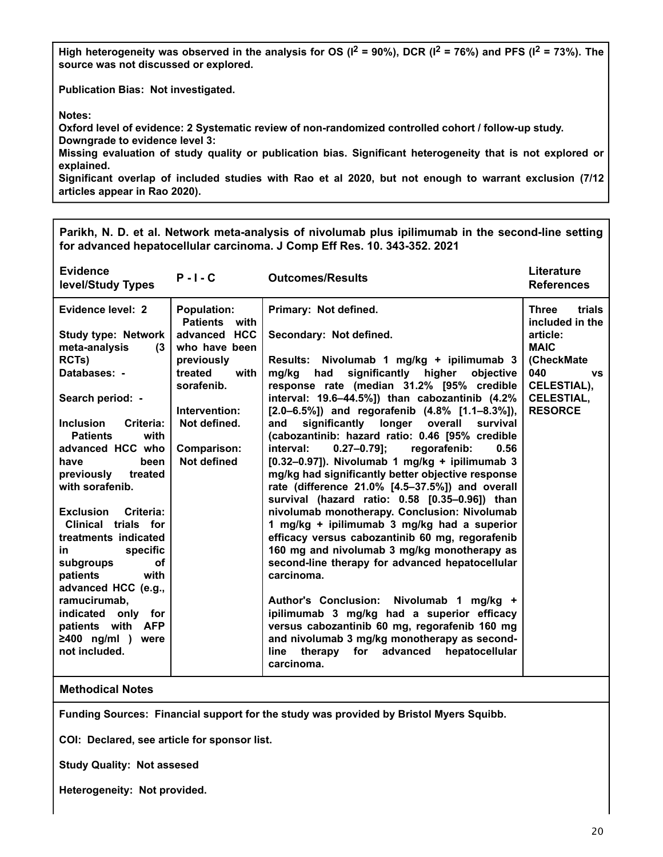High heterogeneity was observed in the analysis for OS ( $I^2$  = 90%), DCR ( $I^2$  = 76%) and PFS ( $I^2$  = 73%). The **source was not discussed or explored.**

**Publication Bias: Not investigated.**

**Notes:**

**Oxford level of evidence: 2 Systematic review of non-randomized controlled cohort / follow-up study. Downgrade to evidence level 3:**

**Missing evaluation of study quality or publication bias. Significant heterogeneity that is not explored or explained.**

**Significant overlap of included studies with Rao et al 2020, but not enough to warrant exclusion (7/12 articles appear in Rao 2020).**

**Parikh, N. D. et al. Network meta-analysis of nivolumab plus ipilimumab in the second-line setting for advanced hepatocellular carcinoma. J Comp Eff Res. 10. 343-352. 2021**

| <b>Evidence</b><br>level/Study Types                        | $P - I - C$                                | <b>Outcomes/Results</b>                                                                                  | Literature<br><b>References</b>           |
|-------------------------------------------------------------|--------------------------------------------|----------------------------------------------------------------------------------------------------------|-------------------------------------------|
| Evidence level: 2                                           | <b>Population:</b><br><b>Patients</b> with | Primary: Not defined.                                                                                    | <b>Three</b><br>trials<br>included in the |
| <b>Study type: Network</b><br>meta-analysis<br>$\mathbf{r}$ | advanced HCC<br>who have been              | Secondary: Not defined.                                                                                  | article:<br><b>MAIC</b>                   |
| RCTs)                                                       | previously                                 | Results: Nivolumab 1 mg/kg + ipilimumab 3                                                                | (CheckMate                                |
| Databases: -                                                | treated<br>with<br>sorafenib.              | significantly higher objective<br>mg/kg had<br>response rate (median 31.2% [95% credible                 | 040<br><b>VS</b><br>CELESTIAL),           |
| Search period: -                                            | Intervention:                              | interval: 19.6-44.5%]) than cabozantinib (4.2%<br>$[2.0-6.5\%]$ and regorafenib $(4.8\%$ $[1.1-8.3\%]$ , | CELESTIAL,<br><b>RESORCE</b>              |
| <b>Inclusion</b><br>Criteria:<br><b>Patients</b><br>with    | Not defined.                               | significantly<br>longer<br>overall<br>survival<br>and<br>(cabozantinib: hazard ratio: 0.46 [95% credible |                                           |
| advanced HCC who                                            | <b>Comparison:</b>                         | interval:<br>$0.27 - 0.79$ ];<br>regorafenib:<br>0.56                                                    |                                           |
| have<br>been                                                | <b>Not defined</b>                         | $[0.32-0.97]$ ). Nivolumab 1 mg/kg + ipilimumab 3                                                        |                                           |
| treated<br>previously                                       |                                            | mg/kg had significantly better objective response                                                        |                                           |
| with sorafenib.                                             |                                            | rate (difference 21.0% [4.5-37.5%]) and overall                                                          |                                           |
| <b>Exclusion</b><br>Criteria:                               |                                            | survival (hazard ratio: 0.58 [0.35-0.96]) than<br>nivolumab monotherapy. Conclusion: Nivolumab           |                                           |
| Clinical trials for                                         |                                            | 1 mg/kg + ipilimumab 3 mg/kg had a superior                                                              |                                           |
| treatments indicated                                        |                                            | efficacy versus cabozantinib 60 mg, regorafenib                                                          |                                           |
| specific<br>in                                              |                                            | 160 mg and nivolumab 3 mg/kg monotherapy as                                                              |                                           |
| subgroups<br>οf                                             |                                            | second-line therapy for advanced hepatocellular                                                          |                                           |
| patients<br>with                                            |                                            | carcinoma.                                                                                               |                                           |
| advanced HCC (e.g.,                                         |                                            |                                                                                                          |                                           |
| ramucirumab,                                                |                                            | <b>Author's Conclusion:</b><br>Nivolumab 1 mg/kg +<br>ipilimumab 3 mg/kg had a superior efficacy         |                                           |
| indicated only for<br>patients with AFP                     |                                            | versus cabozantinib 60 mg, regorafenib 160 mg                                                            |                                           |
| $\geq 400$ ng/ml )<br>were                                  |                                            | and nivolumab 3 mg/kg monotherapy as second-                                                             |                                           |
| not included.                                               |                                            | for advanced<br>therapy<br>hepatocellular<br>line<br>carcinoma.                                          |                                           |
|                                                             |                                            |                                                                                                          |                                           |
|                                                             |                                            |                                                                                                          |                                           |

#### **Methodical Notes**

**Funding Sources: Financial support for the study was provided by Bristol Myers Squibb.**

**COI: Declared, see article for sponsor list.**

**Study Quality: Not assesed**

**Heterogeneity: Not provided.**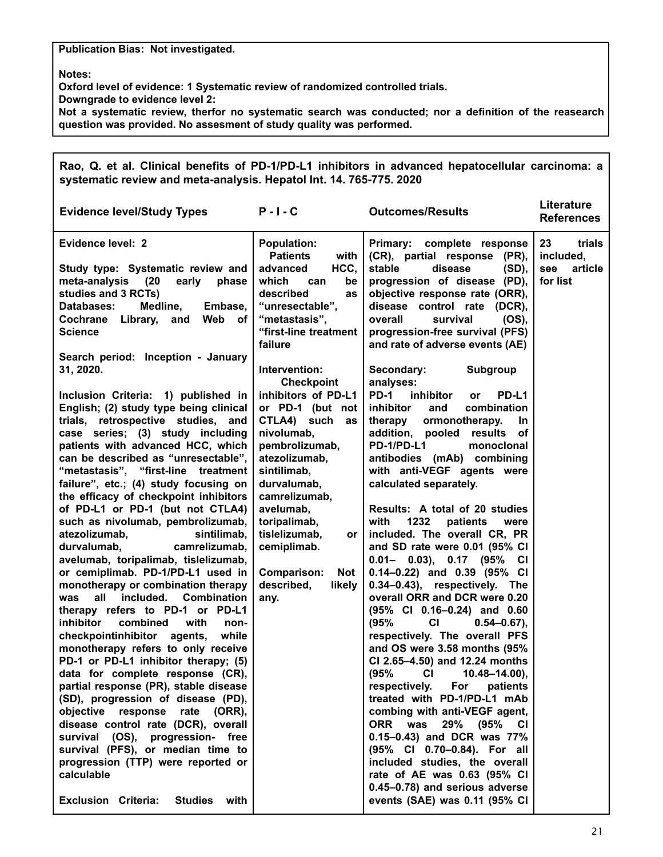#### **Publication Bias: Not investigated.**

**Notes:**

п

**Oxford level of evidence: 1 Systematic review of randomized controlled trials.**

**Downgrade to evidence level 2:**

**Not a systematic review, therfor no systematic search was conducted; nor a definition of the reasearch question was provided. No assesment of study quality was performed.**

| Rao, Q. et al. Clinical benefits of PD-1/PD-L1 inhibitors in advanced hepatocellular carcinoma: a<br>systematic review and meta-analysis. Hepatol Int. 14. 765-775. 2020                                                                                                                                                                                                                                                                                                                                                                                                                                                                                                                                                                                                                                                                                                                                                                                                                                                                                                                                                                                         |                                                                                                                                                                                                                                                                                                                                               |                                                                                                                                                                                                                                                                                                                                                                                                                                                                                                                                                                                                                                                                                                                                                                                                                                                                                                                                                                                                                                 |                                                         |  |  |
|------------------------------------------------------------------------------------------------------------------------------------------------------------------------------------------------------------------------------------------------------------------------------------------------------------------------------------------------------------------------------------------------------------------------------------------------------------------------------------------------------------------------------------------------------------------------------------------------------------------------------------------------------------------------------------------------------------------------------------------------------------------------------------------------------------------------------------------------------------------------------------------------------------------------------------------------------------------------------------------------------------------------------------------------------------------------------------------------------------------------------------------------------------------|-----------------------------------------------------------------------------------------------------------------------------------------------------------------------------------------------------------------------------------------------------------------------------------------------------------------------------------------------|---------------------------------------------------------------------------------------------------------------------------------------------------------------------------------------------------------------------------------------------------------------------------------------------------------------------------------------------------------------------------------------------------------------------------------------------------------------------------------------------------------------------------------------------------------------------------------------------------------------------------------------------------------------------------------------------------------------------------------------------------------------------------------------------------------------------------------------------------------------------------------------------------------------------------------------------------------------------------------------------------------------------------------|---------------------------------------------------------|--|--|
| <b>Evidence level/Study Types</b>                                                                                                                                                                                                                                                                                                                                                                                                                                                                                                                                                                                                                                                                                                                                                                                                                                                                                                                                                                                                                                                                                                                                | $P - I - C$                                                                                                                                                                                                                                                                                                                                   | <b>Outcomes/Results</b>                                                                                                                                                                                                                                                                                                                                                                                                                                                                                                                                                                                                                                                                                                                                                                                                                                                                                                                                                                                                         | Literature<br><b>References</b>                         |  |  |
| Evidence level: 2<br>Study type: Systematic review and<br>meta-analysis<br>(20<br>early phase<br>studies and 3 RCTs)<br>Medline,<br>Databases:<br>Embase,<br>Cochrane Library,<br>Web<br>and<br>of I<br><b>Science</b>                                                                                                                                                                                                                                                                                                                                                                                                                                                                                                                                                                                                                                                                                                                                                                                                                                                                                                                                           | <b>Population:</b><br><b>Patients</b><br>with<br>HCC,<br>advanced<br>which<br>be<br>can<br>described<br>as<br>"unresectable",<br>"metastasis",<br>"first-line treatment                                                                                                                                                                       | <b>Primary:</b><br>complete response<br>(CR), partial response (PR),<br>disease<br>stable<br>$(SD)$ ,<br>progression of disease (PD),<br>objective response rate (ORR),<br>disease control rate (DCR),<br>survival<br>(OS),<br>overall<br>progression-free survival (PFS)                                                                                                                                                                                                                                                                                                                                                                                                                                                                                                                                                                                                                                                                                                                                                       | 23<br>trials<br>included,<br>article<br>see<br>for list |  |  |
| Search period: Inception - January<br>31, 2020.<br>Inclusion Criteria: 1) published in<br>English; (2) study type being clinical<br>trials, retrospective studies, and<br>case series; (3) study including<br>patients with advanced HCC, which<br>can be described as "unresectable",<br>"metastasis", "first-line treatment<br>failure", etc.; (4) study focusing on<br>the efficacy of checkpoint inhibitors<br>of PD-L1 or PD-1 (but not CTLA4)<br>such as nivolumab, pembrolizumab,<br>sintilimab,<br>atezolizumab,<br>camrelizumab,<br>durvalumab,<br>avelumab, toripalimab, tislelizumab,<br>or cemiplimab. PD-1/PD-L1 used in<br>monotherapy or combination therapy<br>all<br>included.<br>Combination<br>was<br>therapy refers to PD-1 or PD-L1<br>inhibitor<br>combined<br>with<br>non-<br>checkpointinhibitor agents, while<br>monotherapy refers to only receive<br>PD-1 or PD-L1 inhibitor therapy; (5)<br>data for complete response (CR),<br>partial response (PR), stable disease<br>(SD), progression of disease (PD),<br>objective<br>response<br>rate<br>$(ORR)$ ,<br>disease control rate (DCR), overall<br>survival (OS), progression- free | failure<br>Intervention:<br><b>Checkpoint</b><br>inhibitors of PD-L1<br>or PD-1 (but not<br>CTLA4) such<br>as<br>nivolumab,<br>pembrolizumab,<br>atezolizumab,<br>sintilimab,<br>durvalumab,<br>camrelizumab,<br>avelumab,<br>toripalimab,<br>tislelizumab,<br>or<br>cemiplimab.<br><b>Comparison:</b><br>Not<br>described,<br>likely<br>any. | and rate of adverse events (AE)<br>Subgroup<br>Secondary:<br>analyses:<br><b>PD-1</b><br>inhibitor<br>PD-L1<br><b>or</b><br>inhibitor<br>combination<br>and<br>therapy<br>ormonotherapy.<br><b>In</b><br>addition, pooled results of<br>PD-1/PD-L1<br>monoclonal<br>antibodies (mAb) combining<br>with anti-VEGF agents were<br>calculated separately.<br>Results: A total of 20 studies<br>1232<br>with<br>patients<br>were<br>included. The overall CR, PR<br>and SD rate were 0.01 (95% CI<br>$0.01 - 0.03$ ), $0.17$ (95% CI<br>$0.14 - 0.22$ and $0.39$ (95% CI<br>0.34-0.43), respectively. The<br>overall ORR and DCR were 0.20<br>(95% CI 0.16-0.24) and 0.60<br>(95%<br>СI<br>$0.54 - 0.67$ ,<br>respectively. The overall PFS<br>and OS were 3.58 months (95%<br>CI 2.65-4.50) and 12.24 months<br>(95%<br><b>CI</b><br>$10.48 - 14.00$ ,<br>respectively.<br>For<br>patients<br>treated with PD-1/PD-L1 mAb<br>combing with anti-VEGF agent,<br>29%<br><b>ORR</b><br>was<br>(95%<br>CI<br>0.15-0.43) and DCR was 77% |                                                         |  |  |
| survival (PFS), or median time to<br>progression (TTP) were reported or<br>calculable<br><b>Studies</b><br><b>Exclusion Criteria:</b><br>with                                                                                                                                                                                                                                                                                                                                                                                                                                                                                                                                                                                                                                                                                                                                                                                                                                                                                                                                                                                                                    |                                                                                                                                                                                                                                                                                                                                               | (95% CI 0.70-0.84). For all<br>included studies, the overall<br>rate of AE was 0.63 (95% CI<br>0.45-0.78) and serious adverse<br>events (SAE) was 0.11 (95% CI                                                                                                                                                                                                                                                                                                                                                                                                                                                                                                                                                                                                                                                                                                                                                                                                                                                                  |                                                         |  |  |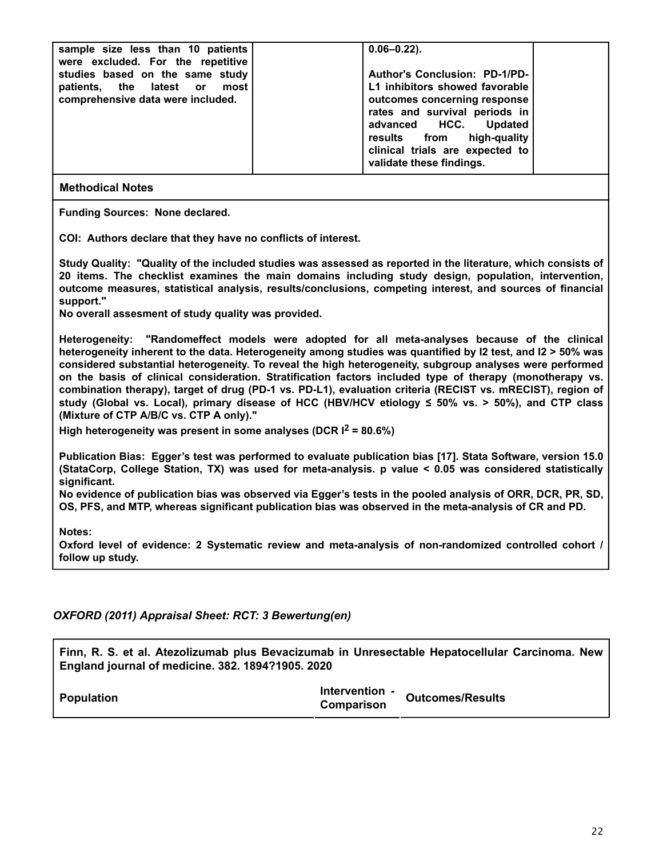| sample size less than 10 patients<br>were excluded. For the repetitive | $0.06 - 0.22$ ).                     |  |
|------------------------------------------------------------------------|--------------------------------------|--|
| studies based on the same study                                        | <b>Author's Conclusion: PD-1/PD-</b> |  |
| patients, the latest or most                                           | L1 inhibitors showed favorable       |  |
| comprehensive data were included.                                      | outcomes concerning response         |  |
|                                                                        | rates and survival periods in        |  |
|                                                                        | advanced HCC. Updated                |  |
|                                                                        | results from high-quality            |  |
|                                                                        | clinical trials are expected to      |  |
|                                                                        | validate these findings.             |  |
|                                                                        |                                      |  |

**Funding Sources: None declared.**

**COI: Authors declare that they have no conflicts of interest.**

**Study Quality: "Quality of the included studies was assessed as reported in the literature, which consists of 20 items. The checklist examines the main domains including study design, population, intervention, outcome measures, statistical analysis, results/conclusions, competing interest, and sources of financial support."**

**No overall assesment of study quality was provided.**

**Heterogeneity: "Randomeffect models were adopted for all meta-analyses because of the clinical heterogeneity inherent to the data. Heterogeneity among studies was quantified by I2 test, and I2 > 50% was considered substantial heterogeneity. To reveal the high heterogeneity, subgroup analyses were performed on the basis of clinical consideration. Stratification factors included type of therapy (monotherapy vs. combination therapy), target of drug (PD-1 vs. PD-L1), evaluation criteria (RECIST vs. mRECIST), region of study (Global vs. Local), primary disease of HCC (HBV/HCV etiology ≤ 50% vs. > 50%), and CTP class (Mixture of CTP A/B/C vs. CTP A only)."**

**High heterogeneity was present in some analyses (DCR I2 = 80.6%)**

**Publication Bias: Egger's test was performed to evaluate publication bias [17]. Stata Software, version 15.0 (StataCorp, College Station, TX) was used for meta-analysis. p value < 0.05 was considered statistically significant.**

**No evidence of publication bias was observed via Egger's tests in the pooled analysis of ORR, DCR, PR, SD, OS, PFS, and MTP, whereas significant publication bias was observed in the meta-analysis of CR and PD.**

**Notes:**

**Oxford level of evidence: 2 Systematic review and meta-analysis of non-randomized controlled cohort / follow up study.**

*OXFORD (2011) Appraisal Sheet: RCT: 3 Bewertung(en)*

**Finn, R. S. et al. Atezolizumab plus Bevacizumab in Unresectable Hepatocellular Carcinoma. New England journal of medicine. 382. 1894?1905. 2020**

|                   | Intervention - | <b>Outcomes/Results</b> |
|-------------------|----------------|-------------------------|
| <b>Population</b> | Comparison     |                         |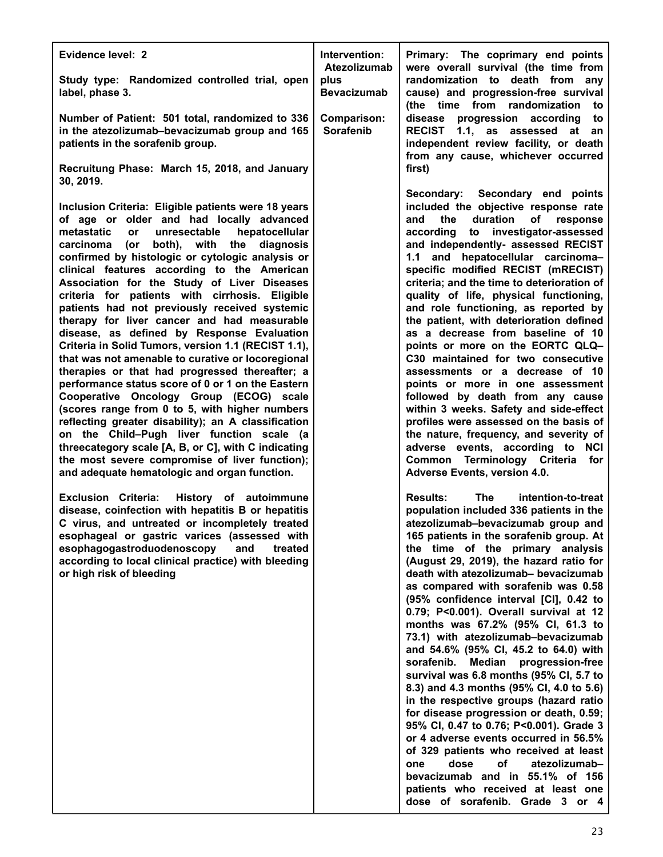| Evidence level: 2<br>Study type: Randomized controlled trial, open                                                                                                                                                                                                                                                                                                                                                                                                                                                                                                                                                                                                                                                                                                                                                                                                                                                                                                                                                                                                                                                                                                                                                                                                                                                                                                                                                                                                                                      | Intervention:<br>Atezolizumab<br>plus          | Primary: The coprimary end points<br>were overall survival (the time from<br>randomization to death from any                                                                                                                                                                                                                                                                                                                                                                                                                                                                                                                                                                                                                                                                                                                                                                                                                                                                                                                                                                                                                                                                                                                                                                                                                                                                                                                                                                                                                                                                                                  |
|---------------------------------------------------------------------------------------------------------------------------------------------------------------------------------------------------------------------------------------------------------------------------------------------------------------------------------------------------------------------------------------------------------------------------------------------------------------------------------------------------------------------------------------------------------------------------------------------------------------------------------------------------------------------------------------------------------------------------------------------------------------------------------------------------------------------------------------------------------------------------------------------------------------------------------------------------------------------------------------------------------------------------------------------------------------------------------------------------------------------------------------------------------------------------------------------------------------------------------------------------------------------------------------------------------------------------------------------------------------------------------------------------------------------------------------------------------------------------------------------------------|------------------------------------------------|---------------------------------------------------------------------------------------------------------------------------------------------------------------------------------------------------------------------------------------------------------------------------------------------------------------------------------------------------------------------------------------------------------------------------------------------------------------------------------------------------------------------------------------------------------------------------------------------------------------------------------------------------------------------------------------------------------------------------------------------------------------------------------------------------------------------------------------------------------------------------------------------------------------------------------------------------------------------------------------------------------------------------------------------------------------------------------------------------------------------------------------------------------------------------------------------------------------------------------------------------------------------------------------------------------------------------------------------------------------------------------------------------------------------------------------------------------------------------------------------------------------------------------------------------------------------------------------------------------------|
| label, phase 3.<br>Number of Patient: 501 total, randomized to 336<br>in the atezolizumab-bevacizumab group and 165<br>patients in the sorafenib group.<br>Recruitung Phase: March 15, 2018, and January                                                                                                                                                                                                                                                                                                                                                                                                                                                                                                                                                                                                                                                                                                                                                                                                                                                                                                                                                                                                                                                                                                                                                                                                                                                                                                | <b>Bevacizumab</b><br>Comparison:<br>Sorafenib | cause) and progression-free survival<br>(the time from randomization<br>to<br>disease progression according<br>to<br>RECIST 1.1, as assessed at an<br>independent review facility, or death<br>from any cause, whichever occurred<br>first)                                                                                                                                                                                                                                                                                                                                                                                                                                                                                                                                                                                                                                                                                                                                                                                                                                                                                                                                                                                                                                                                                                                                                                                                                                                                                                                                                                   |
| 30, 2019.<br>Inclusion Criteria: Eligible patients were 18 years<br>of age or older and had locally advanced<br>metastatic<br>or<br>unresectable<br>hepatocellular<br>both), with the<br>diagnosis<br>carcinoma<br>(or<br>confirmed by histologic or cytologic analysis or<br>clinical features according to the American<br>Association for the Study of Liver Diseases<br>criteria for patients with cirrhosis. Eligible<br>patients had not previously received systemic<br>therapy for liver cancer and had measurable<br>disease, as defined by Response Evaluation<br>Criteria in Solid Tumors, version 1.1 (RECIST 1.1),<br>that was not amenable to curative or locoregional<br>therapies or that had progressed thereafter; a<br>performance status score of 0 or 1 on the Eastern<br>Cooperative Oncology Group (ECOG) scale<br>(scores range from 0 to 5, with higher numbers<br>reflecting greater disability); an A classification<br>on the Child-Pugh liver function scale (a<br>threecategory scale [A, B, or C], with C indicating<br>the most severe compromise of liver function);<br>and adequate hematologic and organ function.<br><b>Exclusion Criteria:</b><br>History of autoimmune<br>disease, coinfection with hepatitis B or hepatitis<br>C virus, and untreated or incompletely treated<br>esophageal or gastric varices (assessed with<br>esophagogastroduodenoscopy<br>and<br>treated<br>according to local clinical practice) with bleeding<br>or high risk of bleeding |                                                | Secondary: Secondary end points<br>included the objective response rate<br>duration<br>the<br>of<br>response<br>and<br>to investigator-assessed<br>according<br>and independently- assessed RECIST<br>and hepatocellular carcinoma-<br>1.1<br>specific modified RECIST (mRECIST)<br>criteria; and the time to deterioration of<br>quality of life, physical functioning,<br>and role functioning, as reported by<br>the patient, with deterioration defined<br>as a decrease from baseline of 10<br>points or more on the EORTC QLQ-<br>C30 maintained for two consecutive<br>assessments or a decrease of 10<br>points or more in one assessment<br>followed by death from any cause<br>within 3 weeks. Safety and side-effect<br>profiles were assessed on the basis of<br>the nature, frequency, and severity of<br>adverse events, according to NCI<br>Common Terminology Criteria for<br>Adverse Events, version 4.0.<br><b>Results:</b><br>The<br>intention-to-treat<br>population included 336 patients in the<br>atezolizumab-bevacizumab group and<br>165 patients in the sorafenib group. At<br>the time of the primary analysis<br>(August 29, 2019), the hazard ratio for<br>death with atezolizumab- bevacizumab<br>as compared with sorafenib was 0.58<br>(95% confidence interval [CI], 0.42 to<br>0.79; P<0.001). Overall survival at 12<br>months was 67.2% (95% CI, 61.3 to<br>73.1) with atezolizumab-bevacizumab<br>and 54.6% (95% CI, 45.2 to 64.0) with<br>sorafenib.<br>Median progression-free<br>survival was 6.8 months (95% CI, 5.7 to<br>8.3) and 4.3 months (95% CI, 4.0 to 5.6) |
|                                                                                                                                                                                                                                                                                                                                                                                                                                                                                                                                                                                                                                                                                                                                                                                                                                                                                                                                                                                                                                                                                                                                                                                                                                                                                                                                                                                                                                                                                                         |                                                | in the respective groups (hazard ratio<br>for disease progression or death, 0.59;<br>95% CI, 0.47 to 0.76; P<0.001). Grade 3<br>or 4 adverse events occurred in 56.5%<br>of 329 patients who received at least<br>dose<br>atezolizumab-<br>оf<br>one<br>bevacizumab and in 55.1% of 156<br>patients who received at least one<br>dose of sorafenib. Grade 3 or 4                                                                                                                                                                                                                                                                                                                                                                                                                                                                                                                                                                                                                                                                                                                                                                                                                                                                                                                                                                                                                                                                                                                                                                                                                                              |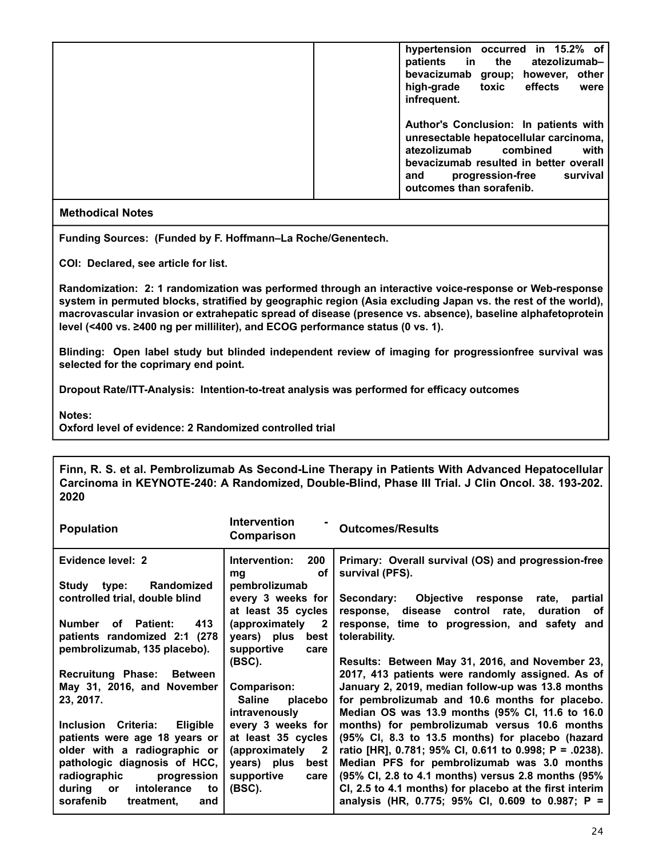| hypertension occurred in 15.2% of<br>patients in the<br>atezolizumab-<br>bevacizumab group; however,<br>other<br>high-grade toxic<br>effects<br>were<br>infrequent.                                                              |
|----------------------------------------------------------------------------------------------------------------------------------------------------------------------------------------------------------------------------------|
| Author's Conclusion: In patients with<br>unresectable hepatocellular carcinoma,<br>atezolizumab<br>combined<br>with<br>bevacizumab resulted in better overall<br>progression-free<br>survival<br>and<br>outcomes than sorafenib. |

**Funding Sources: (Funded by F. Hoffmann–La Roche/Genentech.**

**COI: Declared, see article for list.**

**Randomization: 2: 1 randomization was performed through an interactive voice-response or Web-response system in permuted blocks, stratified by geographic region (Asia excluding Japan vs. the rest of the world), macrovascular invasion or extrahepatic spread of disease (presence vs. absence), baseline alphafetoprotein level (<400 vs. ≥400 ng per milliliter), and ECOG performance status (0 vs. 1).**

**Blinding: Open label study but blinded independent review of imaging for progressionfree survival was selected for the coprimary end point.**

**Dropout Rate/ITT-Analysis: Intention-to-treat analysis was performed for efficacy outcomes**

**Notes:**

**Oxford level of evidence: 2 Randomized controlled trial**

**Finn, R. S. et al. Pembrolizumab As Second-Line Therapy in Patients With Advanced Hepatocellular Carcinoma in KEYNOTE-240: A Randomized, Double-Blind, Phase III Trial. J Clin Oncol. 38. 193-202. 2020**

| <b>Population</b>                      | Intervention<br>Comparison              | <b>Outcomes/Results</b>                                                                       |
|----------------------------------------|-----------------------------------------|-----------------------------------------------------------------------------------------------|
| Evidence level: 2                      | 200<br>Intervention:<br>οf<br>mg        | Primary: Overall survival (OS) and progression-free<br>survival (PFS).                        |
| Randomized<br>Study type:              | pembrolizumab                           |                                                                                               |
| controlled trial, double blind         | every 3 weeks for<br>at least 35 cycles | Objective response rate, partial<br>Secondary:<br>response, disease control rate, duration of |
| 413<br>Number<br>of Patient:           | (approximately 2                        | response, time to progression, and safety and                                                 |
| patients randomized 2:1 (278)          | years) plus<br>best                     | tolerability.                                                                                 |
| pembrolizumab, 135 placebo).           | supportive<br>care                      |                                                                                               |
|                                        | (BSC).                                  | Results: Between May 31, 2016, and November 23,                                               |
| Recruitung Phase: Between              |                                         | 2017, 413 patients were randomly assigned. As of                                              |
| May 31, 2016, and November             | Comparison:                             | January 2, 2019, median follow-up was 13.8 months                                             |
| 23, 2017.                              | <b>Saline</b><br>placebo                | for pembrolizumab and 10.6 months for placebo.                                                |
|                                        | intravenously                           | Median OS was 13.9 months (95% CI, 11.6 to 16.0                                               |
| Inclusion Criteria:<br><b>Eligible</b> | every 3 weeks for                       | months) for pembrolizumab versus 10.6 months                                                  |
| patients were age 18 years or          | at least 35 cycles                      | (95% CI, 8.3 to 13.5 months) for placebo (hazard                                              |
| older with a radiographic or           | (approximately 2                        | ratio [HR], 0.781; 95% CI, 0.611 to 0.998; P = .0238).                                        |
| pathologic diagnosis of HCC,           | years) plus<br>best                     | Median PFS for pembrolizumab was 3.0 months                                                   |
| radiographic<br>progression            | supportive<br>care                      | (95% Cl, 2.8 to 4.1 months) versus 2.8 months (95%                                            |
| intolerance<br>during or<br>to         | (BSC).                                  | CI, 2.5 to 4.1 months) for placebo at the first interim                                       |
| sorafenib<br>treatment,<br>and         |                                         | analysis (HR, 0.775; 95% CI, 0.609 to 0.987; P =                                              |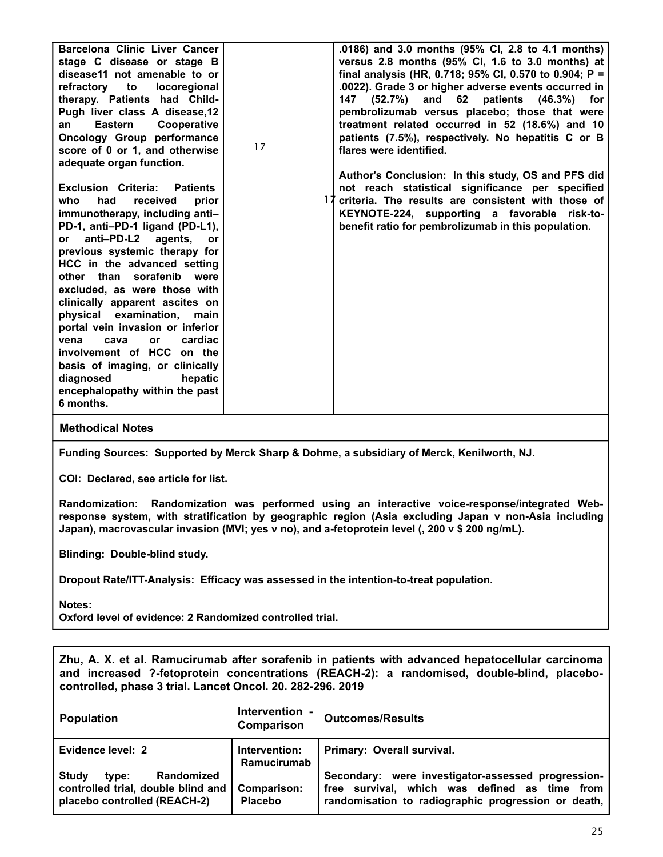| Barcelona Clinic Liver Cancer<br>stage C disease or stage B<br>disease11 not amenable to or<br>refractory to locoregional<br>therapy. Patients had Child-<br>Pugh liver class A disease, 12<br>Cooperative<br><b>Eastern</b><br>an<br>Oncology Group performance<br>score of 0 or 1, and otherwise<br>adequate organ function.                                                                                                                                                                                                                                                         | 17 | .0186) and 3.0 months (95% CI, 2.8 to 4.1 months)<br>versus 2.8 months (95% CI, 1.6 to 3.0 months) at<br>final analysis (HR, 0.718; 95% CI, 0.570 to 0.904; P =<br>.0022). Grade 3 or higher adverse events occurred in<br>(52.7%) and 62 patients (46.3%)<br>147<br>for<br>pembrolizumab versus placebo; those that were<br>treatment related occurred in 52 (18.6%) and 10<br>patients (7.5%), respectively. No hepatitis C or B<br>flares were identified.<br>Author's Conclusion: In this study, OS and PFS did |
|----------------------------------------------------------------------------------------------------------------------------------------------------------------------------------------------------------------------------------------------------------------------------------------------------------------------------------------------------------------------------------------------------------------------------------------------------------------------------------------------------------------------------------------------------------------------------------------|----|---------------------------------------------------------------------------------------------------------------------------------------------------------------------------------------------------------------------------------------------------------------------------------------------------------------------------------------------------------------------------------------------------------------------------------------------------------------------------------------------------------------------|
| <b>Exclusion Criteria:</b><br>Patients<br>received<br>prior<br>who<br>had<br>immunotherapy, including anti-<br>PD-1, anti-PD-1 ligand (PD-L1),<br>anti-PD-L2 agents, or<br>or<br>previous systemic therapy for<br>HCC in the advanced setting<br>other than sorafenib were<br>excluded, as were those with<br>clinically apparent ascites on<br>physical examination, main<br>portal vein invasion or inferior<br>cardiac<br>vena<br>cava<br>or<br>involvement of HCC on the<br>basis of imaging, or clinically<br>diagnosed<br>hepatic<br>encephalopathy within the past<br>6 months. |    | not reach statistical significance per specified<br>criteria. The results are consistent with those of<br>KEYNOTE-224, supporting a favorable risk-to-<br>benefit ratio for pembrolizumab in this population.                                                                                                                                                                                                                                                                                                       |

**Funding Sources: Supported by Merck Sharp & Dohme, a subsidiary of Merck, Kenilworth, NJ.**

**COI: Declared, see article for list.**

**Randomization: Randomization was performed using an interactive voice-response/integrated Webresponse system, with stratification by geographic region (Asia excluding Japan v non-Asia including Japan), macrovascular invasion (MVI; yes v no), and a-fetoprotein level (, 200 v \$ 200 ng/mL).**

**Blinding: Double-blind study.**

**Dropout Rate/ITT-Analysis: Efficacy was assessed in the intention-to-treat population.**

**Notes:**

**Oxford level of evidence: 2 Randomized controlled trial.**

**Zhu, A. X. et al. Ramucirumab after sorafenib in patients with advanced hepatocellular carcinoma and increased ?-fetoprotein concentrations (REACH-2): a randomised, double-blind, placebocontrolled, phase 3 trial. Lancet Oncol. 20. 282-296. 2019**

| <b>Population</b>                                                                                         | Intervention -<br>Comparison  | <b>Outcomes/Results</b>                                                                                                                                    |
|-----------------------------------------------------------------------------------------------------------|-------------------------------|------------------------------------------------------------------------------------------------------------------------------------------------------------|
| Evidence level: 2                                                                                         | Intervention:<br>Ramucirumab  | Primary: Overall survival.                                                                                                                                 |
| <b>Randomized</b><br>Study<br>type:<br>controlled trial, double blind and<br>placebo controlled (REACH-2) | Comparison:<br><b>Placebo</b> | Secondary: were investigator-assessed progression-<br>free survival, which was defined as time from<br>randomisation to radiographic progression or death, |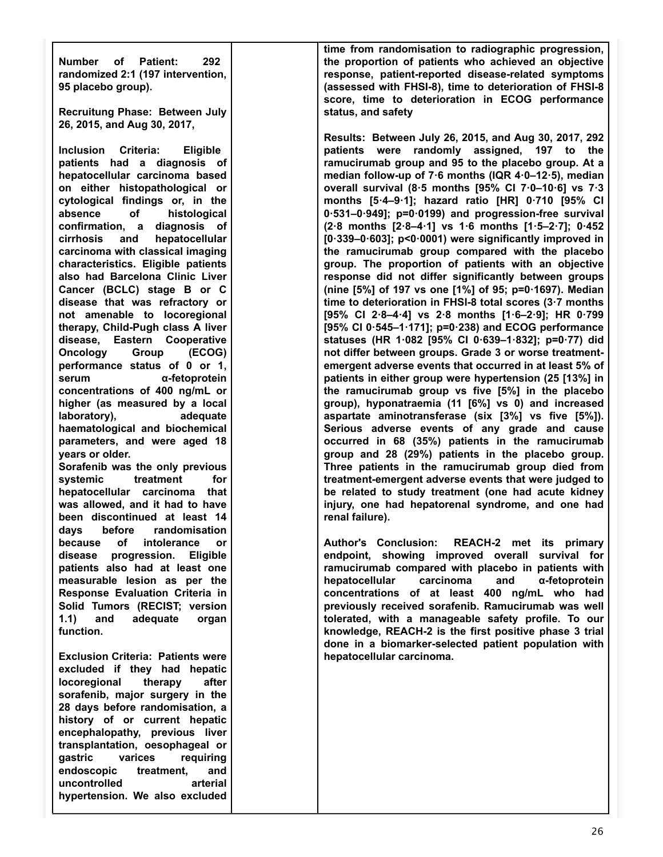**Number of Patient: 292 randomized 2:1 (197 intervention, 95 placebo group).**

**Recruitung Phase: Between July 26, 2015, and Aug 30, 2017,**

**Inclusion Criteria: Eligible patients had a diagnosis of hepatocellular carcinoma based on either histopathological or cytological findings or, in the absence of histological confirmation, a diagnosis of cirrhosis and hepatocellular carcinoma with classical imaging characteristics. Eligible patients also had Barcelona Clinic Liver Cancer (BCLC) stage B or C disease that was refractory or not amenable to locoregional therapy, Child-Pugh class A liver disease, Eastern Cooperative Oncology Group (ECOG) performance status of 0 or 1, serum α-fetoprotein concentrations of 400 ng/mL or higher (as measured by a local laboratory), adequate haematological and biochemical parameters, and were aged 18 years or older.**

**Sorafenib was the only previous** systemic treatment for **hepatocellular carcinoma that was allowed, and it had to have been discontinued at least 14 days before randomisation because of intolerance or disease progression. Eligible patients also had at least one measurable lesion as per the Response Evaluation Criteria in Solid Tumors (RECIST; version 1.1) and adequate organ function.**

**Exclusion Criteria: Patients were excluded if they had hepatic locoregional therapy after sorafenib, major surgery in the 28 days before randomisation, a history of or current hepatic encephalopathy, previous liver transplantation, oesophageal or gastric varices requiring endoscopic treatment, and uncontrolled arterial hypertension. We also excluded**

**time from randomisation to radiographic progression, the proportion of patients who achieved an objective response, patient-reported disease-related symptoms (assessed with FHSI-8), time to deterioration of FHSI-8 score, time to deterioration in ECOG performance status, and safety**

**Results: Between July 26, 2015, and Aug 30, 2017, 292 patients were randomly assigned, 197 to the ramucirumab group and 95 to the placebo group. At a median follow-up of 7·6 months (IQR 4·0–12·5), median overall survival (8·5 months [95% CI 7·0–10·6] vs 7·3 months [5·4–9·1]; hazard ratio [HR] 0·710 [95% CI 0·531–0·949]; p=0·0199) and progression-free survival (2·8 months [2·8–4·1] vs 1·6 months [1·5–2·7]; 0·452 [0·339–0·603]; p<0·0001) were significantly improved in the ramucirumab group compared with the placebo group. The proportion of patients with an objective response did not differ significantly between groups (nine [5%] of 197 vs one [1%] of 95; p=0·1697). Median time to deterioration in FHSI-8 total scores (3·7 months [95% CI 2·8–4·4] vs 2·8 months [1·6–2·9]; HR 0·799 [95% CI 0·545–1·171]; p=0·238) and ECOG performance statuses (HR 1·082 [95% CI 0·639–1·832]; p=0·77) did not differ between groups. Grade 3 or worse treatmentemergent adverse events that occurred in at least 5% of patients in either group were hypertension (25 [13%] in the ramucirumab group vs five [5%] in the placebo group), hyponatraemia (11 [6%] vs 0) and increased aspartate aminotransferase (six [3%] vs five [5%]). Serious adverse events of any grade and cause occurred in 68 (35%) patients in the ramucirumab group and 28 (29%) patients in the placebo group. Three patients in the ramucirumab group died from treatment-emergent adverse events that were judged to be related to study treatment (one had acute kidney injury, one had hepatorenal syndrome, and one had renal failure).**

**Author's Conclusion: REACH-2 met its primary endpoint, showing improved overall survival for ramucirumab compared with placebo in patients with hepatocellular carcinoma and α-fetoprotein concentrations of at least 400 ng/mL who had previously received sorafenib. Ramucirumab was well tolerated, with a manageable safety profile. To our knowledge, REACH-2 is the first positive phase 3 trial done in a biomarker-selected patient population with hepatocellular carcinoma.**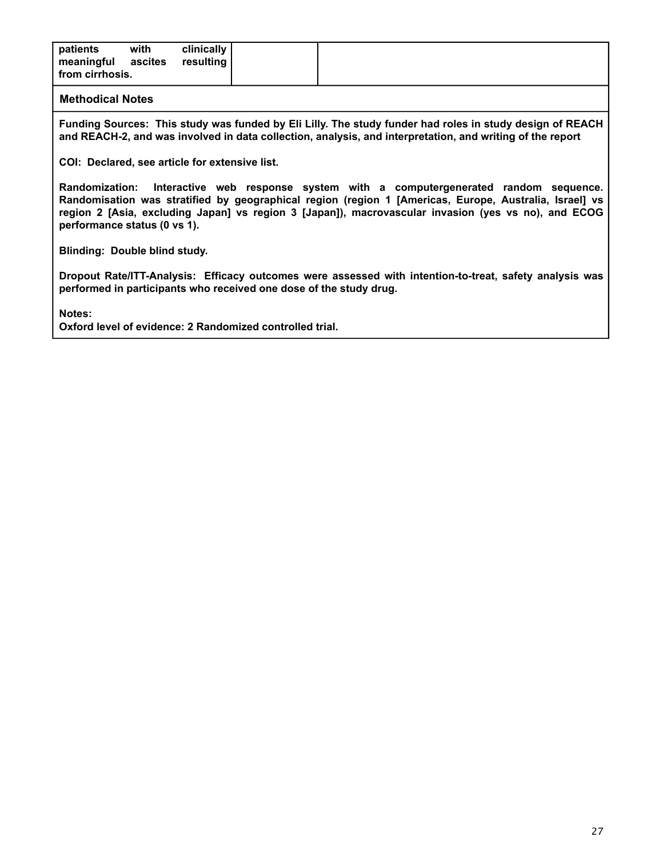|--|

**Funding Sources: This study was funded by Eli Lilly. The study funder had roles in study design of REACH and REACH-2, and was involved in data collection, analysis, and interpretation, and writing of the report**

**COI: Declared, see article for extensive list.**

**Randomization: Interactive web response system with a computergenerated random sequence. Randomisation was stratified by geographical region (region 1 [Americas, Europe, Australia, Israel] vs region 2 [Asia, excluding Japan] vs region 3 [Japan]), macrovascular invasion (yes vs no), and ECOG performance status (0 vs 1).**

**Blinding: Double blind study.**

**Dropout Rate/ITT-Analysis: Efficacy outcomes were assessed with intention-to-treat, safety analysis was performed in participants who received one dose of the study drug.**

**Notes:**

**Oxford level of evidence: 2 Randomized controlled trial.**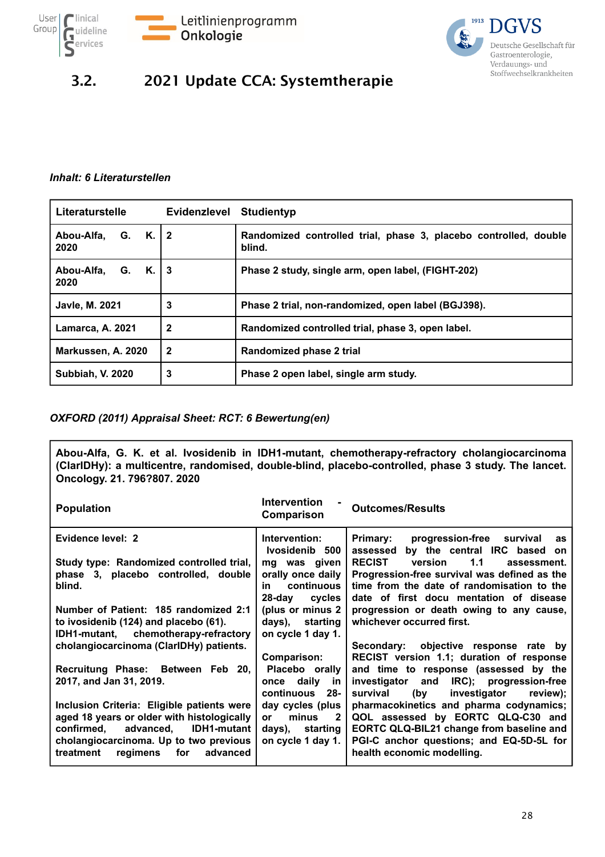![](_page_27_Picture_0.jpeg)

![](_page_27_Picture_1.jpeg)

![](_page_27_Picture_2.jpeg)

### 3.2. 2021 Update CCA: Systemtherapie

#### *Inhalt: 6 Literaturstellen*

| Literaturstelle            | <b>Evidenzlevel</b> | <b>Studientyp</b>                                                          |
|----------------------------|---------------------|----------------------------------------------------------------------------|
| Abou-Alfa, G. K. 2<br>2020 |                     | Randomized controlled trial, phase 3, placebo controlled, double<br>blind. |
| Abou-Alfa, G. K.<br>2020   | $\overline{3}$      | Phase 2 study, single arm, open label, (FIGHT-202)                         |
| <b>Javle, M. 2021</b>      | 3                   | Phase 2 trial, non-randomized, open label (BGJ398).                        |
| <b>Lamarca, A. 2021</b>    | $\mathbf 2$         | Randomized controlled trial, phase 3, open label.                          |
| Markussen, A. 2020         | 2                   | Randomized phase 2 trial                                                   |
| <b>Subbiah, V. 2020</b>    | 3                   | Phase 2 open label, single arm study.                                      |

#### *OXFORD (2011) Appraisal Sheet: RCT: 6 Bewertung(en)*

**Abou-Alfa, G. K. et al. Ivosidenib in IDH1-mutant, chemotherapy-refractory cholangiocarcinoma (ClarIDHy): a multicentre, randomised, double-blind, placebo-controlled, phase 3 study. The lancet. Oncology. 21. 796?807. 2020**

| <b>Population</b>                                                                  | Intervention<br>Comparison            | <b>Outcomes/Results</b>                                                                                 |
|------------------------------------------------------------------------------------|---------------------------------------|---------------------------------------------------------------------------------------------------------|
| Evidence level: 2                                                                  | Intervention:<br>Ivosidenib 500       | <b>Primary:</b><br>progression-free survival<br><b>as</b><br>by the central IRC based<br>assessed<br>on |
| Study type: Randomized controlled trial,                                           | mg was given                          | <b>RECIST</b><br>1.1<br>version<br>assessment.                                                          |
| phase 3, placebo controlled, double<br>blind.                                      | orally once daily<br>continuous<br>in | Progression-free survival was defined as the<br>time from the date of randomisation to the              |
|                                                                                    | 28-day<br>cycles                      | date of first docu mentation of disease                                                                 |
| Number of Patient: 185 randomized 2:1                                              | (plus or minus 2)                     | progression or death owing to any cause,                                                                |
| to ivosidenib (124) and placebo (61).                                              | days), starting                       | whichever occurred first.                                                                               |
| IDH1-mutant, chemotherapy-refractory<br>cholangiocarcinoma (ClarIDHy) patients.    | on cycle 1 day 1.                     | Secondary: objective response rate by                                                                   |
|                                                                                    | Comparison:                           | RECIST version 1.1; duration of response                                                                |
| Recruitung Phase: Between Feb 20,                                                  | Placebo orally                        | and time to response (assessed by the                                                                   |
| 2017, and Jan 31, 2019.                                                            | once daily in                         | investigator and IRC); progression-free                                                                 |
| Inclusion Criteria: Eligible patients were                                         | continuous<br>-28<br>day cycles (plus | (by<br>investigator<br>review);<br>survival<br>pharmacokinetics and pharma codynamics;                  |
| aged 18 years or older with histologically                                         | minus<br>$\mathbf{2}$<br><b>or</b>    | QOL assessed by EORTC QLQ-C30 and                                                                       |
| IDH1-mutant<br>confirmed. advanced.                                                | days), starting                       | EORTC QLQ-BIL21 change from baseline and                                                                |
| cholangiocarcinoma. Up to two previous<br>for<br>treatment<br>regimens<br>advanced | on cycle 1 day 1.                     | PGI-C anchor questions; and EQ-5D-5L for<br>health economic modelling.                                  |
|                                                                                    |                                       |                                                                                                         |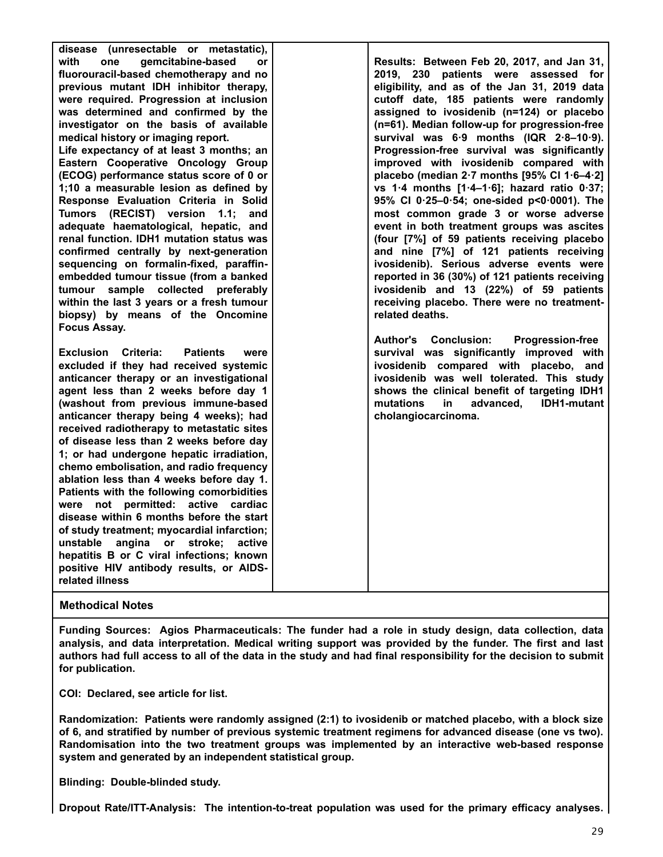| disease (unresectable or metastatic),                 |                                                           |
|-------------------------------------------------------|-----------------------------------------------------------|
| with<br>gemcitabine-based<br>one<br><b>or</b>         | Results: Between Feb 20, 2017, and Jan 31,                |
| fluorouracil-based chemotherapy and no                | 2019, 230 patients were assessed for                      |
| previous mutant IDH inhibitor therapy,                | eligibility, and as of the Jan 31, 2019 data              |
| were required. Progression at inclusion               | cutoff date, 185 patients were randomly                   |
|                                                       |                                                           |
| was determined and confirmed by the                   | assigned to ivosidenib (n=124) or placebo                 |
| investigator on the basis of available                | (n=61). Median follow-up for progression-free             |
| medical history or imaging report.                    | survival was 6.9 months (IQR 2.8-10.9).                   |
| Life expectancy of at least 3 months; an              | Progression-free survival was significantly               |
| Eastern Cooperative Oncology Group                    | improved with ivosidenib compared with                    |
| (ECOG) performance status score of 0 or               | placebo (median $2.7$ months [95% Cl 1.6-4.2]             |
| 1;10 a measurable lesion as defined by                | vs 1.4 months $[1.4-1.6]$ ; hazard ratio 0.37;            |
| Response Evaluation Criteria in Solid                 | 95% CI 0.25-0.54; one-sided p<0.0001). The                |
| Tumors (RECIST) version<br>1.1:<br>and                | most common grade 3 or worse adverse                      |
| adequate haematological, hepatic, and                 | event in both treatment groups was ascites                |
| renal function. IDH1 mutation status was              | (four [7%] of 59 patients receiving placebo               |
| confirmed centrally by next-generation                | and nine [7%] of 121 patients receiving                   |
| sequencing on formalin-fixed, paraffin-               | ivosidenib). Serious adverse events were                  |
| embedded tumour tissue (from a banked                 | reported in 36 (30%) of 121 patients receiving            |
| tumour sample collected preferably                    | ivosidenib and 13 (22%) of 59 patients                    |
| within the last 3 years or a fresh tumour             | receiving placebo. There were no treatment-               |
| biopsy) by means of the Oncomine                      | related deaths.                                           |
| <b>Focus Assay.</b>                                   |                                                           |
|                                                       | <b>Conclusion:</b><br>Author's<br><b>Progression-free</b> |
| <b>Exclusion Criteria:</b><br><b>Patients</b><br>were | survival was significantly improved with                  |
| excluded if they had received systemic                | ivosidenib compared with placebo, and                     |
| anticancer therapy or an investigational              | ivosidenib was well tolerated. This study                 |
|                                                       |                                                           |
| agent less than 2 weeks before day 1                  | shows the clinical benefit of targeting IDH1              |
| (washout from previous immune-based                   | mutations<br>advanced,<br><b>IDH1-mutant</b><br>in.       |
| anticancer therapy being 4 weeks); had                | cholangiocarcinoma.                                       |
| received radiotherapy to metastatic sites             |                                                           |
| of disease less than 2 weeks before day               |                                                           |
| 1; or had undergone hepatic irradiation,              |                                                           |
| chemo embolisation, and radio frequency               |                                                           |
| ablation less than 4 weeks before day 1.              |                                                           |
| Patients with the following comorbidities             |                                                           |
| were not permitted: active cardiac                    |                                                           |
| disease within 6 months before the start              |                                                           |
| of study treatment; myocardial infarction;            |                                                           |
| unstable<br>angina<br>or stroke:<br>active            |                                                           |
| hepatitis B or C viral infections; known              |                                                           |
|                                                       |                                                           |
| positive HIV antibody results, or AIDS-               |                                                           |
| related illness                                       |                                                           |

**Funding Sources: Agios Pharmaceuticals: The funder had a role in study design, data collection, data analysis, and data interpretation. Medical writing support was provided by the funder. The first and last authors had full access to all of the data in the study and had final responsibility for the decision to submit for publication.**

**COI: Declared, see article for list.**

**Randomization: Patients were randomly assigned (2:1) to ivosidenib or matched placebo, with a block size of 6, and stratified by number of previous systemic treatment regimens for advanced disease (one vs two). Randomisation into the two treatment groups was implemented by an interactive web-based response system and generated by an independent statistical group.**

**Blinding: Double-blinded study.**

**Dropout Rate/ITT-Analysis: The intention-to-treat population was used for the primary efficacy analyses.**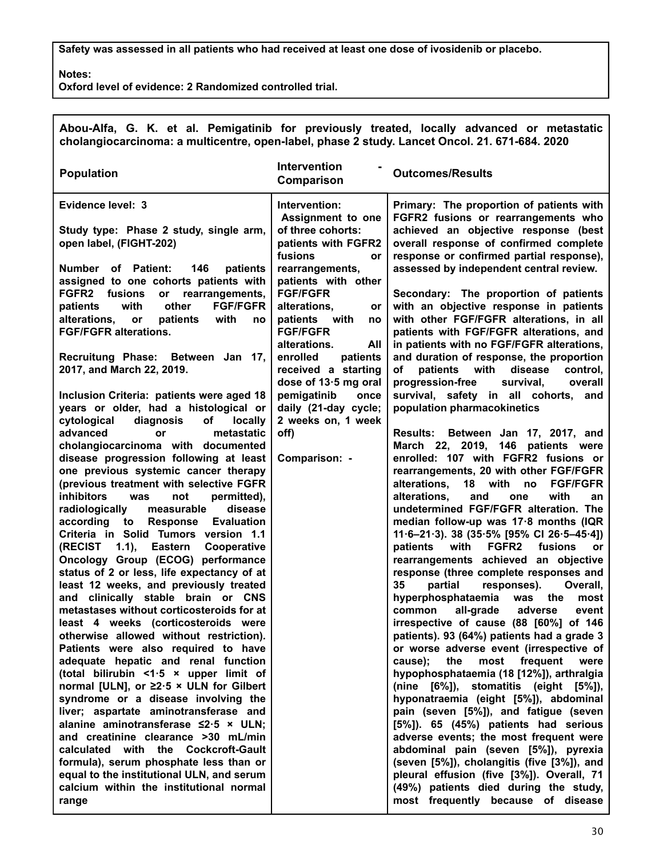**Safety was assessed in all patients who had received at least one dose of ivosidenib or placebo.**

**Notes:**

**Oxford level of evidence: 2 Randomized controlled trial.**

| <b>Intervention</b><br><b>Population</b><br><b>Outcomes/Results</b><br>Comparison<br>Evidence level: 3<br>Primary: The proportion of patients with<br>Intervention:<br>Assignment to one<br>FGFR2 fusions or rearrangements who<br>of three cohorts:<br>achieved an objective response (best<br>Study type: Phase 2 study, single arm,<br>open label, (FIGHT-202)<br>overall response of confirmed complete<br>patients with FGFR2<br>fusions<br>response or confirmed partial response),<br><b>or</b><br>assessed by independent central review.<br><b>Number</b> of Patient:<br>146<br>patients<br>rearrangements,<br>assigned to one cohorts patients with<br>patients with other<br><b>FGF/FGFR</b><br>FGFR2<br>fusions<br>rearrangements,<br>Secondary: The proportion of patients<br>or<br>with<br>other<br><b>FGF/FGFR</b><br>with an objective response in patients<br>patients<br>alterations,<br>or<br>with other FGF/FGFR alterations, in all<br>alterations,<br>with<br>patients with<br>patients<br>or<br>no<br>no<br><b>FGF/FGFR alterations.</b><br><b>FGF/FGFR</b><br>patients with FGF/FGFR alterations, and<br>alterations.<br>in patients with no FGF/FGFR alterations,<br>All<br>Recruitung Phase: Between Jan 17,<br>enrolled<br>patients<br>and duration of response, the proportion<br>2017, and March 22, 2019.<br>with<br>disease<br>received a starting<br>οf<br>patients<br>control,<br>dose of 13.5 mg oral<br>progression-free<br>survival.<br>overall<br>pemigatinib<br>survival, safety in all cohorts, and<br>Inclusion Criteria: patients were aged 18<br>once<br>years or older, had a histological or<br>daily (21-day cycle;<br>population pharmacokinetics<br>2 weeks on, 1 week<br>cytological<br>diagnosis<br>of<br>locally<br>advanced<br>off)<br>metastatic<br>Between Jan 17, 2017, and<br>or<br>Results:<br>March 22, 2019, 146 patients were<br>cholangiocarcinoma with documented<br>enrolled: 107 with FGFR2 fusions or<br>disease progression following at least<br>Comparison: -<br>one previous systemic cancer therapy<br>rearrangements, 20 with other FGF/FGFR<br>(previous treatment with selective FGFR<br>alterations,<br>18<br>with<br><b>FGF/FGFR</b><br>no<br>inhibitors<br>permitted),<br>alterations,<br>with<br>was<br>not<br>and<br>one<br>an<br>disease<br>undetermined FGF/FGFR alteration. The<br>radiologically<br>measurable<br>according<br><b>Evaluation</b><br>median follow-up was 17.8 months (IQR<br>to<br><b>Response</b><br>Criteria in Solid Tumors version 1.1<br>$11.6 - 21.3$ ). 38 (35.5% [95% CI 26.5-45.4])<br>patients<br>FGFR <sub>2</sub><br>fusions<br>(RECIST<br>(1.1),<br><b>Eastern</b><br>Cooperative<br>with<br>or<br>rearrangements achieved an objective<br>Oncology Group (ECOG) performance<br>status of 2 or less, life expectancy of at<br>response (three complete responses and<br>least 12 weeks, and previously treated<br>responses).<br>35<br>partial<br>Overall,<br>and clinically stable brain or CNS<br>hyperphosphataemia<br>the<br>was<br>most<br>metastases without corticosteroids for at<br>all-grade<br>adverse<br>common<br>event<br>least 4 weeks (corticosteroids were<br>irrespective of cause (88 [60%] of 146<br>patients). 93 (64%) patients had a grade 3<br>otherwise allowed without restriction).<br>Patients were also required to have<br>or worse adverse event (irrespective of<br>adequate hepatic and renal function<br>frequent<br>cause);<br>the<br>most<br>were<br>(total bilirubin <1.5 x upper limit of<br>hypophosphataemia (18 [12%]), arthralgia<br>normal [ULN], or $\geq 2.5$ × ULN for Gilbert<br>(nine [6%]), stomatitis (eight [5%]),<br>syndrome or a disease involving the<br>hyponatraemia (eight [5%]), abdominal<br>liver; aspartate aminotransferase and<br>pain (seven [5%]), and fatigue (seven<br>alanine aminotransferase ≤2.5 × ULN;<br>$[5\%]$ ). 65 $(45\%)$ patients had serious<br>and creatinine clearance >30 mL/min<br>adverse events; the most frequent were<br>calculated<br>with the Cockcroft-Gault<br>abdominal pain (seven [5%]), pyrexia<br>formula), serum phosphate less than or<br>(seven [5%]), cholangitis (five [3%]), and<br>equal to the institutional ULN, and serum<br>pleural effusion (five [3%]). Overall, 71 | cholangiocarcinoma: a multicentre, open-label, phase 2 study. Lancet Oncol. 21. 671-684. 2020 | Abou-Alfa, G. K. et al. Pemigatinib for previously treated, locally advanced or metastatic |
|---------------------------------------------------------------------------------------------------------------------------------------------------------------------------------------------------------------------------------------------------------------------------------------------------------------------------------------------------------------------------------------------------------------------------------------------------------------------------------------------------------------------------------------------------------------------------------------------------------------------------------------------------------------------------------------------------------------------------------------------------------------------------------------------------------------------------------------------------------------------------------------------------------------------------------------------------------------------------------------------------------------------------------------------------------------------------------------------------------------------------------------------------------------------------------------------------------------------------------------------------------------------------------------------------------------------------------------------------------------------------------------------------------------------------------------------------------------------------------------------------------------------------------------------------------------------------------------------------------------------------------------------------------------------------------------------------------------------------------------------------------------------------------------------------------------------------------------------------------------------------------------------------------------------------------------------------------------------------------------------------------------------------------------------------------------------------------------------------------------------------------------------------------------------------------------------------------------------------------------------------------------------------------------------------------------------------------------------------------------------------------------------------------------------------------------------------------------------------------------------------------------------------------------------------------------------------------------------------------------------------------------------------------------------------------------------------------------------------------------------------------------------------------------------------------------------------------------------------------------------------------------------------------------------------------------------------------------------------------------------------------------------------------------------------------------------------------------------------------------------------------------------------------------------------------------------------------------------------------------------------------------------------------------------------------------------------------------------------------------------------------------------------------------------------------------------------------------------------------------------------------------------------------------------------------------------------------------------------------------------------------------------------------------------------------------------------------------------------------------------------------------------------------------------------------------------------------------------------------------------------------------------------------------------------------------------------------------------------------------------------------------------------------------------------------------------------------------------------------------------------------------------------------------------------------------------------------------------------------------------------------------------------------------------------|-----------------------------------------------------------------------------------------------|--------------------------------------------------------------------------------------------|
|                                                                                                                                                                                                                                                                                                                                                                                                                                                                                                                                                                                                                                                                                                                                                                                                                                                                                                                                                                                                                                                                                                                                                                                                                                                                                                                                                                                                                                                                                                                                                                                                                                                                                                                                                                                                                                                                                                                                                                                                                                                                                                                                                                                                                                                                                                                                                                                                                                                                                                                                                                                                                                                                                                                                                                                                                                                                                                                                                                                                                                                                                                                                                                                                                                                                                                                                                                                                                                                                                                                                                                                                                                                                                                                                                                                                                                                                                                                                                                                                                                                                                                                                                                                                                                                                                                   |                                                                                               |                                                                                            |
| most frequently because of disease<br>range                                                                                                                                                                                                                                                                                                                                                                                                                                                                                                                                                                                                                                                                                                                                                                                                                                                                                                                                                                                                                                                                                                                                                                                                                                                                                                                                                                                                                                                                                                                                                                                                                                                                                                                                                                                                                                                                                                                                                                                                                                                                                                                                                                                                                                                                                                                                                                                                                                                                                                                                                                                                                                                                                                                                                                                                                                                                                                                                                                                                                                                                                                                                                                                                                                                                                                                                                                                                                                                                                                                                                                                                                                                                                                                                                                                                                                                                                                                                                                                                                                                                                                                                                                                                                                                       | calcium within the institutional normal                                                       | (49%) patients died during the study,                                                      |

30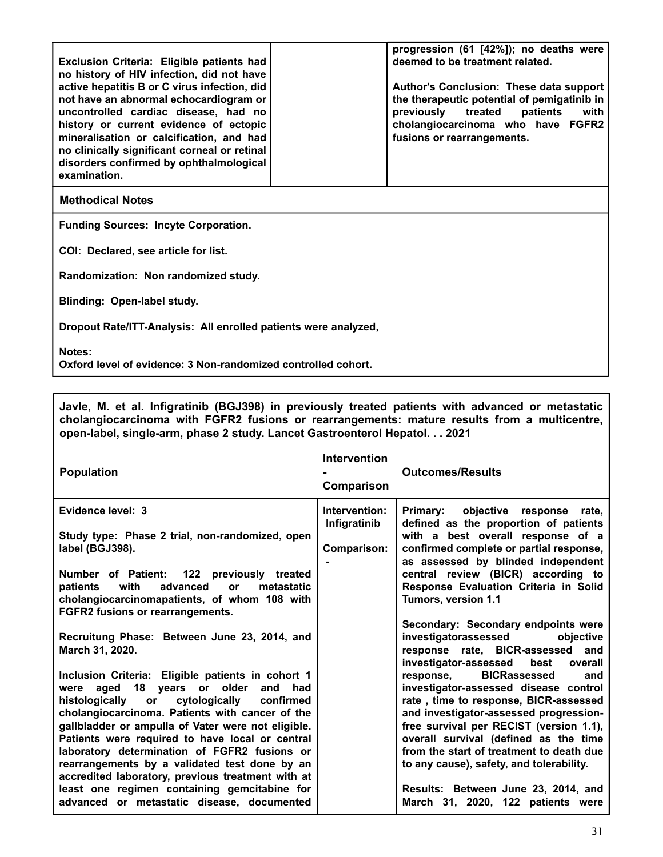| progression (61 [42%]); no deaths were<br>deemed to be treatment related.<br>Exclusion Criteria: Eligible patients had<br>no history of HIV infection, did not have<br>active hepatitis B or C virus infection, did<br>Author's Conclusion: These data support<br>the therapeutic potential of pemigatinib in<br>not have an abnormal echocardiogram or<br>uncontrolled cardiac disease, had no<br>previously treated<br>patients<br>with<br>history or current evidence of ectopic<br>cholangiocarcinoma who have FGFR2<br>mineralisation or calcification, and had<br>fusions or rearrangements.<br>no clinically significant corneal or retinal<br>disorders confirmed by ophthalmological<br>examination. |  |  |  |
|---------------------------------------------------------------------------------------------------------------------------------------------------------------------------------------------------------------------------------------------------------------------------------------------------------------------------------------------------------------------------------------------------------------------------------------------------------------------------------------------------------------------------------------------------------------------------------------------------------------------------------------------------------------------------------------------------------------|--|--|--|
| <b>Methodical Notes</b>                                                                                                                                                                                                                                                                                                                                                                                                                                                                                                                                                                                                                                                                                       |  |  |  |
| <b>Funding Sources: Incyte Corporation.</b>                                                                                                                                                                                                                                                                                                                                                                                                                                                                                                                                                                                                                                                                   |  |  |  |
| COI: Declared, see article for list.                                                                                                                                                                                                                                                                                                                                                                                                                                                                                                                                                                                                                                                                          |  |  |  |
| Randomization: Non randomized study.                                                                                                                                                                                                                                                                                                                                                                                                                                                                                                                                                                                                                                                                          |  |  |  |
| <b>Blinding: Open-label study.</b>                                                                                                                                                                                                                                                                                                                                                                                                                                                                                                                                                                                                                                                                            |  |  |  |
| Dropout Rate/ITT-Analysis: All enrolled patients were analyzed,                                                                                                                                                                                                                                                                                                                                                                                                                                                                                                                                                                                                                                               |  |  |  |
| Notes:                                                                                                                                                                                                                                                                                                                                                                                                                                                                                                                                                                                                                                                                                                        |  |  |  |

**Oxford level of evidence: 3 Non-randomized controlled cohort.**

**Javle, M. et al. Infigratinib (BGJ398) in previously treated patients with advanced or metastatic cholangiocarcinoma with FGFR2 fusions or rearrangements: mature results from a multicentre, open-label, single-arm, phase 2 study. Lancet Gastroenterol Hepatol. . . 2021**

| <b>Population</b>                                                                                                                                                                                                                                                                                                                                                                                                                                                                                                                                                                      | <b>Intervention</b><br>Comparison            | <b>Outcomes/Results</b>                                                                                                                                                                                                                                                                                                                                                                                                                                                                           |
|----------------------------------------------------------------------------------------------------------------------------------------------------------------------------------------------------------------------------------------------------------------------------------------------------------------------------------------------------------------------------------------------------------------------------------------------------------------------------------------------------------------------------------------------------------------------------------------|----------------------------------------------|---------------------------------------------------------------------------------------------------------------------------------------------------------------------------------------------------------------------------------------------------------------------------------------------------------------------------------------------------------------------------------------------------------------------------------------------------------------------------------------------------|
| Evidence level: 3<br>Study type: Phase 2 trial, non-randomized, open<br>label (BGJ398).<br>Number of Patient: 122 previously treated<br>patients<br>with<br>advanced<br>metastatic<br><b>or</b><br>cholangiocarcinomapatients, of whom 108 with<br>FGFR2 fusions or rearrangements.                                                                                                                                                                                                                                                                                                    | Intervention:<br>Infigratinib<br>Comparison: | Primary: objective response rate,<br>defined as the proportion of patients<br>with a best overall response of a<br>confirmed complete or partial response,<br>as assessed by blinded independent<br>central review (BICR) according to<br>Response Evaluation Criteria in Solid<br>Tumors, version 1.1<br>Secondary: Secondary endpoints were                                                                                                                                                     |
| Recruitung Phase: Between June 23, 2014, and<br>March 31, 2020.<br>Inclusion Criteria: Eligible patients in cohort 1<br>aged 18 years or older<br>and had<br>were<br>cytologically<br>histologically or<br>confirmed<br>cholangiocarcinoma. Patients with cancer of the<br>gallbladder or ampulla of Vater were not eligible.<br>Patients were required to have local or central<br>laboratory determination of FGFR2 fusions or<br>rearrangements by a validated test done by an<br>accredited laboratory, previous treatment with at<br>least one regimen containing gemcitabine for |                                              | investigatorassessed<br>objective<br>response rate, BICR-assessed and<br>investigator-assessed<br>best<br>overall<br>response, BICRassessed<br>and<br>investigator-assessed disease control<br>rate, time to response, BICR-assessed<br>and investigator-assessed progression-<br>free survival per RECIST (version 1.1),<br>overall survival (defined as the time<br>from the start of treatment to death due<br>to any cause), safety, and tolerability.<br>Results: Between June 23, 2014, and |
| advanced or metastatic disease, documented                                                                                                                                                                                                                                                                                                                                                                                                                                                                                                                                             |                                              | March 31, 2020, 122 patients were                                                                                                                                                                                                                                                                                                                                                                                                                                                                 |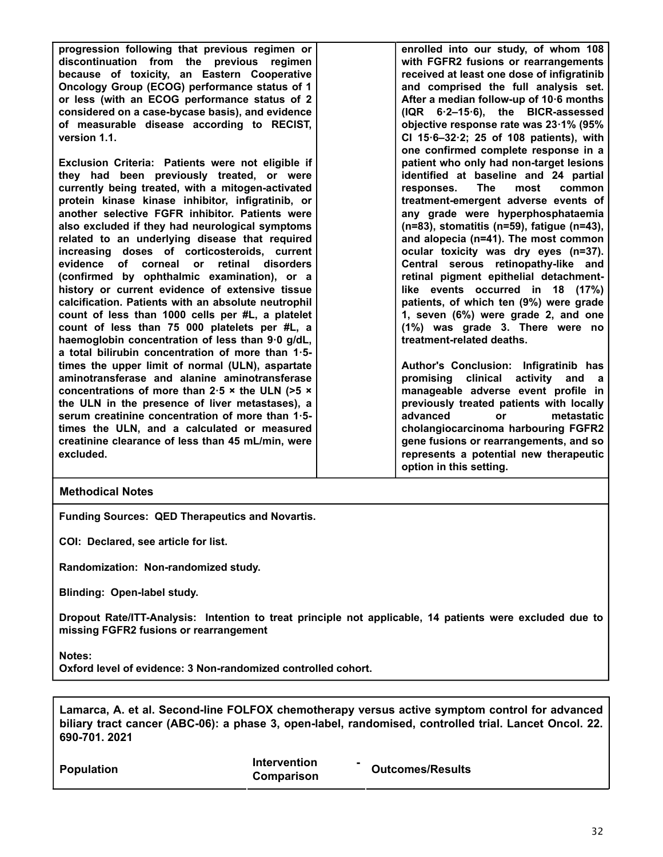**progression following that previous regimen or discontinuation from the previous regimen because of toxicity, an Eastern Cooperative Oncology Group (ECOG) performance status of 1 or less (with an ECOG performance status of 2 considered on a case-bycase basis), and evidence of measurable disease according to RECIST, version 1.1.**

**Exclusion Criteria: Patients were not eligible if they had been previously treated, or were currently being treated, with a mitogen-activated protein kinase kinase inhibitor, infigratinib, or another selective FGFR inhibitor. Patients were also excluded if they had neurological symptoms related to an underlying disease that required increasing doses of corticosteroids, current evidence of corneal or retinal disorders (confirmed by ophthalmic examination), or a history or current evidence of extensive tissue calcification. Patients with an absolute neutrophil count of less than 1000 cells per #L, a platelet count of less than 75 000 platelets per #L, a haemoglobin concentration of less than 9·0 g/dL, a total bilirubin concentration of more than 1·5 times the upper limit of normal (ULN), aspartate aminotransferase and alanine aminotransferase concentrations of more than 2·5 × the ULN (>5 × the ULN in the presence of liver metastases), a serum creatinine concentration of more than 1·5 times the ULN, and a calculated or measured creatinine clearance of less than 45 mL/min, were excluded.**

**enrolled into our study, of whom 108 with FGFR2 fusions or rearrangements received at least one dose of infigratinib and comprised the full analysis set. After a median follow-up of 10·6 months (IQR 6·2–15·6), the BICR-assessed objective response rate was 23·1% (95% CI 15·6–32·2; 25 of 108 patients), with one confirmed complete response in a patient who only had non-target lesions identified at baseline and 24 partial responses. The most common treatment-emergent adverse events of any grade were hyperphosphataemia (n=83), stomatitis (n=59), fatigue (n=43), and alopecia (n=41). The most common ocular toxicity was dry eyes (n=37). Central serous retinopathy-like and retinal pigment epithelial detachmentlike events occurred in 18 (17%) patients, of which ten (9%) were grade 1, seven (6%) were grade 2, and one (1%) was grade 3. There were no treatment-related deaths.**

**Author's Conclusion: Infigratinib has promising clinical activity and a manageable adverse event profile in previously treated patients with locally advanced or metastatic cholangiocarcinoma harbouring FGFR2 gene fusions or rearrangements, and so represents a potential new therapeutic option in this setting.**

#### **Methodical Notes**

**Funding Sources: QED Therapeutics and Novartis.**

**COI: Declared, see article for list.**

**Randomization: Non-randomized study.**

**Blinding: Open-label study.**

**Dropout Rate/ITT-Analysis: Intention to treat principle not applicable, 14 patients were excluded due to missing FGFR2 fusions or rearrangement**

**Notes:**

**Oxford level of evidence: 3 Non-randomized controlled cohort.**

**Lamarca, A. et al. Second-line FOLFOX chemotherapy versus active symptom control for advanced biliary tract cancer (ABC-06): a phase 3, open-label, randomised, controlled trial. Lancet Oncol. 22. 690-701. 2021**

| <b>Population</b> | <b>Intervention</b><br>Comparison | <b>Outcomes/Results</b> |
|-------------------|-----------------------------------|-------------------------|
|                   |                                   |                         |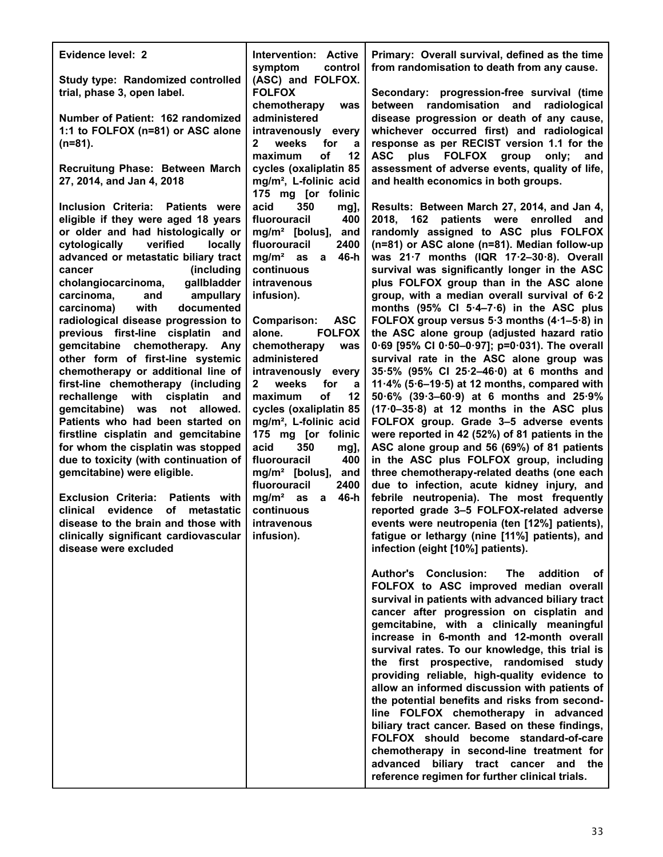| Evidence level: 2                                                                                                                                                                                                                                                                                                                                                                                                                                                                                                                                                                                                                                                                                                                                                                                                                                                                                                                                                                                                                                                     | Intervention: Active<br>symptom<br>control                                                                                                                                                                                                                                                                                                                                                                                                                                                                                                                                                                                     | Primary: Overall survival, defined as the time<br>from randomisation to death from any cause.                                                                                                                                                                                                                                                                                                                                                                                                                                                                                                                                                                                                                                                                                                                                                                                                                                                                                                                                                                                                                                                                                                                                                                                                                                      |
|-----------------------------------------------------------------------------------------------------------------------------------------------------------------------------------------------------------------------------------------------------------------------------------------------------------------------------------------------------------------------------------------------------------------------------------------------------------------------------------------------------------------------------------------------------------------------------------------------------------------------------------------------------------------------------------------------------------------------------------------------------------------------------------------------------------------------------------------------------------------------------------------------------------------------------------------------------------------------------------------------------------------------------------------------------------------------|--------------------------------------------------------------------------------------------------------------------------------------------------------------------------------------------------------------------------------------------------------------------------------------------------------------------------------------------------------------------------------------------------------------------------------------------------------------------------------------------------------------------------------------------------------------------------------------------------------------------------------|------------------------------------------------------------------------------------------------------------------------------------------------------------------------------------------------------------------------------------------------------------------------------------------------------------------------------------------------------------------------------------------------------------------------------------------------------------------------------------------------------------------------------------------------------------------------------------------------------------------------------------------------------------------------------------------------------------------------------------------------------------------------------------------------------------------------------------------------------------------------------------------------------------------------------------------------------------------------------------------------------------------------------------------------------------------------------------------------------------------------------------------------------------------------------------------------------------------------------------------------------------------------------------------------------------------------------------|
| Study type: Randomized controlled<br>trial, phase 3, open label.<br>Number of Patient: 162 randomized                                                                                                                                                                                                                                                                                                                                                                                                                                                                                                                                                                                                                                                                                                                                                                                                                                                                                                                                                                 | (ASC) and FOLFOX.<br><b>FOLFOX</b><br>chemotherapy<br>was<br>administered                                                                                                                                                                                                                                                                                                                                                                                                                                                                                                                                                      | Secondary: progression-free survival (time<br>randomisation and<br>radiological<br>between<br>disease progression or death of any cause.                                                                                                                                                                                                                                                                                                                                                                                                                                                                                                                                                                                                                                                                                                                                                                                                                                                                                                                                                                                                                                                                                                                                                                                           |
| 1:1 to FOLFOX (n=81) or ASC alone<br>$(n=81)$ .                                                                                                                                                                                                                                                                                                                                                                                                                                                                                                                                                                                                                                                                                                                                                                                                                                                                                                                                                                                                                       | intravenously<br>every<br>weeks<br>2<br>for<br>a<br>οf<br>12<br>maximum                                                                                                                                                                                                                                                                                                                                                                                                                                                                                                                                                        | whichever occurred first) and radiological<br>response as per RECIST version 1.1 for the<br><b>ASC</b><br>plus FOLFOX group<br>only;<br>and                                                                                                                                                                                                                                                                                                                                                                                                                                                                                                                                                                                                                                                                                                                                                                                                                                                                                                                                                                                                                                                                                                                                                                                        |
| Recruitung Phase: Between March<br>27, 2014, and Jan 4, 2018                                                                                                                                                                                                                                                                                                                                                                                                                                                                                                                                                                                                                                                                                                                                                                                                                                                                                                                                                                                                          | cycles (oxaliplatin 85<br>mg/m <sup>2</sup> , L-folinic acid<br>175 mg [or folinic                                                                                                                                                                                                                                                                                                                                                                                                                                                                                                                                             | assessment of adverse events, quality of life,<br>and health economics in both groups.                                                                                                                                                                                                                                                                                                                                                                                                                                                                                                                                                                                                                                                                                                                                                                                                                                                                                                                                                                                                                                                                                                                                                                                                                                             |
| Inclusion Criteria: Patients were<br>eligible if they were aged 18 years<br>or older and had histologically or<br>verified<br>cytologically<br>locally<br>advanced or metastatic biliary tract<br>(including<br>cancer<br>gallbladder<br>cholangiocarcinoma,<br>carcinoma,<br>and<br>ampullary<br>with<br>documented<br>carcinoma)<br>radiological disease progression to<br>previous first-line cisplatin<br>and<br>gemcitabine chemotherapy.<br>Any<br>other form of first-line systemic<br>chemotherapy or additional line of<br>first-line chemotherapy (including<br>with<br>cisplatin<br>rechallenge<br>and<br>gemcitabine) was<br>not<br>allowed.<br>Patients who had been started on<br>firstline cisplatin and gemcitabine<br>for whom the cisplatin was stopped<br>due to toxicity (with continuation of<br>gemcitabine) were eligible.<br><b>Exclusion Criteria:</b><br><b>Patients</b> with<br>evidence<br><b>of</b><br>clinical<br>metastatic<br>disease to the brain and those with<br>clinically significant cardiovascular  <br>disease were excluded | 350<br>acid<br>mg],<br>400<br>fluorouracil<br>$mg/m2$ [bolus],<br>and<br>fluorouracil<br>2400<br>46-h<br>$mg/m2$ as<br>a<br>continuous<br>intravenous<br>infusion).<br><b>ASC</b><br><b>Comparison:</b><br><b>FOLFOX</b><br>alone.<br>chemotherapy<br>was<br>administered<br>intravenously<br>every<br>weeks<br>for<br>2<br>a<br>οf<br>12<br>maximum<br>cycles (oxaliplatin 85<br>mg/m <sup>2</sup> , L-folinic acid<br>175 mg [or folinic<br>350<br>acid<br>mg],<br>400<br>fluorouracil<br>$mg/m2$ [bolus],<br>and<br>fluorouracil<br>2400<br>mg/m <sup>2</sup><br>46-h<br>as<br>a<br>continuous<br>intravenous<br>infusion). | Results: Between March 27, 2014, and Jan 4,<br>2018, 162 patients were enrolled and<br>randomly assigned to ASC plus FOLFOX<br>(n=81) or ASC alone (n=81). Median follow-up<br>was 21.7 months (IQR 17.2-30.8). Overall<br>survival was significantly longer in the ASC<br>plus FOLFOX group than in the ASC alone<br>group, with a median overall survival of 6.2<br>months $(95\% \text{ CI } 5.4-7.6)$ in the ASC plus<br>FOLFOX group versus 5.3 months (4.1-5.8) in<br>the ASC alone group (adjusted hazard ratio<br>0.69 [95% CI 0.50-0.97]; p=0.031). The overall<br>survival rate in the ASC alone group was<br>35.5% (95% CI 25.2-46.0) at 6 months and<br>11.4% (5.6–19.5) at 12 months, compared with<br>$50.6\%$ (39.3–60.9) at 6 months and 25.9%<br>$(17.0-35.8)$ at 12 months in the ASC plus<br>FOLFOX group. Grade 3-5 adverse events<br>were reported in 42 (52%) of 81 patients in the<br>ASC alone group and 56 (69%) of 81 patients<br>in the ASC plus FOLFOX group, including<br>three chemotherapy-related deaths (one each<br>due to infection, acute kidney injury, and<br>febrile neutropenia). The most frequently<br>reported grade 3-5 FOLFOX-related adverse<br>events were neutropenia (ten [12%] patients),<br>fatigue or lethargy (nine [11%] patients), and<br>infection (eight [10%] patients). |
|                                                                                                                                                                                                                                                                                                                                                                                                                                                                                                                                                                                                                                                                                                                                                                                                                                                                                                                                                                                                                                                                       |                                                                                                                                                                                                                                                                                                                                                                                                                                                                                                                                                                                                                                | Author's Conclusion:<br>The<br>addition<br>оf<br>FOLFOX to ASC improved median overall<br>survival in patients with advanced biliary tract<br>cancer after progression on cisplatin and<br>gemcitabine, with a clinically meaningful<br>increase in 6-month and 12-month overall<br>survival rates. To our knowledge, this trial is<br>the first prospective, randomised study<br>providing reliable, high-quality evidence to<br>allow an informed discussion with patients of<br>the potential benefits and risks from second-<br>line FOLFOX chemotherapy in advanced<br>biliary tract cancer. Based on these findings,<br>FOLFOX should become standard-of-care<br>chemotherapy in second-line treatment for<br>advanced biliary tract cancer and the<br>reference regimen for further clinical trials.                                                                                                                                                                                                                                                                                                                                                                                                                                                                                                                        |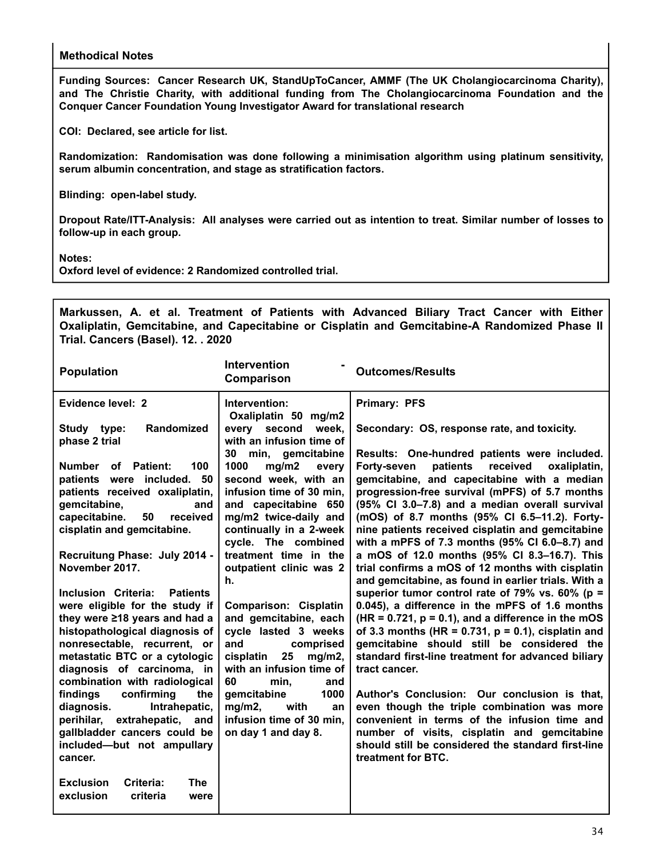**Funding Sources: Cancer Research UK, StandUpToCancer, AMMF (The UK Cholangiocarcinoma Charity), and The Christie Charity, with additional funding from The Cholangiocarcinoma Foundation and the Conquer Cancer Foundation Young Investigator Award for translational research**

**COI: Declared, see article for list.**

**Randomization: Randomisation was done following a minimisation algorithm using platinum sensitivity, serum albumin concentration, and stage as stratification factors.**

**Blinding: open-label study.**

**Dropout Rate/ITT-Analysis: All analyses were carried out as intention to treat. Similar number of losses to follow-up in each group.**

**Notes:**

**Oxford level of evidence: 2 Randomized controlled trial.**

**Markussen, A. et al. Treatment of Patients with Advanced Biliary Tract Cancer with Either Oxaliplatin, Gemcitabine, and Capecitabine or Cisplatin and Gemcitabine-A Randomized Phase II Trial. Cancers (Basel). 12. . 2020**

| <b>Population</b>                                                                                                                                                                                                                                                                  | <b>Intervention</b><br><b>Comparison</b>                                                                                                                                                                                                                    | <b>Outcomes/Results</b>                                                                                                                                                                                                                                                                                                                                                                                                                                                                                           |
|------------------------------------------------------------------------------------------------------------------------------------------------------------------------------------------------------------------------------------------------------------------------------------|-------------------------------------------------------------------------------------------------------------------------------------------------------------------------------------------------------------------------------------------------------------|-------------------------------------------------------------------------------------------------------------------------------------------------------------------------------------------------------------------------------------------------------------------------------------------------------------------------------------------------------------------------------------------------------------------------------------------------------------------------------------------------------------------|
| Evidence level: 2                                                                                                                                                                                                                                                                  | Intervention:<br>Oxaliplatin 50 mg/m2                                                                                                                                                                                                                       | <b>Primary: PFS</b>                                                                                                                                                                                                                                                                                                                                                                                                                                                                                               |
| Randomized<br>Study type:<br>phase 2 trial                                                                                                                                                                                                                                         | every second<br>week,<br>with an infusion time of                                                                                                                                                                                                           | Secondary: OS, response rate, and toxicity.                                                                                                                                                                                                                                                                                                                                                                                                                                                                       |
| 100<br>Number of Patient:<br>patients were included. 50<br>patients received oxaliplatin,<br>gemcitabine,<br>and<br>capecitabine.<br>50<br>received<br>cisplatin and gemcitabine.<br>Recruitung Phase: July 2014 -<br>November 2017.                                               | 30<br>min, gemcitabine<br>1000<br>mg/m2<br>every<br>second week, with an<br>infusion time of 30 min,<br>and capecitabine 650<br>mg/m2 twice-daily and<br>continually in a 2-week<br>cycle. The combined<br>treatment time in the<br>outpatient clinic was 2 | Results: One-hundred patients were included.<br>Forty-seven<br>patients<br>received<br>oxaliplatin,<br>gemcitabine, and capecitabine with a median<br>progression-free survival (mPFS) of 5.7 months<br>(95% Cl 3.0-7.8) and a median overall survival<br>(mOS) of 8.7 months (95% CI 6.5-11.2). Forty-<br>nine patients received cisplatin and gemcitabine<br>with a mPFS of 7.3 months (95% CI 6.0-8.7) and<br>a mOS of 12.0 months (95% CI 8.3-16.7). This<br>trial confirms a mOS of 12 months with cisplatin |
| <b>Inclusion Criteria:</b><br><b>Patients</b><br>were eligible for the study if<br>they were ≥18 years and had a<br>histopathological diagnosis of<br>nonresectable, recurrent, or<br>metastatic BTC or a cytologic<br>diagnosis of carcinoma, in<br>combination with radiological | h.<br><b>Comparison: Cisplatin</b><br>and gemcitabine, each<br>cycle lasted 3 weeks<br>and<br>comprised<br>cisplatin<br>25<br>mg/m2,<br>with an infusion time of<br>60<br>min,<br>and                                                                       | and gemcitabine, as found in earlier trials. With a<br>superior tumor control rate of 79% vs. 60% (p =<br>0.045), a difference in the mPFS of 1.6 months<br>$(HR = 0.721, p = 0.1)$ , and a difference in the mOS<br>of 3.3 months (HR = $0.731$ , $p = 0.1$ ), cisplatin and<br>gemcitabine should still be considered the<br>standard first-line treatment for advanced biliary<br>tract cancer.                                                                                                                |
| confirming<br>findings<br>the<br>diagnosis.<br>Intrahepatic,<br>perihilar, extrahepatic, and<br>gallbladder cancers could be<br>included-but not ampullary<br>cancer.                                                                                                              | gemcitabine<br>1000<br>$mg/m2$ ,<br>with<br>an<br>infusion time of 30 min.<br>on day 1 and day 8.                                                                                                                                                           | Author's Conclusion: Our conclusion is that,<br>even though the triple combination was more<br>convenient in terms of the infusion time and<br>number of visits, cisplatin and gemcitabine<br>should still be considered the standard first-line<br>treatment for BTC.                                                                                                                                                                                                                                            |
| <b>Exclusion</b><br>Criteria:<br><b>The</b><br>exclusion<br>criteria<br>were                                                                                                                                                                                                       |                                                                                                                                                                                                                                                             |                                                                                                                                                                                                                                                                                                                                                                                                                                                                                                                   |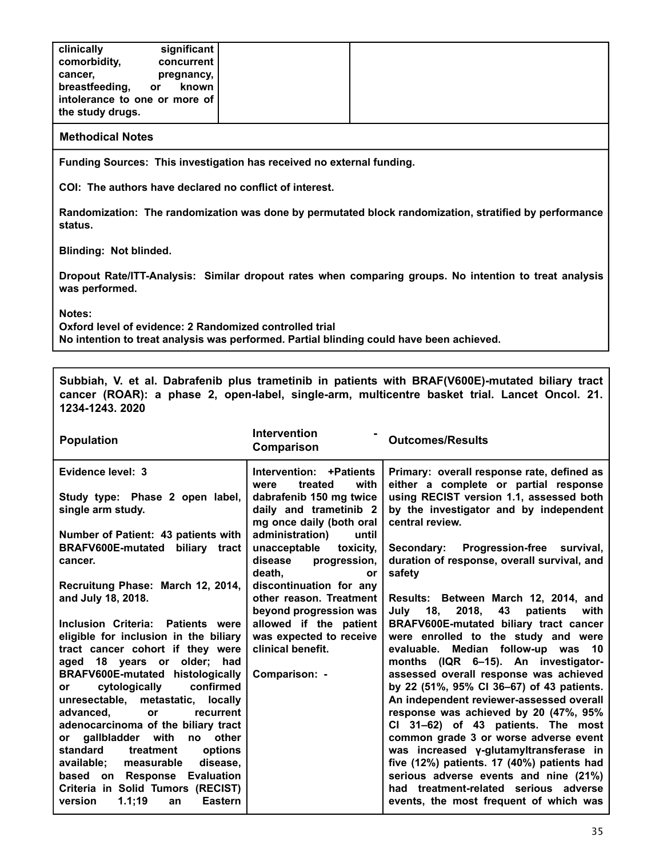| clinically<br>comorbidity,<br>cancer,<br>breastfeeding, | significant<br>concurrent<br>pregnancy,      |
|---------------------------------------------------------|----------------------------------------------|
|                                                         | known<br>or<br>intolerance to one or more of |
| the study drugs.                                        |                                              |

**Funding Sources: This investigation has received no external funding.**

**COI: The authors have declared no conflict of interest.**

**Randomization: The randomization was done by permutated block randomization, stratified by performance status.**

**Blinding: Not blinded.**

**Dropout Rate/ITT-Analysis: Similar dropout rates when comparing groups. No intention to treat analysis was performed.**

**Notes:**

**Oxford level of evidence: 2 Randomized controlled trial No intention to treat analysis was performed. Partial blinding could have been achieved.**

**Subbiah, V. et al. Dabrafenib plus trametinib in patients with BRAF(V600E)-mutated biliary tract cancer (ROAR): a phase 2, open-label, single-arm, multicentre basket trial. Lancet Oncol. 21. 1234-1243. 2020**

| <b>Population</b>                                                               | <b>Intervention</b><br>Comparison                                             | <b>Outcomes/Results</b>                                                                              |
|---------------------------------------------------------------------------------|-------------------------------------------------------------------------------|------------------------------------------------------------------------------------------------------|
| Evidence level: 3                                                               | Intervention: +Patients<br>with<br>treated<br>were                            | Primary: overall response rate, defined as<br>either a complete or partial response                  |
| Study type: Phase 2 open label,<br>single arm study.                            | dabrafenib 150 mg twice<br>daily and trametinib 2<br>mg once daily (both oral | using RECIST version 1.1, assessed both<br>by the investigator and by independent<br>central review. |
| Number of Patient: 43 patients with                                             | administration)<br>until                                                      |                                                                                                      |
| BRAFV600E-mutated biliary tract<br>cancer.                                      | unacceptable<br>toxicity,<br>disease<br>progression,<br>death,<br>or          | Secondary: Progression-free survival,<br>duration of response, overall survival, and<br>safety       |
| Recruitung Phase: March 12, 2014,                                               | discontinuation for any                                                       |                                                                                                      |
| and July 18, 2018.                                                              | other reason. Treatment<br>beyond progression was                             | Results: Between March 12, 2014, and<br>July 18, 2018,<br>43<br>patients<br>with                     |
| Inclusion Criteria: Patients were                                               | allowed if the patient                                                        | BRAFV600E-mutated biliary tract cancer                                                               |
| eligible for inclusion in the biliary                                           | was expected to receive                                                       | were enrolled to the study and were                                                                  |
| tract cancer cohort if they were                                                | clinical benefit.                                                             | evaluable. Median follow-up was 10                                                                   |
| aged 18 years or older; had                                                     |                                                                               | months (IQR 6-15). An investigator-                                                                  |
| BRAFV600E-mutated histologically                                                | Comparison: -                                                                 | assessed overall response was achieved<br>by 22 (51%, 95% CI 36-67) of 43 patients.                  |
| cytologically<br>confirmed<br><b>or</b><br>unresectable, metastatic,<br>locally |                                                                               | An independent reviewer-assessed overall                                                             |
| advanced.<br>recurrent<br>or                                                    |                                                                               | response was achieved by 20 (47%, 95%                                                                |
| adenocarcinoma of the biliary tract                                             |                                                                               | CI 31-62) of 43 patients. The most                                                                   |
| or gallbladder with no other                                                    |                                                                               | common grade 3 or worse adverse event                                                                |
| standard<br>treatment<br>options                                                |                                                                               | was increased y-glutamyltransferase in                                                               |
| available; measurable<br>disease,                                               |                                                                               | five (12%) patients. 17 (40%) patients had                                                           |
| based on Response Evaluation                                                    |                                                                               | serious adverse events and nine (21%)                                                                |
| Criteria in Solid Tumors (RECIST)<br>1.1;19<br>version<br><b>Eastern</b><br>an  |                                                                               | had treatment-related serious adverse<br>events, the most frequent of which was                      |
|                                                                                 |                                                                               |                                                                                                      |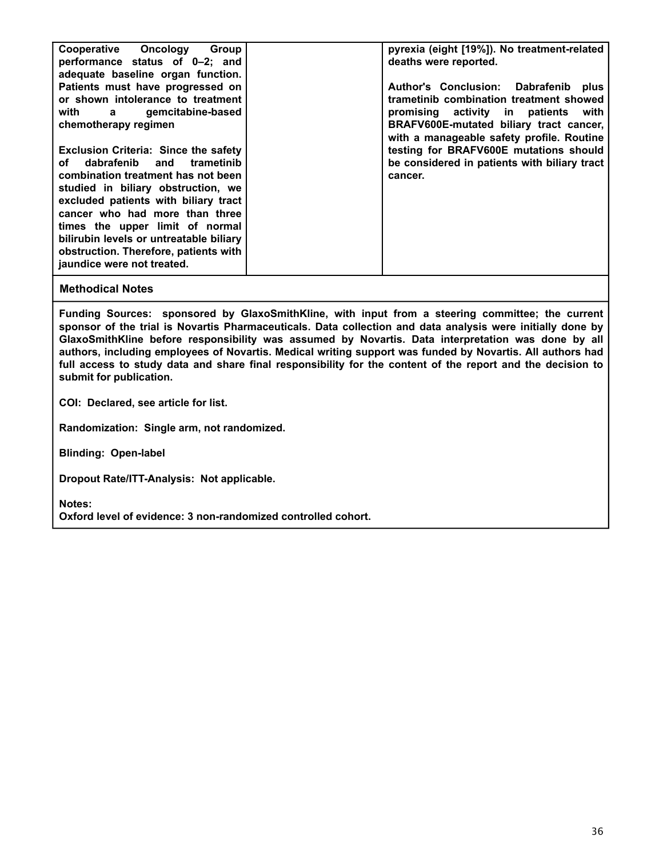| Cooperative Oncology<br>Group<br>performance status of 0-2; and<br>adequate baseline organ function.                                                                                                                                                                                                                                                                                         | pyrexia (eight [19%]). No treatment-related<br>deaths were reported.                                                                                                                                              |
|----------------------------------------------------------------------------------------------------------------------------------------------------------------------------------------------------------------------------------------------------------------------------------------------------------------------------------------------------------------------------------------------|-------------------------------------------------------------------------------------------------------------------------------------------------------------------------------------------------------------------|
| Patients must have progressed on<br>or shown intolerance to treatment<br>with a gemcitabine-based<br>chemotherapy regimen                                                                                                                                                                                                                                                                    | Author's Conclusion: Dabrafenib plus<br>trametinib combination treatment showed<br>promising activity in patients<br>with<br>BRAFV600E-mutated biliary tract cancer,<br>with a manageable safety profile. Routine |
| <b>Exclusion Criteria: Since the safety</b><br>dabrafenib and<br>trametinib<br>оf<br>combination treatment has not been<br>studied in biliary obstruction, we<br>excluded patients with biliary tract<br>cancer who had more than three<br>times the upper limit of normal<br>bilirubin levels or untreatable biliary<br>obstruction. Therefore, patients with<br>jaundice were not treated. | testing for BRAFV600E mutations should<br>be considered in patients with biliary tract<br>cancer.                                                                                                                 |

**Funding Sources: sponsored by GlaxoSmithKline, with input from a steering committee; the current sponsor of the trial is Novartis Pharmaceuticals. Data collection and data analysis were initially done by GlaxoSmithKline before responsibility was assumed by Novartis. Data interpretation was done by all authors, including employees of Novartis. Medical writing support was funded by Novartis. All authors had full access to study data and share final responsibility for the content of the report and the decision to submit for publication.**

**COI: Declared, see article for list.**

**Randomization: Single arm, not randomized.**

**Blinding: Open-label**

**Dropout Rate/ITT-Analysis: Not applicable.**

**Notes:**

**Oxford level of evidence: 3 non-randomized controlled cohort.**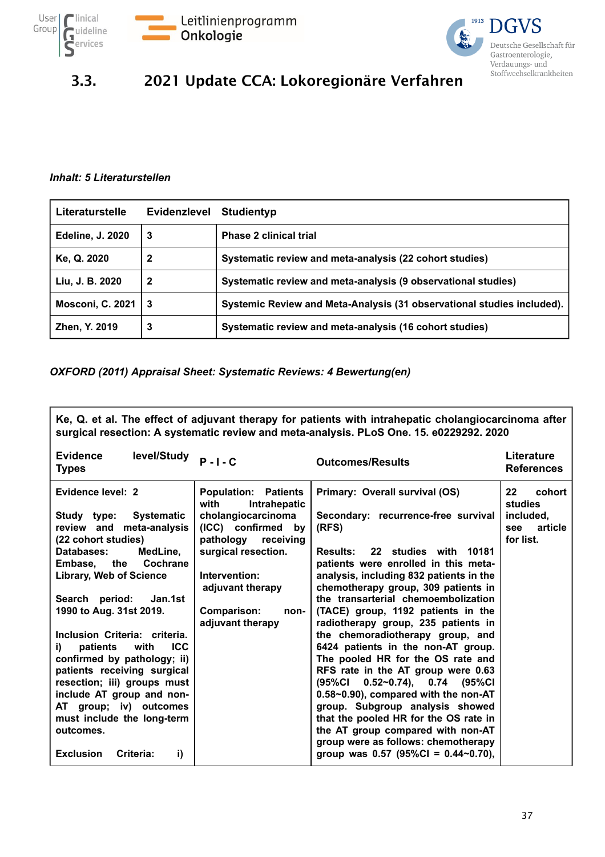![](_page_36_Picture_0.jpeg)

![](_page_36_Picture_1.jpeg)

![](_page_36_Picture_2.jpeg)

## 3.3. 2021 Update CCA: Lokoregionäre Verfahren

#### *Inhalt: 5 Literaturstellen*

| Literaturstelle         | <b>Evidenzlevel</b> | Studientyp                                                             |
|-------------------------|---------------------|------------------------------------------------------------------------|
| <b>Edeline, J. 2020</b> | 3                   | <b>Phase 2 clinical trial</b>                                          |
| Ke, Q. 2020             | 2                   | Systematic review and meta-analysis (22 cohort studies)                |
| Liu, J. B. 2020         | 2                   | Systematic review and meta-analysis (9 observational studies)          |
| <b>Mosconi, C. 2021</b> | -3                  | Systemic Review and Meta-Analysis (31 observational studies included). |
| Zhen, Y. 2019           | 3                   | Systematic review and meta-analysis (16 cohort studies)                |

#### *OXFORD (2011) Appraisal Sheet: Systematic Reviews: 4 Bewertung(en)*

| Ke, Q. et al. The effect of adjuvant therapy for patients with intrahepatic cholangiocarcinoma after<br>surgical resection: A systematic review and meta-analysis. PLoS One. 15. e0229292. 2020                                                                                                                                                                                                                                                                                                                                                                    |                                                                                                                                                                                                                                         |                                                                                                                                                                                                                                                                                                                                                                                                                                                                                                                                                                                                                                                                                                                                                                                                                       |                                                                          |  |
|--------------------------------------------------------------------------------------------------------------------------------------------------------------------------------------------------------------------------------------------------------------------------------------------------------------------------------------------------------------------------------------------------------------------------------------------------------------------------------------------------------------------------------------------------------------------|-----------------------------------------------------------------------------------------------------------------------------------------------------------------------------------------------------------------------------------------|-----------------------------------------------------------------------------------------------------------------------------------------------------------------------------------------------------------------------------------------------------------------------------------------------------------------------------------------------------------------------------------------------------------------------------------------------------------------------------------------------------------------------------------------------------------------------------------------------------------------------------------------------------------------------------------------------------------------------------------------------------------------------------------------------------------------------|--------------------------------------------------------------------------|--|
| <b>Evidence</b><br>level/Study<br><b>Types</b>                                                                                                                                                                                                                                                                                                                                                                                                                                                                                                                     | $P - I - C$                                                                                                                                                                                                                             | <b>Outcomes/Results</b>                                                                                                                                                                                                                                                                                                                                                                                                                                                                                                                                                                                                                                                                                                                                                                                               | <b>Literature</b><br><b>References</b>                                   |  |
| Evidence level: 2<br>Systematic<br>Study type:<br>review and meta-analysis<br>(22 cohort studies)<br>Databases:<br>MedLine,<br>Embase,<br>the<br>Cochrane<br><b>Library, Web of Science</b><br>Search period:<br>Jan.1st<br>1990 to Aug. 31st 2019.<br>Inclusion Criteria: criteria.<br><b>ICC</b><br>patients<br>with<br>i)<br>confirmed by pathology; ii)<br>patients receiving surgical<br>resection; iii) groups must<br>include AT group and non-<br>AT group; iv) outcomes<br>must include the long-term<br>outcomes.<br><b>Exclusion</b><br>i)<br>Criteria: | <b>Population: Patients</b><br>Intrahepatic<br>with<br>cholangiocarcinoma<br>(ICC) confirmed by<br>pathology<br>receiving<br>surgical resection.<br>Intervention:<br>adjuvant therapy<br><b>Comparison:</b><br>non-<br>adjuvant therapy | Primary: Overall survival (OS)<br>Secondary: recurrence-free survival<br>(RFS)<br>22 studies with 10181<br><b>Results:</b><br>patients were enrolled in this meta-<br>analysis, including 832 patients in the<br>chemotherapy group, 309 patients in<br>the transarterial chemoembolization<br>(TACE) group, 1192 patients in the<br>radiotherapy group, 235 patients in<br>the chemoradiotherapy group, and<br>6424 patients in the non-AT group.<br>The pooled HR for the OS rate and<br>RFS rate in the AT group were 0.63<br>(95%CI<br>$0.52 - 0.74$ , 0.74 (95%CI<br>0.58~0.90), compared with the non-AT<br>group. Subgroup analysis showed<br>that the pooled HR for the OS rate in<br>the AT group compared with non-AT<br>group were as follows: chemotherapy<br>group was 0.57 (95%Cl = $0.44 \sim 0.70$ ), | cohort<br>$22 \,$<br>studies<br>included,<br>article<br>see<br>for list. |  |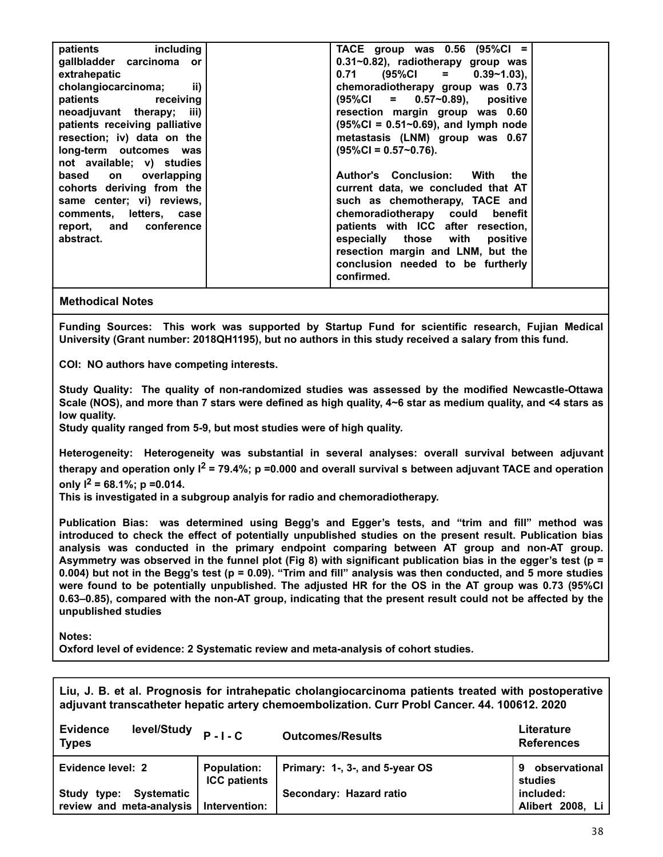| patients including            | TACE group was $0.56$ (95%Cl =             |  |
|-------------------------------|--------------------------------------------|--|
| gallbladder carcinoma or      | 0.31~0.82), radiotherapy group was         |  |
| extrahepatic                  | $0.71$ (95%Cl = 0.39~1.03),                |  |
| ii)<br>cholangiocarcinoma;    | chemoradiotherapy group was 0.73           |  |
| patients receiving            | $(95\%CI = 0.57~0.89),$ positive           |  |
| neoadjuvant therapy; iii)     | resection margin group was 0.60            |  |
| patients receiving palliative | $(95\%CI = 0.51~0.69)$ , and lymph node    |  |
| resection; iv) data on the    | metastasis (LNM) group was 0.67            |  |
| long-term outcomes was        | $(95\%CI = 0.57~0.76).$                    |  |
| not available; v) studies     |                                            |  |
| based on overlapping          | <b>Author's Conclusion:</b><br>With<br>the |  |
| cohorts deriving from the     | current data, we concluded that AT         |  |
| same center; vi) reviews,     | such as chemotherapy, TACE and             |  |
| comments, letters, case       | chemoradiotherapy could benefit            |  |
| report, and conference        | patients with ICC after resection,         |  |
| abstract.                     | especially those with positive             |  |
|                               | resection margin and LNM, but the          |  |
|                               | conclusion needed to be furtherly          |  |
|                               | confirmed.                                 |  |
|                               |                                            |  |

**Funding Sources: This work was supported by Startup Fund for scientific research, Fujian Medical University (Grant number: 2018QH1195), but no authors in this study received a salary from this fund.**

**COI: NO authors have competing interests.**

**Study Quality: The quality of non-randomized studies was assessed by the modified Newcastle-Ottawa Scale (NOS), and more than 7 stars were defined as high quality, 4~6 star as medium quality, and <4 stars as low quality.**

**Study quality ranged from 5-9, but most studies were of high quality.**

**Heterogeneity: Heterogeneity was substantial in several analyses: overall survival between adjuvant therapy and operation only I2 = 79.4%; p =0.000 and overall survival s between adjuvant TACE and operation only I2 = 68.1%; p =0.014.**

**This is investigated in a subgroup analyis for radio and chemoradiotherapy.**

**Publication Bias: was determined using Begg's and Egger's tests, and "trim and fill" method was introduced to check the effect of potentially unpublished studies on the present result. Publication bias analysis was conducted in the primary endpoint comparing between AT group and non-AT group. Asymmetry was observed in the funnel plot (Fig 8) with significant publication bias in the egger's test (p = 0.004) but not in the Begg's test (p = 0.09). "Trim and fill" analysis was then conducted, and 5 more studies were found to be potentially unpublished. The adjusted HR for the OS in the AT group was 0.73 (95%CI 0.63–0.85), compared with the non-AT group, indicating that the present result could not be affected by the unpublished studies**

**Notes:**

**Oxford level of evidence: 2 Systematic review and meta-analysis of cohort studies.**

**Liu, J. B. et al. Prognosis for intrahepatic cholangiocarcinoma patients treated with postoperative adjuvant transcatheter hepatic artery chemoembolization. Curr Probl Cancer. 44. 100612. 2020**

| <b>Evidence</b><br>level/Study<br><b>Types</b> | $P - I - C$                               | <b>Outcomes/Results</b>        | Literature<br><b>References</b> |
|------------------------------------------------|-------------------------------------------|--------------------------------|---------------------------------|
| Evidence level: 2                              | <b>Population:</b><br><b>ICC patients</b> | Primary: 1-, 3-, and 5-year OS | observational<br>9<br>studies   |
| <b>Systematic</b><br>tvpe:<br>Study            |                                           | Secondary: Hazard ratio        | included:                       |
| review and meta-analysis                       | Intervention:                             |                                | Alibert 2008, Li                |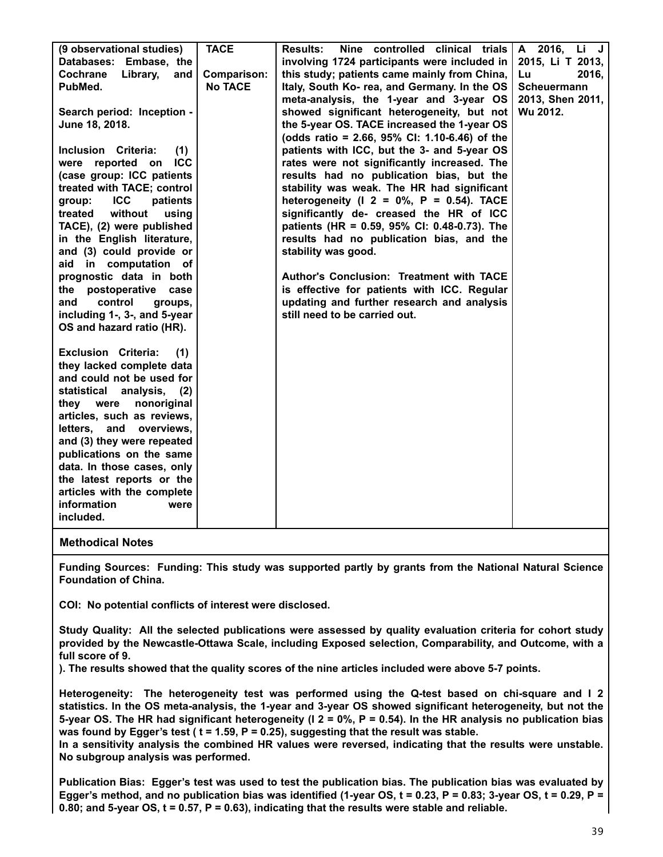| (9 observational studies)          | <b>TACE</b>        | <b>Results:</b><br>Nine controlled clinical trials | A 2016, Li J       |
|------------------------------------|--------------------|----------------------------------------------------|--------------------|
| Databases: Embase, the             |                    | involving 1724 participants were included in       | 2015, Li T 2013,   |
| Library,<br><b>Cochrane</b><br>and | <b>Comparison:</b> | this study; patients came mainly from China,       | 2016,<br>Lu        |
| PubMed.                            | <b>No TACE</b>     | Italy, South Ko- rea, and Germany. In the OS       | <b>Scheuermann</b> |
|                                    |                    | meta-analysis, the 1-year and 3-year OS            | 2013, Shen 2011,   |
| Search period: Inception -         |                    | showed significant heterogeneity, but not          | Wu 2012.           |
| June 18, 2018.                     |                    | the 5-year OS. TACE increased the 1-year OS        |                    |
|                                    |                    | (odds ratio = 2.66, 95% CI: 1.10-6.46) of the      |                    |
| Inclusion Criteria:<br>(1)         |                    | patients with ICC, but the 3- and 5-year OS        |                    |
| <b>ICC</b><br>were reported on     |                    | rates were not significantly increased. The        |                    |
| (case group: ICC patients          |                    | results had no publication bias, but the           |                    |
| treated with TACE; control         |                    | stability was weak. The HR had significant         |                    |
| <b>ICC</b><br>patients<br>group:   |                    | heterogeneity ( $12 = 0\%$ , $P = 0.54$ ). TACE    |                    |
| without<br>treated<br>using        |                    | significantly de- creased the HR of ICC            |                    |
| TACE), (2) were published          |                    | patients (HR = 0.59, 95% CI: 0.48-0.73). The       |                    |
| in the English literature,         |                    | results had no publication bias, and the           |                    |
| and (3) could provide or           |                    | stability was good.                                |                    |
| aid in computation of              |                    |                                                    |                    |
| prognostic data in both            |                    | Author's Conclusion: Treatment with TACE           |                    |
| postoperative<br>the<br>case       |                    | is effective for patients with ICC. Regular        |                    |
| control<br>and<br>groups,          |                    | updating and further research and analysis         |                    |
| including 1-, 3-, and 5-year       |                    | still need to be carried out.                      |                    |
| OS and hazard ratio (HR).          |                    |                                                    |                    |
| <b>Exclusion Criteria:</b><br>(1)  |                    |                                                    |                    |
| they lacked complete data          |                    |                                                    |                    |
| and could not be used for          |                    |                                                    |                    |
| statistical<br>analysis,<br>(2)    |                    |                                                    |                    |
| they were<br>nonoriginal           |                    |                                                    |                    |
| articles, such as reviews,         |                    |                                                    |                    |
| letters, and overviews,            |                    |                                                    |                    |
| and (3) they were repeated         |                    |                                                    |                    |
| publications on the same           |                    |                                                    |                    |
| data. In those cases, only         |                    |                                                    |                    |
| the latest reports or the          |                    |                                                    |                    |
| articles with the complete         |                    |                                                    |                    |
| information<br>were                |                    |                                                    |                    |
| included.                          |                    |                                                    |                    |
|                                    |                    |                                                    |                    |

**Funding Sources: Funding: This study was supported partly by grants from the National Natural Science Foundation of China.**

**COI: No potential conflicts of interest were disclosed.**

**Study Quality: All the selected publications were assessed by quality evaluation criteria for cohort study provided by the Newcastle-Ottawa Scale, including Exposed selection, Comparability, and Outcome, with a full score of 9.**

**). The results showed that the quality scores of the nine articles included were above 5-7 points.**

**Heterogeneity: The heterogeneity test was performed using the Q-test based on chi-square and I 2 statistics. In the OS meta-analysis, the 1-year and 3-year OS showed significant heterogeneity, but not the 5-year OS. The HR had significant heterogeneity (I 2 = 0%, P = 0.54). In the HR analysis no publication bias was found by Egger's test ( t = 1.59, P = 0.25), suggesting that the result was stable.**

**In a sensitivity analysis the combined HR values were reversed, indicating that the results were unstable. No subgroup analysis was performed.**

**Publication Bias: Egger's test was used to test the publication bias. The publication bias was evaluated by Egger's method, and no publication bias was identified (1-year OS, t = 0.23, P = 0.83; 3-year OS, t = 0.29, P = 0.80; and 5-year OS, t = 0.57, P = 0.63), indicating that the results were stable and reliable.**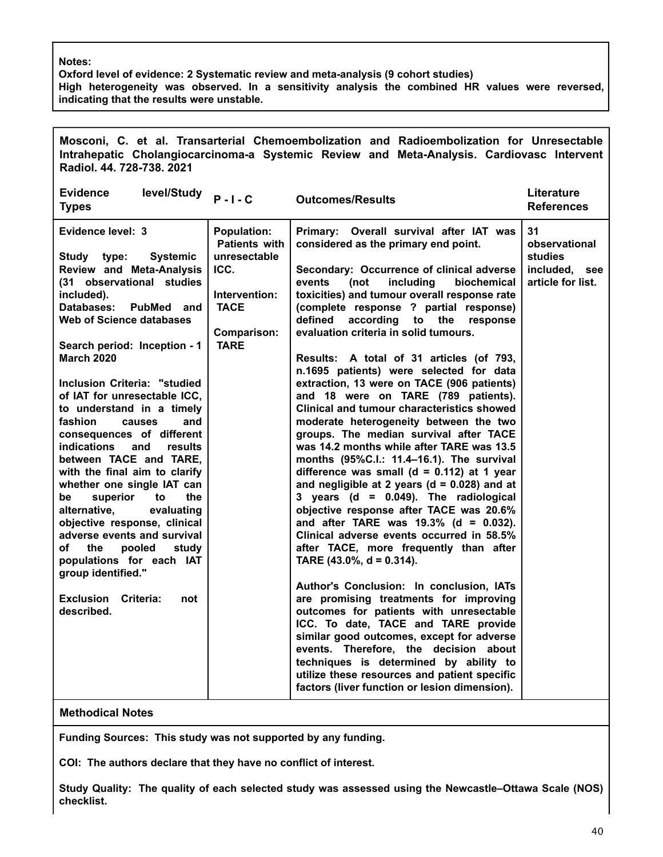#### **Notes:**

**Oxford level of evidence: 2 Systematic review and meta-analysis (9 cohort studies) High heterogeneity was observed. In a sensitivity analysis the combined HR values were reversed, indicating that the results were unstable.**

| Mosconi, C. et al. Transarterial Chemoembolization and Radioembolization for Unresectable<br>Intrahepatic Cholangiocarcinoma-a Systemic Review and Meta-Analysis. Cardiovasc Intervent<br>Radiol. 44. 728-738. 2021                                                                                                                                                                                                                                                                                                                                                                                                                                                                                                                                                                                       |                                                                                                                                         |                                                                                                                                                                                                                                                                                                                                                                                                                                                                                                                                                                                                                                                                                                                                                                                                                                                                                                                                                                                                                                                                                                                                                                                                                                                                                                                                                                                                                                                                                                                                                      |                                                                             |  |  |  |
|-----------------------------------------------------------------------------------------------------------------------------------------------------------------------------------------------------------------------------------------------------------------------------------------------------------------------------------------------------------------------------------------------------------------------------------------------------------------------------------------------------------------------------------------------------------------------------------------------------------------------------------------------------------------------------------------------------------------------------------------------------------------------------------------------------------|-----------------------------------------------------------------------------------------------------------------------------------------|------------------------------------------------------------------------------------------------------------------------------------------------------------------------------------------------------------------------------------------------------------------------------------------------------------------------------------------------------------------------------------------------------------------------------------------------------------------------------------------------------------------------------------------------------------------------------------------------------------------------------------------------------------------------------------------------------------------------------------------------------------------------------------------------------------------------------------------------------------------------------------------------------------------------------------------------------------------------------------------------------------------------------------------------------------------------------------------------------------------------------------------------------------------------------------------------------------------------------------------------------------------------------------------------------------------------------------------------------------------------------------------------------------------------------------------------------------------------------------------------------------------------------------------------------|-----------------------------------------------------------------------------|--|--|--|
| <b>Evidence</b><br>level/Study <b>P-I-C</b><br><b>Types</b>                                                                                                                                                                                                                                                                                                                                                                                                                                                                                                                                                                                                                                                                                                                                               |                                                                                                                                         | <b>Outcomes/Results</b>                                                                                                                                                                                                                                                                                                                                                                                                                                                                                                                                                                                                                                                                                                                                                                                                                                                                                                                                                                                                                                                                                                                                                                                                                                                                                                                                                                                                                                                                                                                              | Literature<br><b>References</b>                                             |  |  |  |
| Evidence level: 3<br>Study type:<br><b>Systemic</b><br><b>Review and Meta-Analysis</b><br>(31 observational studies<br>included).<br>Databases:<br>PubMed and<br>Web of Science databases<br>Search period: Inception - 1<br><b>March 2020</b><br>Inclusion Criteria: "studied<br>of IAT for unresectable ICC,<br>to understand in a timely<br>fashion<br>and<br>causes<br>consequences of different<br><b>indications</b><br>and<br><b>results</b><br>between TACE and TARE,<br>with the final aim to clarify<br>whether one single IAT can<br>superior<br>the<br>to<br>be<br>alternative,<br>evaluating<br>objective response, clinical<br>adverse events and survival<br>оf<br>pooled<br>study<br>the<br>populations for each IAT<br>group identified."<br>Exclusion<br>Criteria:<br>not<br>described. | <b>Population:</b><br><b>Patients with</b><br>unresectable<br>ICC.<br>Intervention:<br><b>TACE</b><br><b>Comparison:</b><br><b>TARE</b> | Primary: Overall survival after IAT was<br>considered as the primary end point.<br>Secondary: Occurrence of clinical adverse<br>including<br>events<br>(not<br>biochemical<br>toxicities) and tumour overall response rate<br>(complete response ? partial response)<br>defined<br>according<br>to the<br>response<br>evaluation criteria in solid tumours.<br>Results: A total of 31 articles (of 793,<br>n.1695 patients) were selected for data<br>extraction, 13 were on TACE (906 patients)<br>and 18 were on TARE (789 patients).<br><b>Clinical and tumour characteristics showed</b><br>moderate heterogeneity between the two<br>groups. The median survival after TACE<br>was 14.2 months while after TARE was 13.5<br>months (95%C.I.: 11.4-16.1). The survival<br>difference was small ( $d = 0.112$ ) at 1 year<br>and negligible at 2 years ( $d = 0.028$ ) and at<br>3 years (d = $0.049$ ). The radiological<br>objective response after TACE was 20.6%<br>and after TARE was $19.3\%$ (d = 0.032).<br>Clinical adverse events occurred in 58.5%<br>after TACE, more frequently than after<br>TARE $(43.0\% , d = 0.314)$ .<br>Author's Conclusion: In conclusion, IATs<br>are promising treatments for improving<br>outcomes for patients with unresectable<br>ICC. To date, TACE and TARE provide<br>similar good outcomes, except for adverse<br>events. Therefore, the decision about<br>techniques is determined by ability to<br>utilize these resources and patient specific<br>factors (liver function or lesion dimension). | 31<br>observational<br><b>studies</b><br>included, see<br>article for list. |  |  |  |
| <b>Methodical Notes</b>                                                                                                                                                                                                                                                                                                                                                                                                                                                                                                                                                                                                                                                                                                                                                                                   |                                                                                                                                         |                                                                                                                                                                                                                                                                                                                                                                                                                                                                                                                                                                                                                                                                                                                                                                                                                                                                                                                                                                                                                                                                                                                                                                                                                                                                                                                                                                                                                                                                                                                                                      |                                                                             |  |  |  |

**Funding Sources: This study was not supported by any funding.**

**COI: The authors declare that they have no conflict of interest.**

**Study Quality: The quality of each selected study was assessed using the Newcastle–Ottawa Scale (NOS) checklist.**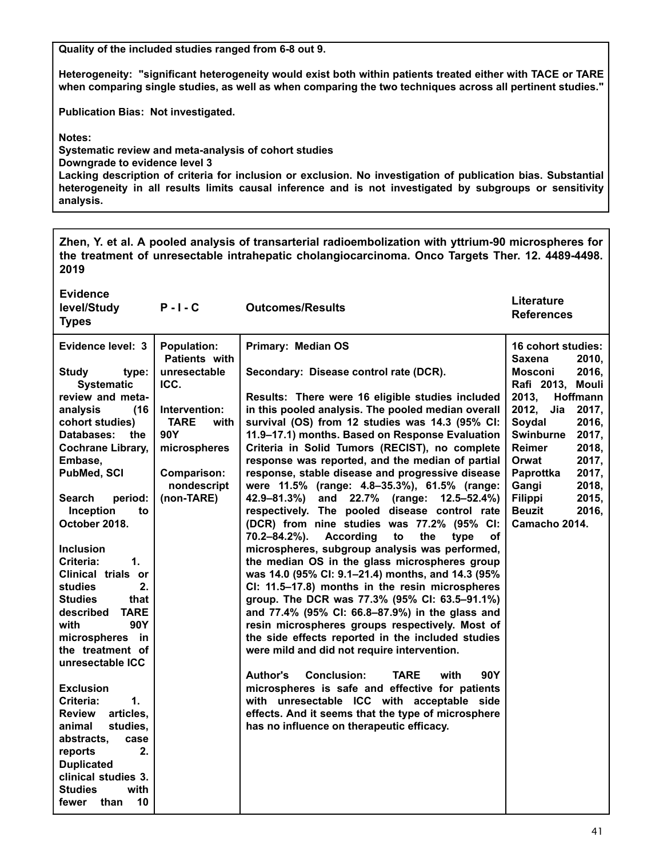**Quality of the included studies ranged from 6-8 out 9.**

**Heterogeneity: "significant heterogeneity would exist both within patients treated either with TACE or TARE when comparing single studies, as well as when comparing the two techniques across all pertinent studies."**

**Publication Bias: Not investigated.**

**Notes:**

**Systematic review and meta-analysis of cohort studies Downgrade to evidence level 3 Lacking description of criteria for inclusion or exclusion. No investigation of publication bias. Substantial heterogeneity in all results limits causal inference and is not investigated by subgroups or sensitivity analysis.**

**Zhen, Y. et al. A pooled analysis of transarterial radioembolization with yttrium-90 microspheres for the treatment of unresectable intrahepatic cholangiocarcinoma. Onco Targets Ther. 12. 4489-4498. 2019**

| <b>Evidence</b><br>level/Study<br><b>Types</b>                                                                                                                                                                                                                                                                                                                                                                                                                                                                                                                                                                                                                                    | $P - I - C$                                                                                                                                             | <b>Outcomes/Results</b>                                                                                                                                                                                                                                                                                                                                                                                                                                                                                                                                                                                                                                                                                                                                                                                                                                                                                                                                                                                                                                                                                                                                                                                                                                                                                                                                                                                                  | Literature<br><b>References</b>                                                                                                                                                                                                                                                                                               |
|-----------------------------------------------------------------------------------------------------------------------------------------------------------------------------------------------------------------------------------------------------------------------------------------------------------------------------------------------------------------------------------------------------------------------------------------------------------------------------------------------------------------------------------------------------------------------------------------------------------------------------------------------------------------------------------|---------------------------------------------------------------------------------------------------------------------------------------------------------|--------------------------------------------------------------------------------------------------------------------------------------------------------------------------------------------------------------------------------------------------------------------------------------------------------------------------------------------------------------------------------------------------------------------------------------------------------------------------------------------------------------------------------------------------------------------------------------------------------------------------------------------------------------------------------------------------------------------------------------------------------------------------------------------------------------------------------------------------------------------------------------------------------------------------------------------------------------------------------------------------------------------------------------------------------------------------------------------------------------------------------------------------------------------------------------------------------------------------------------------------------------------------------------------------------------------------------------------------------------------------------------------------------------------------|-------------------------------------------------------------------------------------------------------------------------------------------------------------------------------------------------------------------------------------------------------------------------------------------------------------------------------|
| Evidence level: 3                                                                                                                                                                                                                                                                                                                                                                                                                                                                                                                                                                                                                                                                 | <b>Population:</b>                                                                                                                                      | <b>Primary: Median OS</b>                                                                                                                                                                                                                                                                                                                                                                                                                                                                                                                                                                                                                                                                                                                                                                                                                                                                                                                                                                                                                                                                                                                                                                                                                                                                                                                                                                                                | 16 cohort studies:                                                                                                                                                                                                                                                                                                            |
| <b>Study</b><br>type:<br><b>Systematic</b><br>review and meta-<br>(16)<br>analysis<br>cohort studies)<br>Databases:<br>the<br><b>Cochrane Library,</b><br>Embase,<br>PubMed, SCI<br><b>Search</b><br>period:<br>Inception<br>to<br>October 2018.<br><b>Inclusion</b><br>Criteria:<br>1.<br>Clinical trials or<br>studies<br>2.<br><b>Studies</b><br>that<br>described<br><b>TARE</b><br>with<br>90Y<br>microspheres in<br>the treatment of<br>unresectable ICC<br><b>Exclusion</b><br>Criteria:<br>$\mathbf 1$ .<br>articles,<br><b>Review</b><br>animal<br>studies,<br>abstracts,<br>case<br>2.<br>reports<br><b>Duplicated</b><br>clinical studies 3.<br>with<br><b>Studies</b> | Patients with<br>unresectable<br>ICC.<br>Intervention:<br><b>TARE</b><br>with<br>90Y<br>microspheres<br><b>Comparison:</b><br>nondescript<br>(non-TARE) | Secondary: Disease control rate (DCR).<br>Results: There were 16 eligible studies included<br>in this pooled analysis. The pooled median overall<br>survival (OS) from 12 studies was 14.3 (95% CI:<br>11.9-17.1) months. Based on Response Evaluation<br>Criteria in Solid Tumors (RECIST), no complete<br>response was reported, and the median of partial<br>response, stable disease and progressive disease<br>were 11.5% (range: 4.8-35.3%), 61.5% (range:<br>42.9–81.3%)<br>and 22.7% (range: 12.5–52.4%)<br>respectively. The pooled disease control rate<br>(DCR) from nine studies was 77.2% (95% CI:<br>70.2-84.2%).<br><b>According</b><br>to<br>the<br>type<br>of<br>microspheres, subgroup analysis was performed,<br>the median OS in the glass microspheres group<br>was 14.0 (95% CI: 9.1-21.4) months, and 14.3 (95%<br>CI: 11.5-17.8) months in the resin microspheres<br>group. The DCR was 77.3% (95% CI: 63.5-91.1%)<br>and 77.4% (95% CI: 66.8-87.9%) in the glass and<br>resin microspheres groups respectively. Most of<br>the side effects reported in the included studies<br>were mild and did not require intervention.<br>Author's<br><b>Conclusion:</b><br><b>TARE</b><br>with<br>90Y<br>microspheres is safe and effective for patients<br>with unresectable ICC with acceptable side<br>effects. And it seems that the type of microsphere<br>has no influence on therapeutic efficacy. | <b>Saxena</b><br>2010,<br>2016,<br><b>Mosconi</b><br>Rafi 2013, Mouli<br>2013,<br>Hoffmann<br>2012,<br>Jia<br>2017,<br>Soydal<br>2016,<br><b>Swinburne</b><br>2017,<br><b>Reimer</b><br>2018,<br>Orwat<br>2017,<br>Paprottka<br>2017,<br>Gangi<br>2018,<br><b>Filippi</b><br>2015,<br><b>Beuzit</b><br>2016,<br>Camacho 2014. |
| 10<br>than<br>fewer                                                                                                                                                                                                                                                                                                                                                                                                                                                                                                                                                                                                                                                               |                                                                                                                                                         |                                                                                                                                                                                                                                                                                                                                                                                                                                                                                                                                                                                                                                                                                                                                                                                                                                                                                                                                                                                                                                                                                                                                                                                                                                                                                                                                                                                                                          |                                                                                                                                                                                                                                                                                                                               |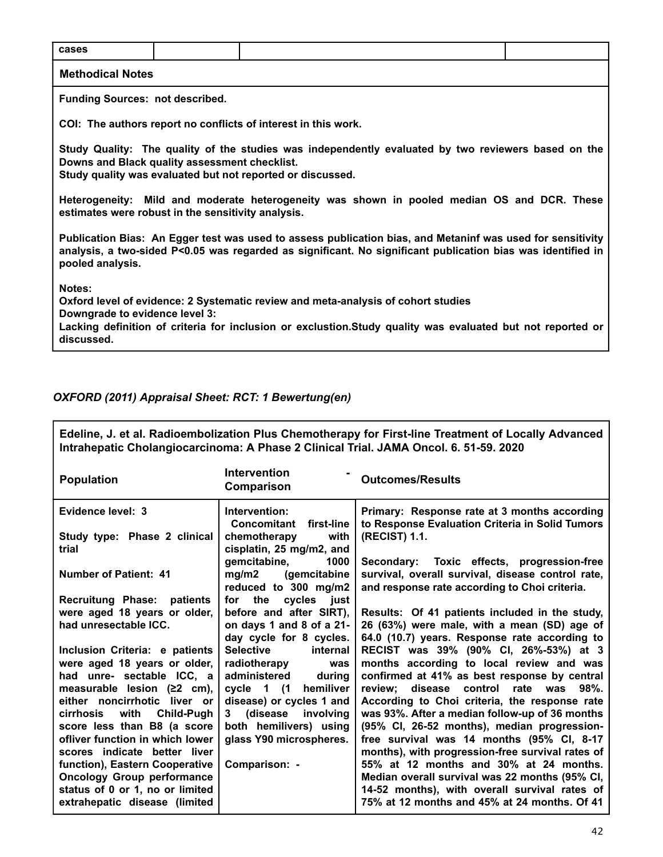| cases                                                                                                                                                                                                                                                      |  |  |  |  |
|------------------------------------------------------------------------------------------------------------------------------------------------------------------------------------------------------------------------------------------------------------|--|--|--|--|
| <b>Methodical Notes</b>                                                                                                                                                                                                                                    |  |  |  |  |
| <b>Funding Sources: not described.</b>                                                                                                                                                                                                                     |  |  |  |  |
| COI: The authors report no conflicts of interest in this work.                                                                                                                                                                                             |  |  |  |  |
| Study Quality: The quality of the studies was independently evaluated by two reviewers based on the<br>Downs and Black quality assessment checklist.<br>Study quality was evaluated but not reported or discussed.                                         |  |  |  |  |
| Heterogeneity: Mild and moderate heterogeneity was shown in pooled median OS and DCR. These<br>estimates were robust in the sensitivity analysis.                                                                                                          |  |  |  |  |
| Publication Bias: An Egger test was used to assess publication bias, and Metaninf was used for sensitivity<br>analysis, a two-sided P<0.05 was regarded as significant. No significant publication bias was identified in<br>pooled analysis.              |  |  |  |  |
| Notes:<br>Oxford level of evidence: 2 Systematic review and meta-analysis of cohort studies<br>Downgrade to evidence level 3:<br>Lacking definition of criteria for inclusion or exclustion. Study quality was evaluated but not reported or<br>discussed. |  |  |  |  |

#### *OXFORD (2011) Appraisal Sheet: RCT: 1 Bewertung(en)*

**Edeline, J. et al. Radioembolization Plus Chemotherapy for First-line Treatment of Locally Advanced Intrahepatic Cholangiocarcinoma: A Phase 2 Clinical Trial. JAMA Oncol. 6. 51-59. 2020 Population Intervention - Comparison Outcomes/Results Evidence level: 3 Study type: Phase 2 clinical trial Number of Patient: 41 Recruitung Phase: patients were aged 18 years or older, had unresectable ICC. Inclusion Criteria: e patients were aged 18 years or older, had unre- sectable ICC, a measurable lesion (≥2 cm), either noncirrhotic liver or cirrhosis with Child-Pugh score less than B8 (a score ofliver function in which lower scores indicate better liver function), Eastern Cooperative Oncology Group performance status of 0 or 1, no or limited extrahepatic disease (limited Intervention: Concomitant first-line chemotherapy with cisplatin, 25 mg/m2, and gemcitabine, 1000 mg/m2 (gemcitabine reduced to 300 mg/m2 for the cycles just before and after SIRT), on days 1 and 8 of a 21 day cycle for 8 cycles. Selective internal radiotherapy was administered during cycle 1 (1 hemiliver disease) or cycles 1 and 3 (disease involving both hemilivers) using glass Y90 microspheres. Comparison: - Primary: Response rate at 3 months according to Response Evaluation Criteria in Solid Tumors (RECIST) 1.1. Secondary: Toxic effects, progression-free survival, overall survival, disease control rate, and response rate according to Choi criteria. Results: Of 41 patients included in the study, 26 (63%) were male, with a mean (SD) age of 64.0 (10.7) years. Response rate according to RECIST was 39% (90% CI, 26%-53%) at 3 months according to local review and was confirmed at 41% as best response by central review; disease control rate was 98%. According to Choi criteria, the response rate was 93%. After a median follow-up of 36 months (95% CI, 26-52 months), median progressionfree survival was 14 months (95% CI, 8-17 months), with progression-free survival rates of 55% at 12 months and 30% at 24 months. Median overall survival was 22 months (95% CI, 14-52 months), with overall survival rates of 75% at 12 months and 45% at 24 months. Of 41**